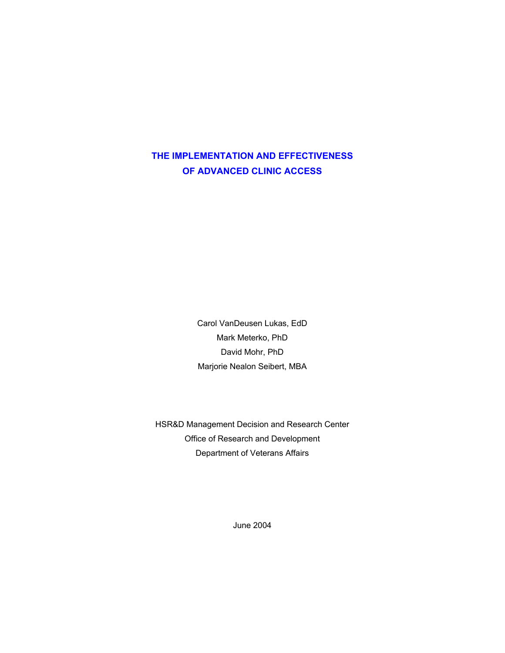# **THE IMPLEMENTATION AND EFFECTIVENESS OF ADVANCED CLINIC ACCESS**

Carol VanDeusen Lukas, EdD Mark Meterko, PhD David Mohr, PhD Marjorie Nealon Seibert, MBA

HSR&D Management Decision and Research Center Office of Research and Development Department of Veterans Affairs

June 2004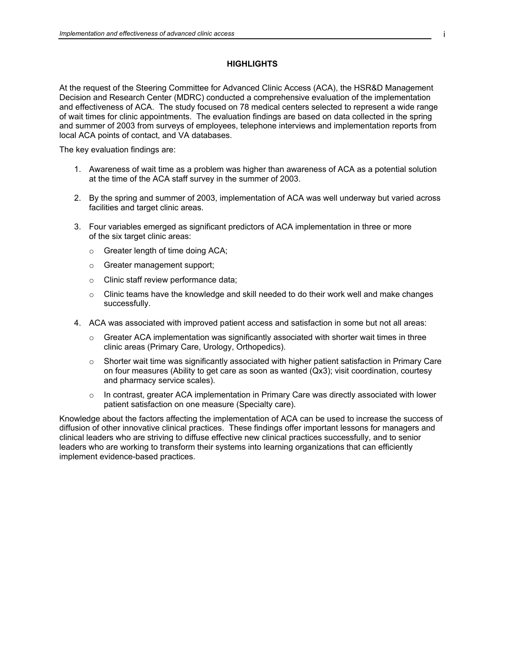# **HIGHLIGHTS**

At the request of the Steering Committee for Advanced Clinic Access (ACA), the HSR&D Management Decision and Research Center (MDRC) conducted a comprehensive evaluation of the implementation and effectiveness of ACA. The study focused on 78 medical centers selected to represent a wide range of wait times for clinic appointments. The evaluation findings are based on data collected in the spring and summer of 2003 from surveys of employees, telephone interviews and implementation reports from local ACA points of contact, and VA databases.

The key evaluation findings are:

- 1. Awareness of wait time as a problem was higher than awareness of ACA as a potential solution at the time of the ACA staff survey in the summer of 2003.
- 2. By the spring and summer of 2003, implementation of ACA was well underway but varied across facilities and target clinic areas.
- 3. Four variables emerged as significant predictors of ACA implementation in three or more of the six target clinic areas:
	- o Greater length of time doing ACA;
	- o Greater management support;
	- o Clinic staff review performance data;
	- $\circ$  Clinic teams have the knowledge and skill needed to do their work well and make changes successfully.
- 4. ACA was associated with improved patient access and satisfaction in some but not all areas:
	- $\circ$  Greater ACA implementation was significantly associated with shorter wait times in three clinic areas (Primary Care, Urology, Orthopedics).
	- $\circ$  Shorter wait time was significantly associated with higher patient satisfaction in Primary Care on four measures (Ability to get care as soon as wanted (Qx3); visit coordination, courtesy and pharmacy service scales).
	- o In contrast, greater ACA implementation in Primary Care was directly associated with lower patient satisfaction on one measure (Specialty care).

Knowledge about the factors affecting the implementation of ACA can be used to increase the success of diffusion of other innovative clinical practices. These findings offer important lessons for managers and clinical leaders who are striving to diffuse effective new clinical practices successfully, and to senior leaders who are working to transform their systems into learning organizations that can efficiently implement evidence-based practices.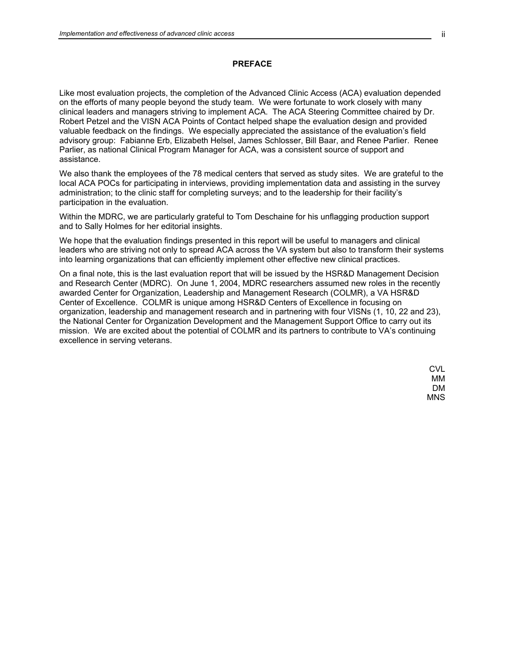### **PREFACE**

Like most evaluation projects, the completion of the Advanced Clinic Access (ACA) evaluation depended on the efforts of many people beyond the study team. We were fortunate to work closely with many clinical leaders and managers striving to implement ACA. The ACA Steering Committee chaired by Dr. Robert Petzel and the VISN ACA Points of Contact helped shape the evaluation design and provided valuable feedback on the findings. We especially appreciated the assistance of the evaluation's field advisory group: Fabianne Erb, Elizabeth Helsel, James Schlosser, Bill Baar, and Renee Parlier. Renee Parlier, as national Clinical Program Manager for ACA, was a consistent source of support and assistance.

We also thank the employees of the 78 medical centers that served as study sites. We are grateful to the local ACA POCs for participating in interviews, providing implementation data and assisting in the survey administration; to the clinic staff for completing surveys; and to the leadership for their facility's participation in the evaluation.

Within the MDRC, we are particularly grateful to Tom Deschaine for his unflagging production support and to Sally Holmes for her editorial insights.

We hope that the evaluation findings presented in this report will be useful to managers and clinical leaders who are striving not only to spread ACA across the VA system but also to transform their systems into learning organizations that can efficiently implement other effective new clinical practices.

On a final note, this is the last evaluation report that will be issued by the HSR&D Management Decision and Research Center (MDRC). On June 1, 2004, MDRC researchers assumed new roles in the recently awarded Center for Organization, Leadership and Management Research (COLMR), a VA HSR&D Center of Excellence. COLMR is unique among HSR&D Centers of Excellence in focusing on organization, leadership and management research and in partnering with four VISNs (1, 10, 22 and 23), the National Center for Organization Development and the Management Support Office to carry out its mission. We are excited about the potential of COLMR and its partners to contribute to VA's continuing excellence in serving veterans.

> CVL MM DM MNS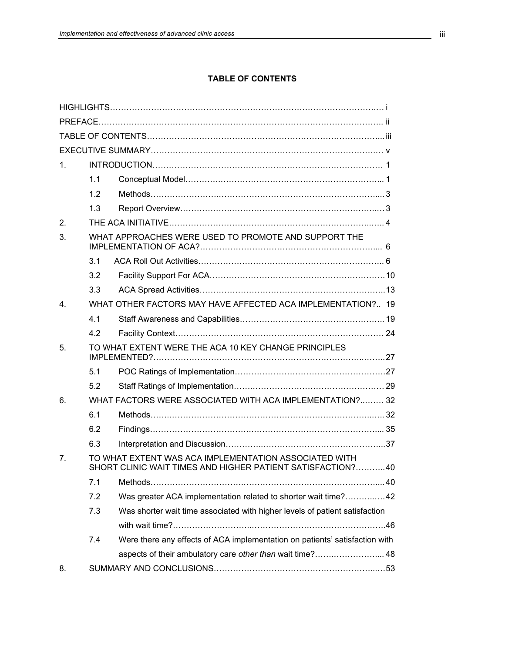# **TABLE OF CONTENTS**

| 1.             |     |                                                                                                                     |  |  |  |  |
|----------------|-----|---------------------------------------------------------------------------------------------------------------------|--|--|--|--|
|                | 1.1 |                                                                                                                     |  |  |  |  |
|                | 1.2 |                                                                                                                     |  |  |  |  |
|                | 1.3 |                                                                                                                     |  |  |  |  |
| 2.             |     |                                                                                                                     |  |  |  |  |
| 3.             |     | WHAT APPROACHES WERE USED TO PROMOTE AND SUPPORT THE                                                                |  |  |  |  |
|                | 3.1 |                                                                                                                     |  |  |  |  |
|                | 3.2 |                                                                                                                     |  |  |  |  |
|                | 3.3 |                                                                                                                     |  |  |  |  |
| 4 <sub>1</sub> |     | WHAT OTHER FACTORS MAY HAVE AFFECTED ACA IMPLEMENTATION? 19                                                         |  |  |  |  |
|                | 4.1 |                                                                                                                     |  |  |  |  |
|                | 4.2 |                                                                                                                     |  |  |  |  |
| 5 <sub>1</sub> |     | TO WHAT EXTENT WERE THE ACA 10 KEY CHANGE PRINCIPLES                                                                |  |  |  |  |
|                | 5.1 |                                                                                                                     |  |  |  |  |
|                | 5.2 |                                                                                                                     |  |  |  |  |
| 6.             |     | WHAT FACTORS WERE ASSOCIATED WITH ACA IMPLEMENTATION? 32                                                            |  |  |  |  |
|                | 6.1 |                                                                                                                     |  |  |  |  |
|                | 6.2 |                                                                                                                     |  |  |  |  |
|                | 6.3 |                                                                                                                     |  |  |  |  |
| 7.             |     | TO WHAT EXTENT WAS ACA IMPLEMENTATION ASSOCIATED WITH<br>SHORT CLINIC WAIT TIMES AND HIGHER PATIENT SATISFACTION?40 |  |  |  |  |
|                | 7.1 |                                                                                                                     |  |  |  |  |
|                | 7.2 | Was greater ACA implementation related to shorter wait time?42                                                      |  |  |  |  |
|                | 7.3 | Was shorter wait time associated with higher levels of patient satisfaction                                         |  |  |  |  |
|                |     |                                                                                                                     |  |  |  |  |
|                | 7.4 | Were there any effects of ACA implementation on patients' satisfaction with                                         |  |  |  |  |
|                |     | aspects of their ambulatory care other than wait time? 48                                                           |  |  |  |  |
| 8.             |     |                                                                                                                     |  |  |  |  |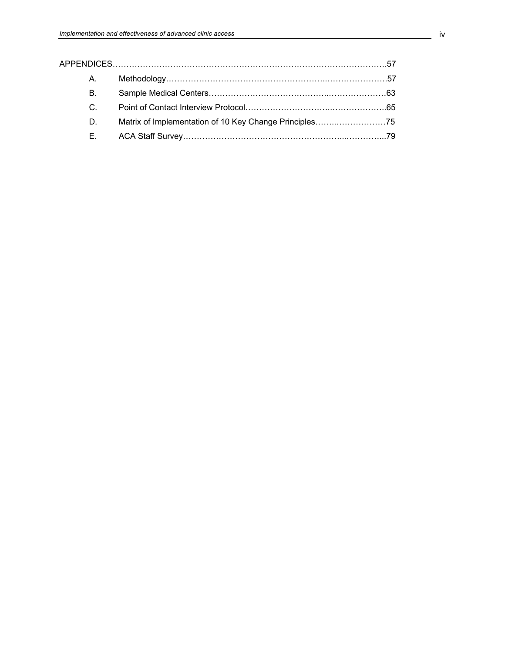| A.          |  |  |  |  |  |
|-------------|--|--|--|--|--|
| <b>B.</b>   |  |  |  |  |  |
| $C_{\cdot}$ |  |  |  |  |  |
| D.          |  |  |  |  |  |
| Е.          |  |  |  |  |  |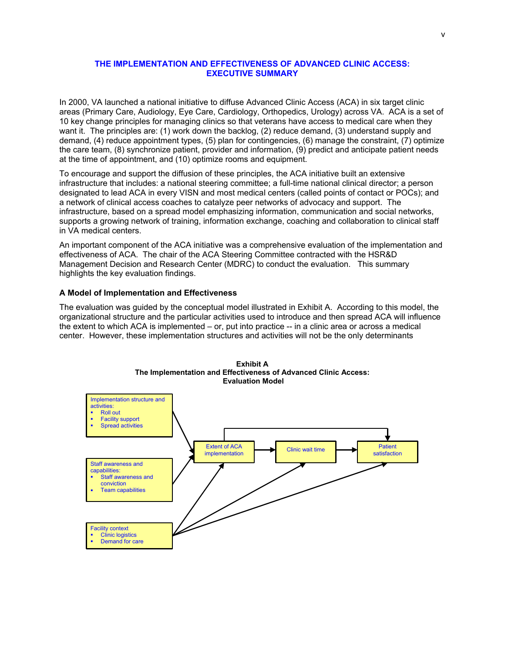# <span id="page-6-0"></span>**THE IMPLEMENTATION AND EFFECTIVENESS OF ADVANCED CLINIC ACCESS: EXECUTIVE SUMMARY**

In 2000, VA launched a national initiative to diffuse Advanced Clinic Access (ACA) in six target clinic areas (Primary Care, Audiology, Eye Care, Cardiology, Orthopedics, Urology) across VA. ACA is a set of 10 key change principles for managing clinics so that veterans have access to medical care when they want it. The principles are: (1) work down the backlog, (2) reduce demand, (3) understand supply and demand, (4) reduce appointment types, (5) plan for contingencies, (6) manage the constraint, (7) optimize the care team, (8) synchronize patient, provider and information, (9) predict and anticipate patient needs at the time of appointment, and (10) optimize rooms and equipment.

To encourage and support the diffusion of these principles, the ACA initiative built an extensive infrastructure that includes: a national steering committee; a full-time national clinical director; a person designated to lead ACA in every VISN and most medical centers (called points of contact or POCs); and a network of clinical access coaches to catalyze peer networks of advocacy and support. The infrastructure, based on a spread model emphasizing information, communication and social networks, supports a growing network of training, information exchange, coaching and collaboration to clinical staff in VA medical centers.

An important component of the ACA initiative was a comprehensive evaluation of the implementation and effectiveness of ACA. The chair of the ACA Steering Committee contracted with the HSR&D Management Decision and Research Center (MDRC) to conduct the evaluation. This summary highlights the key evaluation findings.

# **A Model of Implementation and Effectiveness**

The evaluation was guided by the conceptual model illustrated in Exhibit A. According to this model, the organizational structure and the particular activities used to introduce and then spread ACA will influence the extent to which ACA is implemented – or, put into practice -- in a clinic area or across a medical center. However, these implementation structures and activities will not be the only determinants



**Exhibit A The Implementation and Effectiveness of Advanced Clinic Access: Evaluation Model**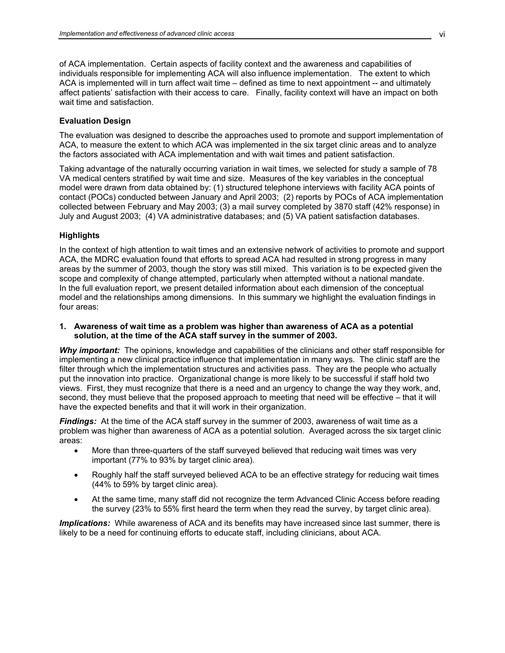of ACA implementation. Certain aspects of facility context and the awareness and capabilities of individuals responsible for implementing ACA will also influence implementation. The extent to which ACA is implemented will in turn affect wait time – defined as time to next appointment -- and ultimately affect patients' satisfaction with their access to care. Finally, facility context will have an impact on both wait time and satisfaction.

#### **Evaluation Design**

The evaluation was designed to describe the approaches used to promote and support implementation of ACA, to measure the extent to which ACA was implemented in the six target clinic areas and to analyze the factors associated with ACA implementation and with wait times and patient satisfaction.

Taking advantage of the naturally occurring variation in wait times, we selected for study a sample of 78 VA medical centers stratified by wait time and size. Measures of the key variables in the conceptual model were drawn from data obtained by: (1) structured telephone interviews with facility ACA points of contact (POCs) conducted between January and April 2003; (2) reports by POCs of ACA implementation collected between February and May 2003; (3) a mail survey completed by 3870 staff (42% response) in July and August 2003; (4) VA administrative databases; and (5) VA patient satisfaction databases.

#### **Highlights**

In the context of high attention to wait times and an extensive network of activities to promote and support ACA, the MDRC evaluation found that efforts to spread ACA had resulted in strong progress in many areas by the summer of 2003, though the story was still mixed. This variation is to be expected given the scope and complexity of change attempted, particularly when attempted without a national mandate. In the full evaluation report, we present detailed information about each dimension of the conceptual model and the relationships among dimensions. In this summary we highlight the evaluation findings in four areas:

# **1. Awareness of wait time as a problem was higher than awareness of ACA as a potential solution, at the time of the ACA staff survey in the summer of 2003.**

*Why important:* The opinions, knowledge and capabilities of the clinicians and other staff responsible for implementing a new clinical practice influence that implementation in many ways. The clinic staff are the filter through which the implementation structures and activities pass. They are the people who actually put the innovation into practice. Organizational change is more likely to be successful if staff hold two views. First, they must recognize that there is a need and an urgency to change the way they work, and, second, they must believe that the proposed approach to meeting that need will be effective – that it will have the expected benefits and that it will work in their organization.

*Findings:* At the time of the ACA staff survey in the summer of 2003, awareness of wait time as a problem was higher than awareness of ACA as a potential solution. Averaged across the six target clinic areas:

- More than three-quarters of the staff surveyed believed that reducing wait times was very important (77% to 93% by target clinic area).
- Roughly half the staff surveyed believed ACA to be an effective strategy for reducing wait times (44% to 59% by target clinic area).
- At the same time, many staff did not recognize the term Advanced Clinic Access before reading the survey (23% to 55% first heard the term when they read the survey, by target clinic area).

*Implications:* While awareness of ACA and its benefits may have increased since last summer, there is likely to be a need for continuing efforts to educate staff, including clinicians, about ACA.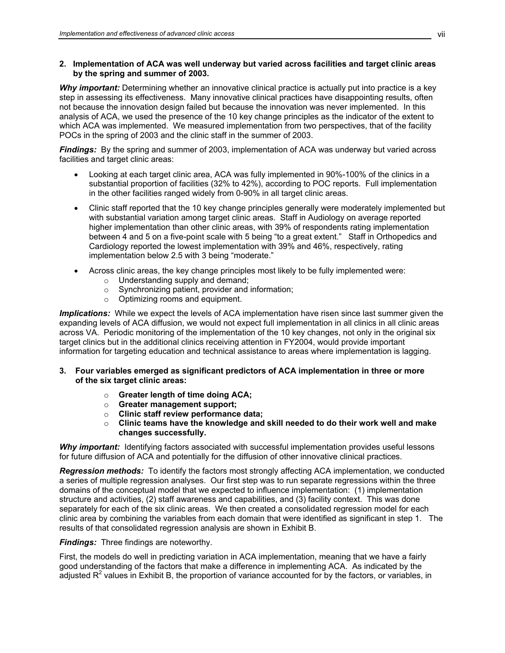# **2. Implementation of ACA was well underway but varied across facilities and target clinic areas by the spring and summer of 2003.**

*Why important:* Determining whether an innovative clinical practice is actually put into practice is a key step in assessing its effectiveness. Many innovative clinical practices have disappointing results, often not because the innovation design failed but because the innovation was never implemented. In this analysis of ACA, we used the presence of the 10 key change principles as the indicator of the extent to which ACA was implemented. We measured implementation from two perspectives, that of the facility POCs in the spring of 2003 and the clinic staff in the summer of 2003.

**Findings:** By the spring and summer of 2003, implementation of ACA was underway but varied across facilities and target clinic areas:

- Looking at each target clinic area, ACA was fully implemented in 90%-100% of the clinics in a substantial proportion of facilities (32% to 42%), according to POC reports. Full implementation in the other facilities ranged widely from 0-90% in all target clinic areas.
- Clinic staff reported that the 10 key change principles generally were moderately implemented but with substantial variation among target clinic areas. Staff in Audiology on average reported higher implementation than other clinic areas, with 39% of respondents rating implementation between 4 and 5 on a five-point scale with 5 being "to a great extent." Staff in Orthopedics and Cardiology reported the lowest implementation with 39% and 46%, respectively, rating implementation below 2.5 with 3 being "moderate."
- Across clinic areas, the key change principles most likely to be fully implemented were:
	- o Understanding supply and demand;
	- o Synchronizing patient, provider and information;
	- o Optimizing rooms and equipment.

*Implications:* While we expect the levels of ACA implementation have risen since last summer given the expanding levels of ACA diffusion, we would not expect full implementation in all clinics in all clinic areas across VA. Periodic monitoring of the implementation of the 10 key changes, not only in the original six target clinics but in the additional clinics receiving attention in FY2004, would provide important information for targeting education and technical assistance to areas where implementation is lagging.

# **3. Four variables emerged as significant predictors of ACA implementation in three or more of the six target clinic areas:**

- o **Greater length of time doing ACA;**
- o **Greater management support;**
- o **Clinic staff review performance data;**
- o **Clinic teams have the knowledge and skill needed to do their work well and make changes successfully.**

**Why important:** Identifying factors associated with successful implementation provides useful lessons for future diffusion of ACA and potentially for the diffusion of other innovative clinical practices.

*Regression methods:* To identify the factors most strongly affecting ACA implementation, we conducted a series of multiple regression analyses. Our first step was to run separate regressions within the three domains of the conceptual model that we expected to influence implementation: (1) implementation structure and activities, (2) staff awareness and capabilities, and (3) facility context. This was done separately for each of the six clinic areas. We then created a consolidated regression model for each clinic area by combining the variables from each domain that were identified as significant in step 1. The results of that consolidated regression analysis are shown in Exhibit B.

# *Findings:* Three findings are noteworthy.

First, the models do well in predicting variation in ACA implementation, meaning that we have a fairly good understanding of the factors that make a difference in implementing ACA. As indicated by the adjusted R<sup>2</sup> values in Exhibit B, the proportion of variance accounted for by the factors, or variables, in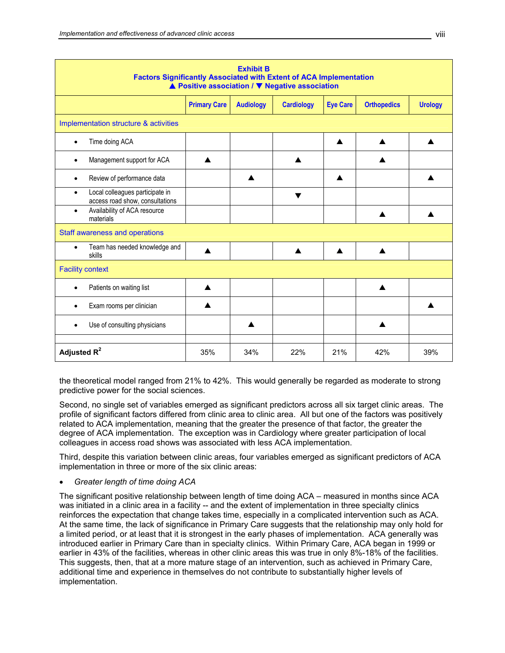| <b>Exhibit B</b><br><b>Factors Significantly Associated with Extent of ACA Implementation</b><br>▲ Positive association / ▼ Negative association |     |     |     |     |     |     |  |  |
|--------------------------------------------------------------------------------------------------------------------------------------------------|-----|-----|-----|-----|-----|-----|--|--|
| <b>Primary Care</b><br><b>Audiology</b><br><b>Cardiology</b><br><b>Eye Care</b><br><b>Orthopedics</b><br><b>Urology</b>                          |     |     |     |     |     |     |  |  |
| Implementation structure & activities                                                                                                            |     |     |     |     |     |     |  |  |
| Time doing ACA                                                                                                                                   |     |     |     | ▲   |     |     |  |  |
| Management support for ACA<br>٠                                                                                                                  | ▲   |     | ▲   |     | ▲   |     |  |  |
| Review of performance data<br>$\bullet$                                                                                                          |     |     |     | ▲   |     |     |  |  |
| Local colleagues participate in<br>$\bullet$<br>access road show, consultations                                                                  |     |     | ▼   |     |     |     |  |  |
| Availability of ACA resource<br>$\bullet$<br>materials                                                                                           |     |     |     |     |     |     |  |  |
| Staff awareness and operations                                                                                                                   |     |     |     |     |     |     |  |  |
| Team has needed knowledge and<br>$\bullet$<br>skills                                                                                             |     |     |     |     |     |     |  |  |
| <b>Facility context</b>                                                                                                                          |     |     |     |     |     |     |  |  |
| Patients on waiting list<br>$\bullet$                                                                                                            |     |     |     |     |     |     |  |  |
| Exam rooms per clinician                                                                                                                         | ▲   |     |     |     |     |     |  |  |
| Use of consulting physicians<br>٠                                                                                                                |     |     |     |     |     |     |  |  |
| Adjusted $R^2$                                                                                                                                   | 35% | 34% | 22% | 21% | 42% | 39% |  |  |

the theoretical model ranged from 21% to 42%. This would generally be regarded as moderate to strong predictive power for the social sciences.

Second, no single set of variables emerged as significant predictors across all six target clinic areas. The profile of significant factors differed from clinic area to clinic area. All but one of the factors was positively related to ACA implementation, meaning that the greater the presence of that factor, the greater the degree of ACA implementation. The exception was in Cardiology where greater participation of local colleagues in access road shows was associated with less ACA implementation.

Third, despite this variation between clinic areas, four variables emerged as significant predictors of ACA implementation in three or more of the six clinic areas:

• *Greater length of time doing ACA*

The significant positive relationship between length of time doing ACA – measured in months since ACA was initiated in a clinic area in a facility -- and the extent of implementation in three specialty clinics reinforces the expectation that change takes time, especially in a complicated intervention such as ACA. At the same time, the lack of significance in Primary Care suggests that the relationship may only hold for a limited period, or at least that it is strongest in the early phases of implementation. ACA generally was introduced earlier in Primary Care than in specialty clinics. Within Primary Care, ACA began in 1999 or earlier in 43% of the facilities, whereas in other clinic areas this was true in only 8%-18% of the facilities. This suggests, then, that at a more mature stage of an intervention, such as achieved in Primary Care, additional time and experience in themselves do not contribute to substantially higher levels of implementation.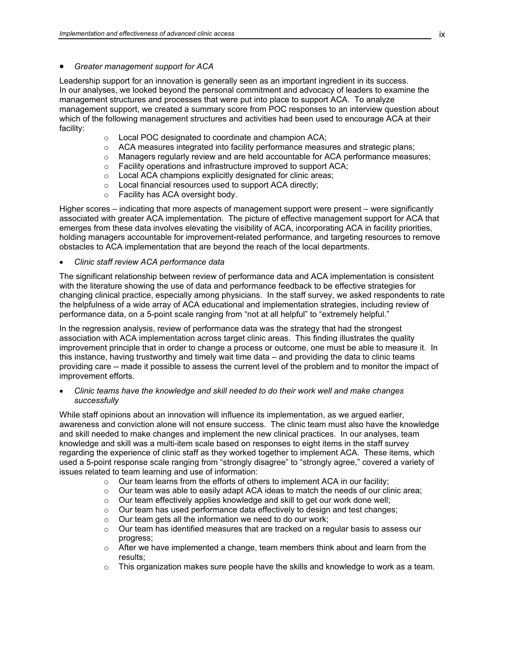#### • *Greater management support for ACA*

Leadership support for an innovation is generally seen as an important ingredient in its success. In our analyses, we looked beyond the personal commitment and advocacy of leaders to examine the management structures and processes that were put into place to support ACA. To analyze management support, we created a summary score from POC responses to an interview question about which of the following management structures and activities had been used to encourage ACA at their facility:

- o Local POC designated to coordinate and champion ACA;
- $\circ$  ACA measures integrated into facility performance measures and strategic plans;
- $\circ$  Managers regularly review and are held accountable for ACA performance measures;
- o Facility operations and infrastructure improved to support ACA;
- o Local ACA champions explicitly designated for clinic areas;
- o Local financial resources used to support ACA directly;
- o Facility has ACA oversight body.

Higher scores – indicating that more aspects of management support were present – were significantly associated with greater ACA implementation. The picture of effective management support for ACA that emerges from these data involves elevating the visibility of ACA, incorporating ACA in facility priorities, holding managers accountable for improvement-related performance, and targeting resources to remove obstacles to ACA implementation that are beyond the reach of the local departments.

• *Clinic staff review ACA performance data*

The significant relationship between review of performance data and ACA implementation is consistent with the literature showing the use of data and performance feedback to be effective strategies for changing clinical practice, especially among physicians. In the staff survey, we asked respondents to rate the helpfulness of a wide array of ACA educational and implementation strategies, including review of performance data, on a 5-point scale ranging from "not at all helpful" to "extremely helpful."

In the regression analysis, review of performance data was the strategy that had the strongest association with ACA implementation across target clinic areas. This finding illustrates the quality improvement principle that in order to change a process or outcome, one must be able to measure it. In this instance, having trustworthy and timely wait time data – and providing the data to clinic teams providing care -- made it possible to assess the current level of the problem and to monitor the impact of improvement efforts.

• *Clinic teams have the knowledge and skill needed to do their work well and make changes successfully*

While staff opinions about an innovation will influence its implementation, as we argued earlier, awareness and conviction alone will not ensure success. The clinic team must also have the knowledge and skill needed to make changes and implement the new clinical practices. In our analyses, team knowledge and skill was a multi-item scale based on responses to eight items in the staff survey regarding the experience of clinic staff as they worked together to implement ACA. These items, which used a 5-point response scale ranging from "strongly disagree" to "strongly agree," covered a variety of issues related to team learning and use of information:

- $\circ$  Our team learns from the efforts of others to implement ACA in our facility;<br> $\circ$  Our team was able to easily adapt ACA ideas to match the needs of our cli
- Our team was able to easily adapt ACA ideas to match the needs of our clinic area;
- $\circ$  Our team effectively applies knowledge and skill to get our work done well;
- $\circ$  Our team has used performance data effectively to design and test changes;
- $\circ$  Our team gets all the information we need to do our work;
- $\circ$  Our team has identified measures that are tracked on a regular basis to assess our progress;
- $\circ$  After we have implemented a change, team members think about and learn from the results;
- $\circ$  This organization makes sure people have the skills and knowledge to work as a team.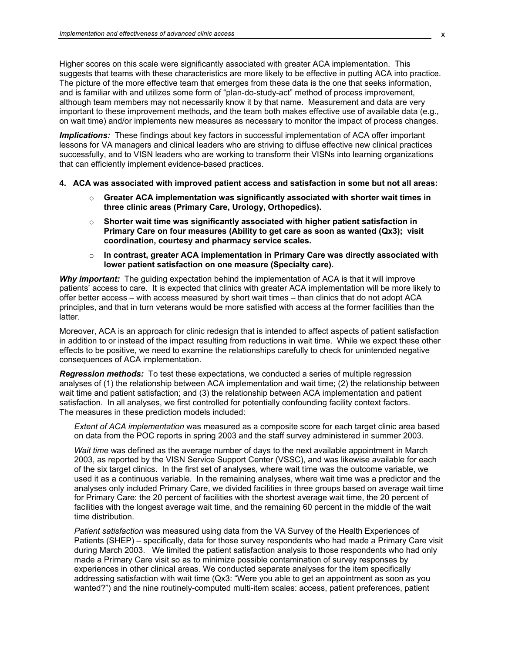Higher scores on this scale were significantly associated with greater ACA implementation. This suggests that teams with these characteristics are more likely to be effective in putting ACA into practice. The picture of the more effective team that emerges from these data is the one that seeks information, and is familiar with and utilizes some form of "plan-do-study-act" method of process improvement, although team members may not necessarily know it by that name. Measurement and data are very important to these improvement methods, and the team both makes effective use of available data (e.g., on wait time) and/or implements new measures as necessary to monitor the impact of process changes.

*Implications:* These findings about key factors in successful implementation of ACA offer important lessons for VA managers and clinical leaders who are striving to diffuse effective new clinical practices successfully, and to VISN leaders who are working to transform their VISNs into learning organizations that can efficiently implement evidence-based practices.

- **4. ACA was associated with improved patient access and satisfaction in some but not all areas:** 
	- o **Greater ACA implementation was significantly associated with shorter wait times in three clinic areas (Primary Care, Urology, Orthopedics).**
	- o **Shorter wait time was significantly associated with higher patient satisfaction in Primary Care on four measures (Ability to get care as soon as wanted (Qx3); visit coordination, courtesy and pharmacy service scales.**
	- o **In contrast, greater ACA implementation in Primary Care was directly associated with lower patient satisfaction on one measure (Specialty care).**

*Why important:* The guiding expectation behind the implementation of ACA is that it will improve patients' access to care. It is expected that clinics with greater ACA implementation will be more likely to offer better access – with access measured by short wait times – than clinics that do not adopt ACA principles, and that in turn veterans would be more satisfied with access at the former facilities than the latter.

Moreover, ACA is an approach for clinic redesign that is intended to affect aspects of patient satisfaction in addition to or instead of the impact resulting from reductions in wait time. While we expect these other effects to be positive, we need to examine the relationships carefully to check for unintended negative consequences of ACA implementation.

*Regression methods:* To test these expectations, we conducted a series of multiple regression analyses of (1) the relationship between ACA implementation and wait time; (2) the relationship between wait time and patient satisfaction; and (3) the relationship between ACA implementation and patient satisfaction. In all analyses, we first controlled for potentially confounding facility context factors. The measures in these prediction models included:

*Extent of ACA implementation* was measured as a composite score for each target clinic area based on data from the POC reports in spring 2003 and the staff survey administered in summer 2003.

*Wait time* was defined as the average number of days to the next available appointment in March 2003, as reported by the VISN Service Support Center (VSSC), and was likewise available for each of the six target clinics. In the first set of analyses, where wait time was the outcome variable, we used it as a continuous variable. In the remaining analyses, where wait time was a predictor and the analyses only included Primary Care, we divided facilities in three groups based on average wait time for Primary Care: the 20 percent of facilities with the shortest average wait time, the 20 percent of facilities with the longest average wait time, and the remaining 60 percent in the middle of the wait time distribution.

*Patient satisfaction* was measured using data from the VA Survey of the Health Experiences of Patients (SHEP) – specifically, data for those survey respondents who had made a Primary Care visit during March 2003. We limited the patient satisfaction analysis to those respondents who had only made a Primary Care visit so as to minimize possible contamination of survey responses by experiences in other clinical areas. We conducted separate analyses for the item specifically addressing satisfaction with wait time (Qx3: "Were you able to get an appointment as soon as you wanted?") and the nine routinely-computed multi-item scales: access, patient preferences, patient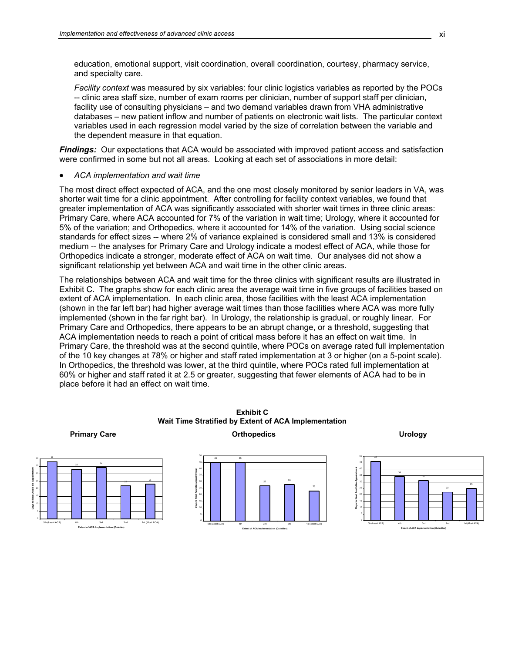education, emotional support, visit coordination, overall coordination, courtesy, pharmacy service, and specialty care.

*Facility context* was measured by six variables: four clinic logistics variables as reported by the POCs -- clinic area staff size, number of exam rooms per clinician, number of support staff per clinician, facility use of consulting physicians – and two demand variables drawn from VHA administrative databases – new patient inflow and number of patients on electronic wait lists. The particular context variables used in each regression model varied by the size of correlation between the variable and the dependent measure in that equation.

**Findings:** Our expectations that ACA would be associated with improved patient access and satisfaction were confirmed in some but not all areas. Looking at each set of associations in more detail:

• *ACA implementation and wait time*

The most direct effect expected of ACA, and the one most closely monitored by senior leaders in VA, was shorter wait time for a clinic appointment. After controlling for facility context variables, we found that greater implementation of ACA was significantly associated with shorter wait times in three clinic areas: Primary Care, where ACA accounted for 7% of the variation in wait time; Urology, where it accounted for 5% of the variation; and Orthopedics, where it accounted for 14% of the variation. Using social science standards for effect sizes -- where 2% of variance explained is considered small and 13% is considered medium -- the analyses for Primary Care and Urology indicate a modest effect of ACA, while those for Orthopedics indicate a stronger, moderate effect of ACA on wait time. Our analyses did not show a significant relationship yet between ACA and wait time in the other clinic areas.

The relationships between ACA and wait time for the three clinics with significant results are illustrated in Exhibit C. The graphs show for each clinic area the average wait time in five groups of facilities based on extent of ACA implementation. In each clinic area, those facilities with the least ACA implementation (shown in the far left bar) had higher average wait times than those facilities where ACA was more fully implemented (shown in the far right bar). In Urology, the relationship is gradual, or roughly linear. For Primary Care and Orthopedics, there appears to be an abrupt change, or a threshold, suggesting that ACA implementation needs to reach a point of critical mass before it has an effect on wait time. In Primary Care, the threshold was at the second quintile, where POCs on average rated full implementation of the 10 key changes at 78% or higher and staff rated implementation at 3 or higher (on a 5-point scale). In Orthopedics, the threshold was lower, at the third quintile, where POCs rated full implementation at 60% or higher and staff rated it at 2.5 or greater, suggesting that fewer elements of ACA had to be in place before it had an effect on wait time.



**Exhibit C Wait Time Stratified by Extent of ACA Implementation**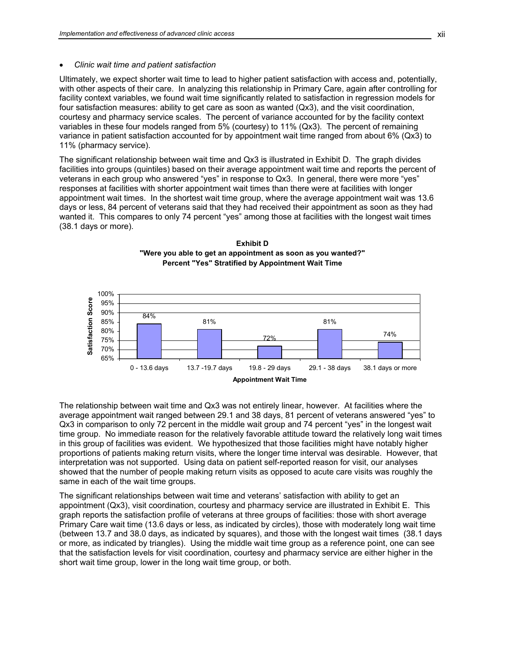#### • *Clinic wait time and patient satisfaction*

Ultimately, we expect shorter wait time to lead to higher patient satisfaction with access and, potentially, with other aspects of their care. In analyzing this relationship in Primary Care, again after controlling for facility context variables, we found wait time significantly related to satisfaction in regression models for four satisfaction measures: ability to get care as soon as wanted (Qx3), and the visit coordination, courtesy and pharmacy service scales. The percent of variance accounted for by the facility context variables in these four models ranged from 5% (courtesy) to 11% (Qx3). The percent of remaining variance in patient satisfaction accounted for by appointment wait time ranged from about 6% (Qx3) to 11% (pharmacy service).

The significant relationship between wait time and Qx3 is illustrated in Exhibit D. The graph divides facilities into groups (quintiles) based on their average appointment wait time and reports the percent of veterans in each group who answered "yes" in response to Qx3. In general, there were more "yes" responses at facilities with shorter appointment wait times than there were at facilities with longer appointment wait times. In the shortest wait time group, where the average appointment wait was 13.6 days or less, 84 percent of veterans said that they had received their appointment as soon as they had wanted it. This compares to only 74 percent "yes" among those at facilities with the longest wait times (38.1 days or more).





The relationship between wait time and Qx3 was not entirely linear, however. At facilities where the average appointment wait ranged between 29.1 and 38 days, 81 percent of veterans answered "yes" to Qx3 in comparison to only 72 percent in the middle wait group and 74 percent "yes" in the longest wait time group. No immediate reason for the relatively favorable attitude toward the relatively long wait times in this group of facilities was evident. We hypothesized that those facilities might have notably higher proportions of patients making return visits, where the longer time interval was desirable. However, that interpretation was not supported. Using data on patient self-reported reason for visit, our analyses showed that the number of people making return visits as opposed to acute care visits was roughly the same in each of the wait time groups.

The significant relationships between wait time and veterans' satisfaction with ability to get an appointment (Qx3), visit coordination, courtesy and pharmacy service are illustrated in Exhibit E. This graph reports the satisfaction profile of veterans at three groups of facilities: those with short average Primary Care wait time (13.6 days or less, as indicated by circles), those with moderately long wait time (between 13.7 and 38.0 days, as indicated by squares), and those with the longest wait times (38.1 days or more, as indicated by triangles). Using the middle wait time group as a reference point, one can see that the satisfaction levels for visit coordination, courtesy and pharmacy service are either higher in the short wait time group, lower in the long wait time group, or both.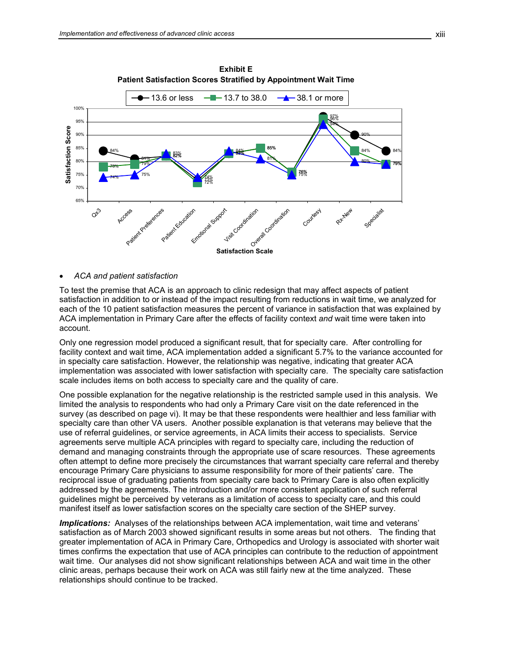

**Exhibit E Patient Satisfaction Scores Stratified by Appointment Wait Time**

• *ACA and patient satisfaction* 

To test the premise that ACA is an approach to clinic redesign that may affect aspects of patient satisfaction in addition to or instead of the impact resulting from reductions in wait time, we analyzed for each of the 10 patient satisfaction measures the percent of variance in satisfaction that was explained by ACA implementation in Primary Care after the effects of facility context *and* wait time were taken into account.

Only one regression model produced a significant result, that for specialty care. After controlling for facility context and wait time, ACA implementation added a significant 5.7% to the variance accounted for in specialty care satisfaction. However, the relationship was negative, indicating that greater ACA implementation was associated with lower satisfaction with specialty care. The specialty care satisfaction scale includes items on both access to specialty care and the quality of care.

One possible explanation for the negative relationship is the restricted sample used in this analysis. We limited the analysis to respondents who had only a Primary Care visit on the date referenced in the survey (as described on page vi). It may be that these respondents were healthier and less familiar with specialty care than other VA users. Another possible explanation is that veterans may believe that the use of referral guidelines, or service agreements, in ACA limits their access to specialists. Service agreements serve multiple ACA principles with regard to specialty care, including the reduction of demand and managing constraints through the appropriate use of scare resources. These agreements often attempt to define more precisely the circumstances that warrant specialty care referral and thereby encourage Primary Care physicians to assume responsibility for more of their patients' care. The reciprocal issue of graduating patients from specialty care back to Primary Care is also often explicitly addressed by the agreements. The introduction and/or more consistent application of such referral guidelines might be perceived by veterans as a limitation of access to specialty care, and this could manifest itself as lower satisfaction scores on the specialty care section of the SHEP survey.

**Implications:** Analyses of the relationships between ACA implementation, wait time and veterans' satisfaction as of March 2003 showed significant results in some areas but not others. The finding that greater implementation of ACA in Primary Care, Orthopedics and Urology is associated with shorter wait times confirms the expectation that use of ACA principles can contribute to the reduction of appointment wait time. Our analyses did not show significant relationships between ACA and wait time in the other clinic areas, perhaps because their work on ACA was still fairly new at the time analyzed. These relationships should continue to be tracked.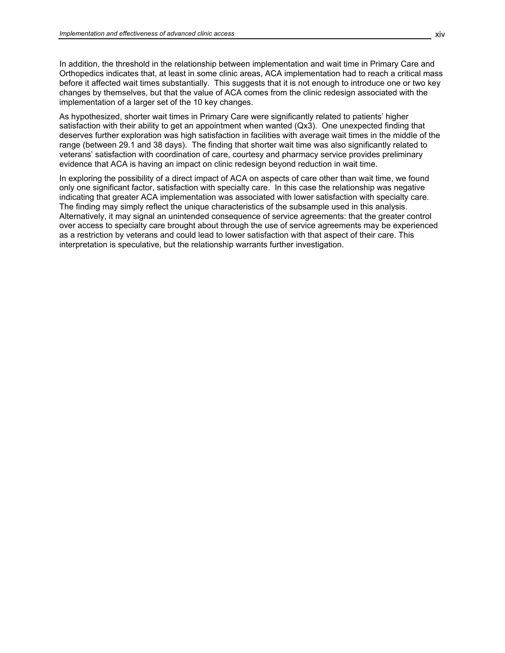In addition, the threshold in the relationship between implementation and wait time in Primary Care and Orthopedics indicates that, at least in some clinic areas, ACA implementation had to reach a critical mass before it affected wait times substantially. This suggests that it is not enough to introduce one or two key changes by themselves, but that the value of ACA comes from the clinic redesign associated with the implementation of a larger set of the 10 key changes.

As hypothesized, shorter wait times in Primary Care were significantly related to patients' higher satisfaction with their ability to get an appointment when wanted (Qx3). One unexpected finding that deserves further exploration was high satisfaction in facilities with average wait times in the middle of the range (between 29.1 and 38 days). The finding that shorter wait time was also significantly related to veterans' satisfaction with coordination of care, courtesy and pharmacy service provides preliminary evidence that ACA is having an impact on clinic redesign beyond reduction in wait time.

In exploring the possibility of a direct impact of ACA on aspects of care other than wait time, we found only one significant factor, satisfaction with specialty care. In this case the relationship was negative indicating that greater ACA implementation was associated with lower satisfaction with specialty care. The finding may simply reflect the unique characteristics of the subsample used in this analysis. Alternatively, it may signal an unintended consequence of service agreements: that the greater control over access to specialty care brought about through the use of service agreements may be experienced as a restriction by veterans and could lead to lower satisfaction with that aspect of their care. This interpretation is speculative, but the relationship warrants further investigation.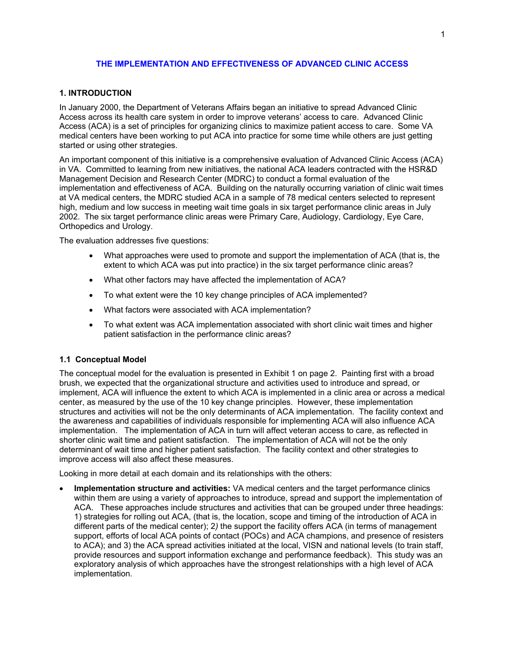# **THE IMPLEMENTATION AND EFFECTIVENESS OF ADVANCED CLINIC ACCESS**

# <span id="page-16-0"></span>**1. INTRODUCTION**

In January 2000, the Department of Veterans Affairs began an initiative to spread Advanced Clinic Access across its health care system in order to improve veterans' access to care. Advanced Clinic Access (ACA) is a set of principles for organizing clinics to maximize patient access to care. Some VA medical centers have been working to put ACA into practice for some time while others are just getting started or using other strategies.

An important component of this initiative is a comprehensive evaluation of Advanced Clinic Access (ACA) in VA. Committed to learning from new initiatives, the national ACA leaders contracted with the HSR&D Management Decision and Research Center (MDRC) to conduct a formal evaluation of the implementation and effectiveness of ACA. Building on the naturally occurring variation of clinic wait times at VA medical centers, the MDRC studied ACA in a sample of 78 medical centers selected to represent high, medium and low success in meeting wait time goals in six target performance clinic areas in July 2002. The six target performance clinic areas were Primary Care, Audiology, Cardiology, Eye Care, Orthopedics and Urology.

The evaluation addresses five questions:

- What approaches were used to promote and support the implementation of ACA (that is, the extent to which ACA was put into practice) in the six target performance clinic areas?
- What other factors may have affected the implementation of ACA?
- To what extent were the 10 key change principles of ACA implemented?
- What factors were associated with ACA implementation?
- To what extent was ACA implementation associated with short clinic wait times and higher patient satisfaction in the performance clinic areas?

# **1.1 Conceptual Model**

The conceptual model for the evaluation is presented in Exhibit 1 on page 2. Painting first with a broad brush, we expected that the organizational structure and activities used to introduce and spread, or implement, ACA will influence the extent to which ACA is implemented in a clinic area or across a medical center, as measured by the use of the 10 key change principles. However, these implementation structures and activities will not be the only determinants of ACA implementation. The facility context and the awareness and capabilities of individuals responsible for implementing ACA will also influence ACA implementation. The implementation of ACA in turn will affect veteran access to care, as reflected in shorter clinic wait time and patient satisfaction. The implementation of ACA will not be the only determinant of wait time and higher patient satisfaction. The facility context and other strategies to improve access will also affect these measures.

Looking in more detail at each domain and its relationships with the others:

• **Implementation structure and activities:** VA medical centers and the target performance clinics within them are using a variety of approaches to introduce, spread and support the implementation of ACA. These approaches include structures and activities that can be grouped under three headings: 1) strategies for rolling out ACA, (that is, the location, scope and timing of the introduction of ACA in different parts of the medical center); 2*)* the support the facility offers ACA (in terms of management support, efforts of local ACA points of contact (POCs) and ACA champions, and presence of resisters to ACA); and 3) the ACA spread activities initiated at the local, VISN and national levels (to train staff, provide resources and support information exchange and performance feedback). This study was an exploratory analysis of which approaches have the strongest relationships with a high level of ACA implementation.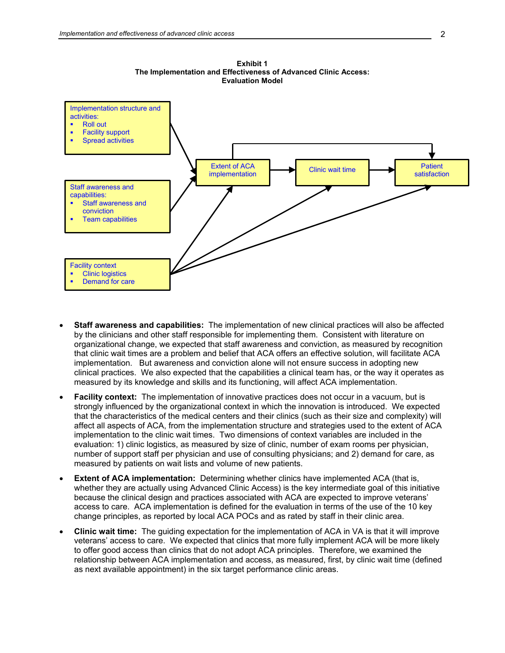

- **Staff awareness and capabilities:** The implementation of new clinical practices will also be affected by the clinicians and other staff responsible for implementing them. Consistent with literature on organizational change, we expected that staff awareness and conviction, as measured by recognition that clinic wait times are a problem and belief that ACA offers an effective solution, will facilitate ACA implementation. But awareness and conviction alone will not ensure success in adopting new clinical practices. We also expected that the capabilities a clinical team has, or the way it operates as measured by its knowledge and skills and its functioning, will affect ACA implementation.
- **Facility context:** The implementation of innovative practices does not occur in a vacuum, but is strongly influenced by the organizational context in which the innovation is introduced. We expected that the characteristics of the medical centers and their clinics (such as their size and complexity) will affect all aspects of ACA, from the implementation structure and strategies used to the extent of ACA implementation to the clinic wait times. Two dimensions of context variables are included in the evaluation: 1) clinic logistics, as measured by size of clinic, number of exam rooms per physician, number of support staff per physician and use of consulting physicians; and 2) demand for care, as measured by patients on wait lists and volume of new patients.
- **Extent of ACA implementation:** Determining whether clinics have implemented ACA (that is, whether they are actually using Advanced Clinic Access) is the key intermediate goal of this initiative because the clinical design and practices associated with ACA are expected to improve veterans' access to care. ACA implementation is defined for the evaluation in terms of the use of the 10 key change principles, as reported by local ACA POCs and as rated by staff in their clinic area.
- **Clinic wait time:** The guiding expectation for the implementation of ACA in VA is that it will improve veterans' access to care. We expected that clinics that more fully implement ACA will be more likely to offer good access than clinics that do not adopt ACA principles. Therefore, we examined the relationship between ACA implementation and access, as measured, first, by clinic wait time (defined as next available appointment) in the six target performance clinic areas.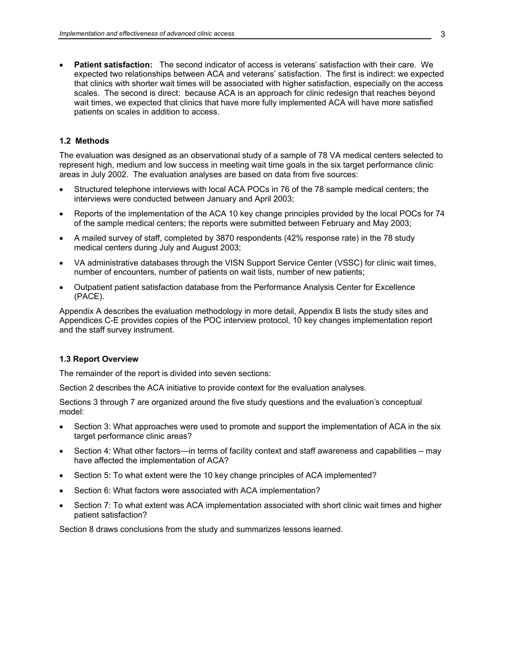<span id="page-18-0"></span>• **Patient satisfaction:** The second indicator of access is veterans' satisfaction with their care. We expected two relationships between ACA and veterans' satisfaction. The first is indirect: we expected that clinics with shorter wait times will be associated with higher satisfaction, especially on the access scales. The second is direct: because ACA is an approach for clinic redesign that reaches beyond wait times, we expected that clinics that have more fully implemented ACA will have more satisfied patients on scales in addition to access.

#### **1.2 Methods**

The evaluation was designed as an observational study of a sample of 78 VA medical centers selected to represent high, medium and low success in meeting wait time goals in the six target performance clinic areas in July 2002. The evaluation analyses are based on data from five sources:

- Structured telephone interviews with local ACA POCs in 76 of the 78 sample medical centers; the interviews were conducted between January and April 2003;
- Reports of the implementation of the ACA 10 key change principles provided by the local POCs for 74 of the sample medical centers; the reports were submitted between February and May 2003;
- A mailed survey of staff, completed by 3870 respondents (42% response rate) in the 78 study medical centers during July and August 2003;
- VA administrative databases through the VISN Support Service Center (VSSC) for clinic wait times, number of encounters, number of patients on wait lists, number of new patients;
- Outpatient patient satisfaction database from the Performance Analysis Center for Excellence (PACE).

Appendix A describes the evaluation methodology in more detail, Appendix B lists the study sites and Appendices C-E provides copies of the POC interview protocol, 10 key changes implementation report and the staff survey instrument.

# **1.3 Report Overview**

The remainder of the report is divided into seven sections:

Section 2 describes the ACA initiative to provide context for the evaluation analyses.

Sections 3 through 7 are organized around the five study questions and the evaluation's conceptual model:

- Section 3: What approaches were used to promote and support the implementation of ACA in the six target performance clinic areas?
- Section 4: What other factors—in terms of facility context and staff awareness and capabilities may have affected the implementation of ACA?
- Section 5: To what extent were the 10 key change principles of ACA implemented?
- Section 6: What factors were associated with ACA implementation?
- Section 7: To what extent was ACA implementation associated with short clinic wait times and higher patient satisfaction?

Section 8 draws conclusions from the study and summarizes lessons learned.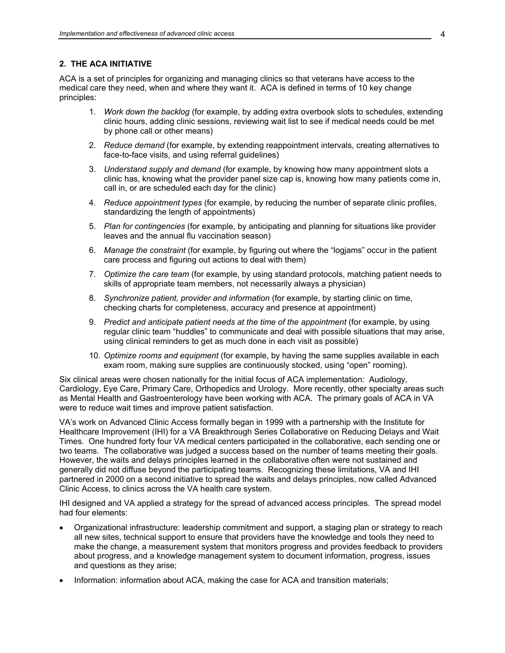# <span id="page-19-0"></span>**2. THE ACA INITIATIVE**

ACA is a set of principles for organizing and managing clinics so that veterans have access to the medical care they need, when and where they want it. ACA is defined in terms of 10 key change principles:

- 1. *Work down the backlog* (for example, by adding extra overbook slots to schedules, extending clinic hours, adding clinic sessions, reviewing wait list to see if medical needs could be met by phone call or other means)
- 2. *Reduce demand* (for example, by extending reappointment intervals, creating alternatives to face-to-face visits, and using referral guidelines)
- 3. *Understand supply and demand* (for example, by knowing how many appointment slots a clinic has, knowing what the provider panel size cap is, knowing how many patients come in, call in, or are scheduled each day for the clinic)
- 4. *Reduce appointment types* (for example, by reducing the number of separate clinic profiles, standardizing the length of appointments)
- 5. *Plan for contingencies* (for example, by anticipating and planning for situations like provider leaves and the annual flu vaccination season)
- 6. *Manage the constraint* (for example, by figuring out where the "logjams" occur in the patient care process and figuring out actions to deal with them)
- 7. *Optimize the care team* (for example, by using standard protocols, matching patient needs to skills of appropriate team members, not necessarily always a physician)
- 8. *Synchronize patient, provider and information* (for example, by starting clinic on time, checking charts for completeness, accuracy and presence at appointment)
- 9. *Predict and anticipate patient needs at the time of the appointment* (for example, by using regular clinic team "huddles" to communicate and deal with possible situations that may arise, using clinical reminders to get as much done in each visit as possible)
- 10. *Optimize rooms and equipment* (for example, by having the same supplies available in each exam room, making sure supplies are continuously stocked, using "open" rooming).

Six clinical areas were chosen nationally for the initial focus of ACA implementation: Audiology, Cardiology, Eye Care, Primary Care, Orthopedics and Urology. More recently, other specialty areas such as Mental Health and Gastroenterology have been working with ACA. The primary goals of ACA in VA were to reduce wait times and improve patient satisfaction.

VA's work on Advanced Clinic Access formally began in 1999 with a partnership with the Institute for Healthcare Improvement (IHI) for a VA Breakthrough Series Collaborative on Reducing Delays and Wait Times. One hundred forty four VA medical centers participated in the collaborative, each sending one or two teams. The collaborative was judged a success based on the number of teams meeting their goals. However, the waits and delays principles learned in the collaborative often were not sustained and generally did not diffuse beyond the participating teams. Recognizing these limitations, VA and IHI partnered in 2000 on a second initiative to spread the waits and delays principles, now called Advanced Clinic Access, to clinics across the VA health care system.

IHI designed and VA applied a strategy for the spread of advanced access principles. The spread model had four elements:

- Organizational infrastructure: leadership commitment and support, a staging plan or strategy to reach all new sites, technical support to ensure that providers have the knowledge and tools they need to make the change, a measurement system that monitors progress and provides feedback to providers about progress, and a knowledge management system to document information, progress, issues and questions as they arise;
- Information: information about ACA, making the case for ACA and transition materials;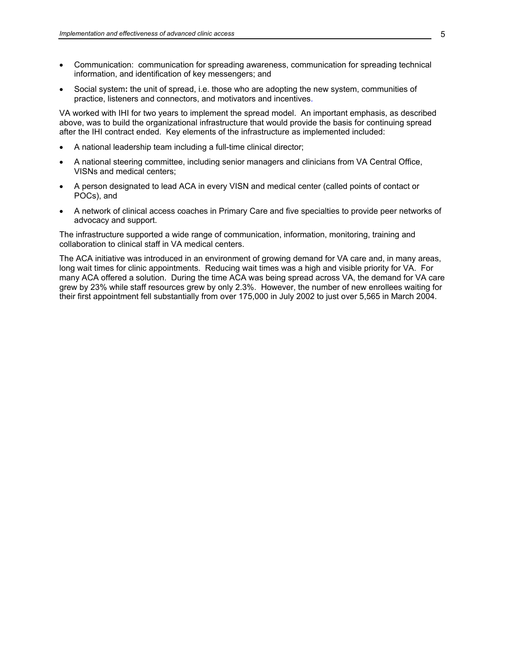- Communication: communication for spreading awareness, communication for spreading technical information, and identification of key messengers; and
- Social system**:** the unit of spread, i.e. those who are adopting the new system, communities of practice, listeners and connectors, and motivators and incentives.

VA worked with IHI for two years to implement the spread model. An important emphasis, as described above, was to build the organizational infrastructure that would provide the basis for continuing spread after the IHI contract ended. Key elements of the infrastructure as implemented included:

- A national leadership team including a full-time clinical director;
- A national steering committee, including senior managers and clinicians from VA Central Office, VISNs and medical centers;
- A person designated to lead ACA in every VISN and medical center (called points of contact or POCs), and
- A network of clinical access coaches in Primary Care and five specialties to provide peer networks of advocacy and support.

The infrastructure supported a wide range of communication, information, monitoring, training and collaboration to clinical staff in VA medical centers.

The ACA initiative was introduced in an environment of growing demand for VA care and, in many areas, long wait times for clinic appointments. Reducing wait times was a high and visible priority for VA. For many ACA offered a solution. During the time ACA was being spread across VA, the demand for VA care grew by 23% while staff resources grew by only 2.3%. However, the number of new enrollees waiting for their first appointment fell substantially from over 175,000 in July 2002 to just over 5,565 in March 2004.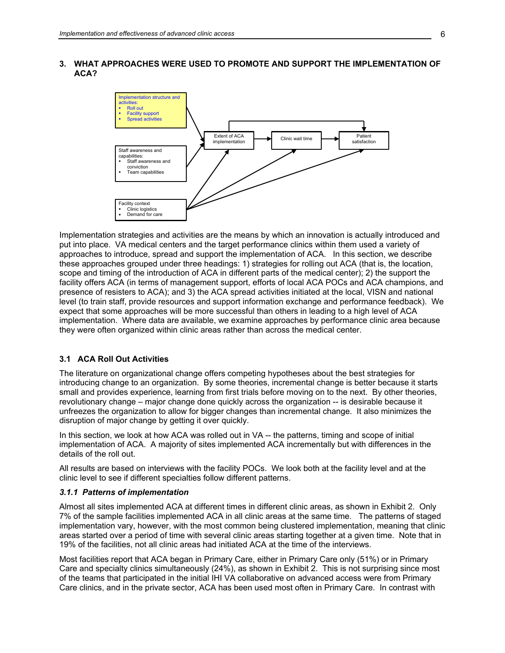<span id="page-21-0"></span>**3. WHAT APPROACHES WERE USED TO PROMOTE AND SUPPORT THE IMPLEMENTATION OF ACA?** 



Implementation strategies and activities are the means by which an innovation is actually introduced and put into place. VA medical centers and the target performance clinics within them used a variety of approaches to introduce, spread and support the implementation of ACA. In this section, we describe these approaches grouped under three headings: 1) strategies for rolling out ACA (that is, the location, scope and timing of the introduction of ACA in different parts of the medical center); 2) the support the facility offers ACA (in terms of management support, efforts of local ACA POCs and ACA champions, and presence of resisters to ACA); and 3) the ACA spread activities initiated at the local, VISN and national level (to train staff, provide resources and support information exchange and performance feedback). We expect that some approaches will be more successful than others in leading to a high level of ACA implementation. Where data are available, we examine approaches by performance clinic area because they were often organized within clinic areas rather than across the medical center.

#### **3.1 ACA Roll Out Activities**

The literature on organizational change offers competing hypotheses about the best strategies for introducing change to an organization. By some theories, incremental change is better because it starts small and provides experience, learning from first trials before moving on to the next. By other theories, revolutionary change – major change done quickly across the organization -- is desirable because it unfreezes the organization to allow for bigger changes than incremental change. It also minimizes the disruption of major change by getting it over quickly.

In this section, we look at how ACA was rolled out in VA -- the patterns, timing and scope of initial implementation of ACA. A majority of sites implemented ACA incrementally but with differences in the details of the roll out.

All results are based on interviews with the facility POCs. We look both at the facility level and at the clinic level to see if different specialties follow different patterns.

#### *3.1.1 Patterns of implementation*

Almost all sites implemented ACA at different times in different clinic areas, as shown in Exhibit 2. Only 7% of the sample facilities implemented ACA in all clinic areas at the same time. The patterns of staged implementation vary, however, with the most common being clustered implementation, meaning that clinic areas started over a period of time with several clinic areas starting together at a given time. Note that in 19% of the facilities, not all clinic areas had initiated ACA at the time of the interviews.

Most facilities report that ACA began in Primary Care, either in Primary Care only (51%) or in Primary Care and specialty clinics simultaneously (24%), as shown in Exhibit 2. This is not surprising since most of the teams that participated in the initial IHI VA collaborative on advanced access were from Primary Care clinics, and in the private sector, ACA has been used most often in Primary Care. In contrast with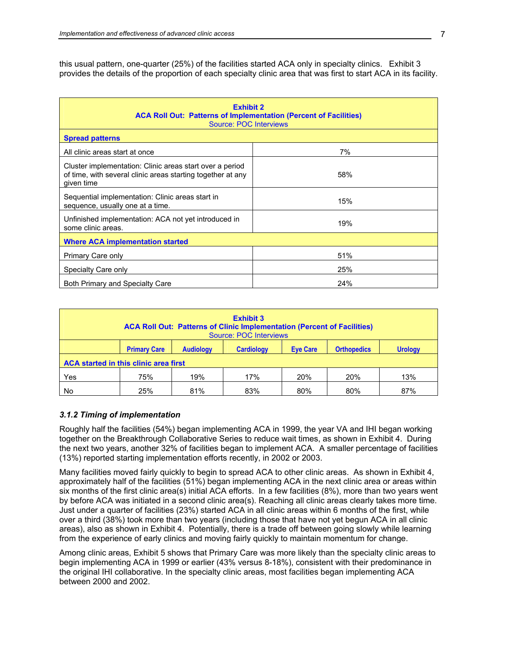this usual pattern, one-quarter (25%) of the facilities started ACA only in specialty clinics. Exhibit 3 provides the details of the proportion of each specialty clinic area that was first to start ACA in its facility.

| <b>Exhibit 2</b><br><b>ACA Roll Out: Patterns of Implementation (Percent of Facilities)</b><br><b>Source: POC Interviews</b>          |     |  |  |  |  |
|---------------------------------------------------------------------------------------------------------------------------------------|-----|--|--|--|--|
| <b>Spread patterns</b>                                                                                                                |     |  |  |  |  |
| All clinic areas start at once                                                                                                        | 7%  |  |  |  |  |
| Cluster implementation: Clinic areas start over a period<br>of time, with several clinic areas starting together at any<br>given time | 58% |  |  |  |  |
| Sequential implementation: Clinic areas start in<br>sequence, usually one at a time.                                                  | 15% |  |  |  |  |
| Unfinished implementation: ACA not yet introduced in<br>19%<br>some clinic areas.                                                     |     |  |  |  |  |
| <b>Where ACA implementation started</b>                                                                                               |     |  |  |  |  |
| 51%<br>Primary Care only                                                                                                              |     |  |  |  |  |
| 25%<br>Specialty Care only                                                                                                            |     |  |  |  |  |
| Both Primary and Specialty Care                                                                                                       | 24% |  |  |  |  |

| <b>Exhibit 3</b><br><b>ACA Roll Out: Patterns of Clinic Implementation (Percent of Facilities)</b><br>Source: POC Interviews |                                                                                                                         |     |     |     |     |     |  |
|------------------------------------------------------------------------------------------------------------------------------|-------------------------------------------------------------------------------------------------------------------------|-----|-----|-----|-----|-----|--|
|                                                                                                                              | <b>Primary Care</b><br><b>Eve Care</b><br><b>Orthopedics</b><br><b>Audiology</b><br><b>Cardiology</b><br><b>Urology</b> |     |     |     |     |     |  |
| ACA started in this clinic area first                                                                                        |                                                                                                                         |     |     |     |     |     |  |
| Yes                                                                                                                          | 75%                                                                                                                     | 19% | 17% | 20% | 20% | 13% |  |
| No.                                                                                                                          | 25%                                                                                                                     | 81% | 83% | 80% | 80% | 87% |  |

# *3.1.2 Timing of implementation*

Roughly half the facilities (54%) began implementing ACA in 1999, the year VA and IHI began working together on the Breakthrough Collaborative Series to reduce wait times, as shown in Exhibit 4. During the next two years, another 32% of facilities began to implement ACA. A smaller percentage of facilities (13%) reported starting implementation efforts recently, in 2002 or 2003.

Many facilities moved fairly quickly to begin to spread ACA to other clinic areas. As shown in Exhibit 4, approximately half of the facilities (51%) began implementing ACA in the next clinic area or areas within six months of the first clinic area(s) initial ACA efforts. In a few facilities (8%), more than two years went by before ACA was initiated in a second clinic area(s). Reaching all clinic areas clearly takes more time. Just under a quarter of facilities (23%) started ACA in all clinic areas within 6 months of the first, while over a third (38%) took more than two years (including those that have not yet begun ACA in all clinic areas), also as shown in Exhibit 4. Potentially, there is a trade off between going slowly while learning from the experience of early clinics and moving fairly quickly to maintain momentum for change.

Among clinic areas, Exhibit 5 shows that Primary Care was more likely than the specialty clinic areas to begin implementing ACA in 1999 or earlier (43% versus 8-18%), consistent with their predominance in the original IHI collaborative. In the specialty clinic areas, most facilities began implementing ACA between 2000 and 2002.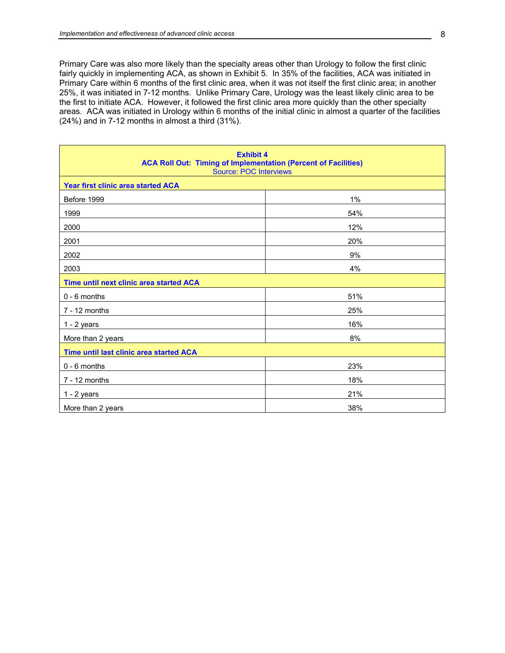Primary Care was also more likely than the specialty areas other than Urology to follow the first clinic fairly quickly in implementing ACA, as shown in Exhibit 5. In 35% of the facilities, ACA was initiated in Primary Care within 6 months of the first clinic area, when it was not itself the first clinic area; in another 25%, it was initiated in 7-12 months. Unlike Primary Care, Urology was the least likely clinic area to be the first to initiate ACA. However, it followed the first clinic area more quickly than the other specialty areas. ACA was initiated in Urology within 6 months of the initial clinic in almost a quarter of the facilities (24%) and in 7-12 months in almost a third (31%).

| <b>Exhibit 4</b><br><b>ACA Roll Out: Timing of Implementation (Percent of Facilities)</b><br><b>Source: POC Interviews</b> |     |  |  |  |
|----------------------------------------------------------------------------------------------------------------------------|-----|--|--|--|
| Year first clinic area started ACA                                                                                         |     |  |  |  |
| Before 1999                                                                                                                | 1%  |  |  |  |
| 1999                                                                                                                       | 54% |  |  |  |
| 2000                                                                                                                       | 12% |  |  |  |
| 2001                                                                                                                       | 20% |  |  |  |
| 2002                                                                                                                       | 9%  |  |  |  |
| 2003                                                                                                                       | 4%  |  |  |  |
| Time until next clinic area started ACA                                                                                    |     |  |  |  |
| $0 - 6$ months                                                                                                             | 51% |  |  |  |
| $7 - 12$ months                                                                                                            | 25% |  |  |  |
| $1 - 2$ years                                                                                                              | 16% |  |  |  |
| More than 2 years                                                                                                          | 8%  |  |  |  |
| Time until last clinic area started ACA                                                                                    |     |  |  |  |
| $0 - 6$ months                                                                                                             | 23% |  |  |  |
| $7 - 12$ months                                                                                                            | 18% |  |  |  |
| $1 - 2$ years                                                                                                              | 21% |  |  |  |
| More than 2 years                                                                                                          | 38% |  |  |  |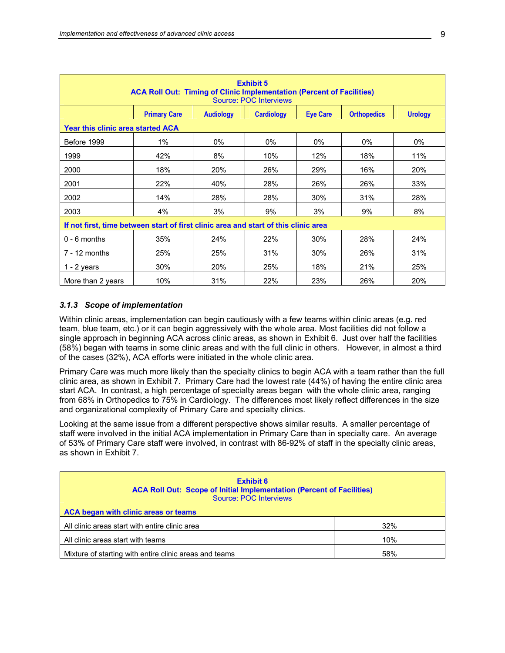| <b>Exhibit 5</b><br><b>ACA Roll Out: Timing of Clinic Implementation (Percent of Facilities)</b><br><b>Source: POC Interviews</b> |                     |                  |                   |                 |                    |                |
|-----------------------------------------------------------------------------------------------------------------------------------|---------------------|------------------|-------------------|-----------------|--------------------|----------------|
|                                                                                                                                   | <b>Primary Care</b> | <b>Audiology</b> | <b>Cardiology</b> | <b>Eye Care</b> | <b>Orthopedics</b> | <b>Urology</b> |
| <b>Year this clinic area started ACA</b>                                                                                          |                     |                  |                   |                 |                    |                |
| Before 1999                                                                                                                       | 1%                  | 0%               | $0\%$             | $0\%$           | $0\%$              | 0%             |
| 1999                                                                                                                              | 42%                 | 8%               | 10%               | 12%             | 18%                | 11%            |
| 2000                                                                                                                              | 18%                 | 20%              | 26%               | 29%             | 16%                | 20%            |
| 2001                                                                                                                              | 22%                 | 40%              | 28%               | 26%             | 26%                | 33%            |
| 2002                                                                                                                              | 14%                 | 28%              | 28%               | 30%             | 31%                | 28%            |
| 2003                                                                                                                              | 4%                  | 3%               | 9%                | 3%              | 9%                 | 8%             |
| If not first, time between start of first clinic area and start of this clinic area                                               |                     |                  |                   |                 |                    |                |
| $0 - 6$ months                                                                                                                    | 35%                 | 24%              | 22%               | 30%             | 28%                | 24%            |
| $7 - 12$ months                                                                                                                   | 25%                 | 25%              | 31%               | 30%             | 26%                | 31%            |
| $1 - 2$ years                                                                                                                     | 30%                 | 20%              | 25%               | 18%             | 21%                | 25%            |
| More than 2 years                                                                                                                 | 10%                 | 31%              | 22%               | 23%             | 26%                | 20%            |

#### *3.1.3 Scope of implementation*

Within clinic areas, implementation can begin cautiously with a few teams within clinic areas (e.g. red team, blue team, etc.) or it can begin aggressively with the whole area. Most facilities did not follow a single approach in beginning ACA across clinic areas, as shown in Exhibit 6. Just over half the facilities (58%) began with teams in some clinic areas and with the full clinic in others. However, in almost a third of the cases (32%), ACA efforts were initiated in the whole clinic area.

Primary Care was much more likely than the specialty clinics to begin ACA with a team rather than the full clinic area, as shown in Exhibit 7. Primary Care had the lowest rate (44%) of having the entire clinic area start ACA. In contrast, a high percentage of specialty areas began with the whole clinic area, ranging from 68% in Orthopedics to 75% in Cardiology. The differences most likely reflect differences in the size and organizational complexity of Primary Care and specialty clinics.

Looking at the same issue from a different perspective shows similar results. A smaller percentage of staff were involved in the initial ACA implementation in Primary Care than in specialty care. An average of 53% of Primary Care staff were involved, in contrast with 86-92% of staff in the specialty clinic areas, as shown in Exhibit 7.

| <b>Exhibit 6</b><br><b>ACA Roll Out: Scope of Initial Implementation (Percent of Facilities)</b><br>Source: POC Interviews |     |  |  |  |
|----------------------------------------------------------------------------------------------------------------------------|-----|--|--|--|
| ACA began with clinic areas or teams                                                                                       |     |  |  |  |
| All clinic areas start with entire clinic area<br>32%                                                                      |     |  |  |  |
| All clinic areas start with teams<br>10%                                                                                   |     |  |  |  |
| Mixture of starting with entire clinic areas and teams                                                                     | 58% |  |  |  |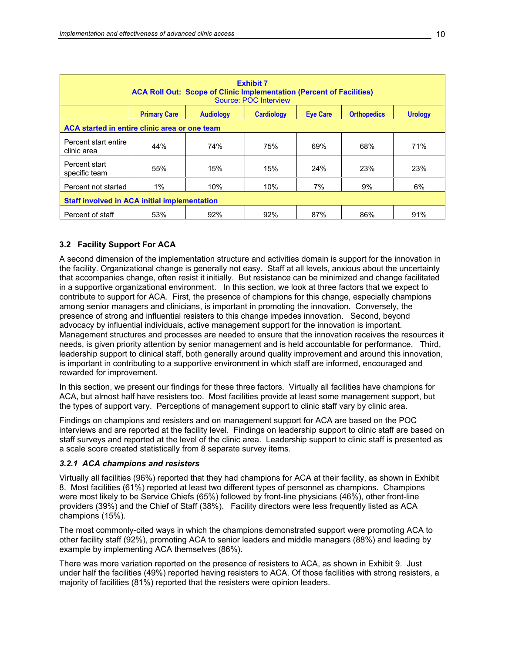<span id="page-25-0"></span>

| <b>Exhibit 7</b><br><b>ACA Roll Out: Scope of Clinic Implementation (Percent of Facilities)</b><br>Source: POC Interview |                     |                  |                   |                 |                    |                |  |
|--------------------------------------------------------------------------------------------------------------------------|---------------------|------------------|-------------------|-----------------|--------------------|----------------|--|
|                                                                                                                          | <b>Primary Care</b> | <b>Audiology</b> | <b>Cardiology</b> | <b>Eve Care</b> | <b>Orthopedics</b> | <b>Urology</b> |  |
| ACA started in entire clinic area or one team                                                                            |                     |                  |                   |                 |                    |                |  |
| Percent start entire<br>clinic area                                                                                      | 44%                 | 74%              | 75%               | 69%             | 68%                | 71%            |  |
| Percent start<br>specific team                                                                                           | 55%                 | 15%              | 15%               | 24%             | 23%                | 23%            |  |
| $1\%$<br>7%<br>9%<br>10%<br>10%<br>Percent not started                                                                   |                     | 6%               |                   |                 |                    |                |  |
| <b>Staff involved in ACA initial implementation</b>                                                                      |                     |                  |                   |                 |                    |                |  |
| Percent of staff                                                                                                         | 53%                 | 92%              | 92%               | 87%             | 86%                | 91%            |  |

# **3.2 Facility Support For ACA**

A second dimension of the implementation structure and activities domain is support for the innovation in the facility. Organizational change is generally not easy. Staff at all levels, anxious about the uncertainty that accompanies change, often resist it initially. But resistance can be minimized and change facilitated in a supportive organizational environment. In this section, we look at three factors that we expect to contribute to support for ACA. First, the presence of champions for this change, especially champions among senior managers and clinicians, is important in promoting the innovation. Conversely, the presence of strong and influential resisters to this change impedes innovation. Second, beyond advocacy by influential individuals, active management support for the innovation is important. Management structures and processes are needed to ensure that the innovation receives the resources it needs, is given priority attention by senior management and is held accountable for performance. Third, leadership support to clinical staff, both generally around quality improvement and around this innovation, is important in contributing to a supportive environment in which staff are informed, encouraged and rewarded for improvement.

In this section, we present our findings for these three factors. Virtually all facilities have champions for ACA, but almost half have resisters too. Most facilities provide at least some management support, but the types of support vary. Perceptions of management support to clinic staff vary by clinic area.

Findings on champions and resisters and on management support for ACA are based on the POC interviews and are reported at the facility level. Findings on leadership support to clinic staff are based on staff surveys and reported at the level of the clinic area. Leadership support to clinic staff is presented as a scale score created statistically from 8 separate survey items.

# *3.2.1 ACA champions and resisters*

Virtually all facilities (96%) reported that they had champions for ACA at their facility, as shown in Exhibit 8. Most facilities (61%) reported at least two different types of personnel as champions. Champions were most likely to be Service Chiefs (65%) followed by front-line physicians (46%), other front-line providers (39%) and the Chief of Staff (38%). Facility directors were less frequently listed as ACA champions (15%).

The most commonly-cited ways in which the champions demonstrated support were promoting ACA to other facility staff (92%), promoting ACA to senior leaders and middle managers (88%) and leading by example by implementing ACA themselves (86%).

There was more variation reported on the presence of resisters to ACA, as shown in Exhibit 9. Just under half the facilities (49%) reported having resisters to ACA. Of those facilities with strong resisters, a majority of facilities (81%) reported that the resisters were opinion leaders.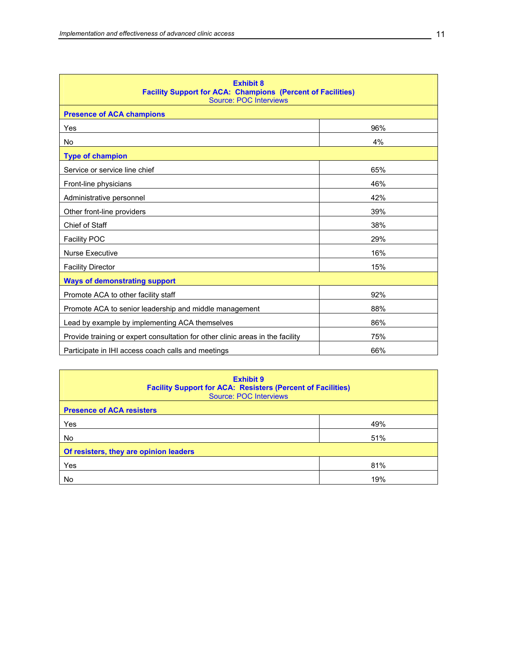| <b>Exhibit 8</b><br><b>Facility Support for ACA: Champions (Percent of Facilities)</b><br><b>Source: POC Interviews</b> |     |  |  |  |
|-------------------------------------------------------------------------------------------------------------------------|-----|--|--|--|
| <b>Presence of ACA champions</b>                                                                                        |     |  |  |  |
| Yes                                                                                                                     | 96% |  |  |  |
| No                                                                                                                      | 4%  |  |  |  |
| <b>Type of champion</b>                                                                                                 |     |  |  |  |
| Service or service line chief                                                                                           | 65% |  |  |  |
| Front-line physicians                                                                                                   | 46% |  |  |  |
| Administrative personnel                                                                                                | 42% |  |  |  |
| Other front-line providers                                                                                              | 39% |  |  |  |
| Chief of Staff                                                                                                          | 38% |  |  |  |
| <b>Facility POC</b>                                                                                                     | 29% |  |  |  |
| <b>Nurse Executive</b>                                                                                                  | 16% |  |  |  |
| <b>Facility Director</b>                                                                                                | 15% |  |  |  |
| <b>Ways of demonstrating support</b>                                                                                    |     |  |  |  |
| Promote ACA to other facility staff                                                                                     | 92% |  |  |  |
| Promote ACA to senior leadership and middle management                                                                  | 88% |  |  |  |
| 86%<br>Lead by example by implementing ACA themselves                                                                   |     |  |  |  |
| Provide training or expert consultation for other clinic areas in the facility<br>75%                                   |     |  |  |  |
| 66%<br>Participate in IHI access coach calls and meetings                                                               |     |  |  |  |

| <b>Exhibit 9</b><br><b>Facility Support for ACA: Resisters (Percent of Facilities)</b><br>Source: POC Interviews |     |  |  |  |
|------------------------------------------------------------------------------------------------------------------|-----|--|--|--|
| <b>Presence of ACA resisters</b>                                                                                 |     |  |  |  |
| Yes                                                                                                              | 49% |  |  |  |
| No.                                                                                                              | 51% |  |  |  |
| Of resisters, they are opinion leaders                                                                           |     |  |  |  |
| Yes                                                                                                              | 81% |  |  |  |
| No                                                                                                               | 19% |  |  |  |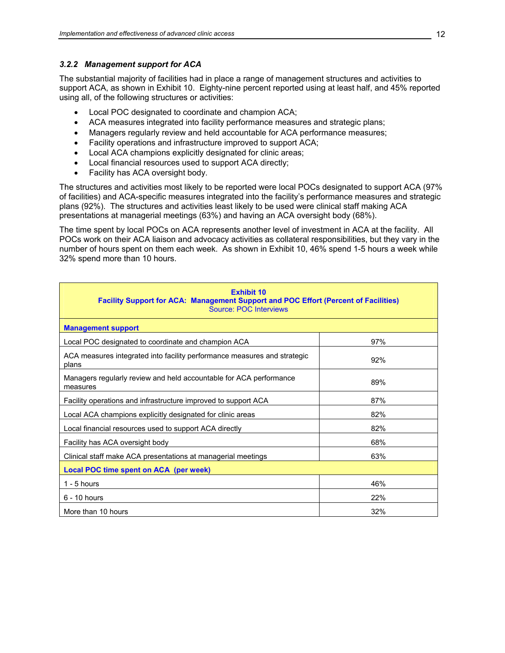#### *3.2.2 Management support for ACA*

The substantial majority of facilities had in place a range of management structures and activities to support ACA, as shown in Exhibit 10. Eighty-nine percent reported using at least half, and 45% reported using all, of the following structures or activities:

- Local POC designated to coordinate and champion ACA;
- ACA measures integrated into facility performance measures and strategic plans;
- Managers regularly review and held accountable for ACA performance measures;
- Facility operations and infrastructure improved to support ACA;
- Local ACA champions explicitly designated for clinic areas;
- Local financial resources used to support ACA directly;
- Facility has ACA oversight body.

The structures and activities most likely to be reported were local POCs designated to support ACA (97% of facilities) and ACA-specific measures integrated into the facility's performance measures and strategic plans (92%). The structures and activities least likely to be used were clinical staff making ACA presentations at managerial meetings (63%) and having an ACA oversight body (68%).

The time spent by local POCs on ACA represents another level of investment in ACA at the facility. All POCs work on their ACA liaison and advocacy activities as collateral responsibilities, but they vary in the number of hours spent on them each week. As shown in Exhibit 10, 46% spend 1-5 hours a week while 32% spend more than 10 hours.

| <b>Exhibit 10</b><br>Facility Support for ACA: Management Support and POC Effort (Percent of Facilities)<br><b>Source: POC Interviews</b> |     |  |  |  |
|-------------------------------------------------------------------------------------------------------------------------------------------|-----|--|--|--|
| <b>Management support</b>                                                                                                                 |     |  |  |  |
| Local POC designated to coordinate and champion ACA                                                                                       | 97% |  |  |  |
| ACA measures integrated into facility performance measures and strategic<br>plans                                                         | 92% |  |  |  |
| Managers regularly review and held accountable for ACA performance<br>measures                                                            | 89% |  |  |  |
| Facility operations and infrastructure improved to support ACA                                                                            | 87% |  |  |  |
| Local ACA champions explicitly designated for clinic areas                                                                                | 82% |  |  |  |
| Local financial resources used to support ACA directly                                                                                    | 82% |  |  |  |
| Facility has ACA oversight body                                                                                                           | 68% |  |  |  |
| Clinical staff make ACA presentations at managerial meetings                                                                              | 63% |  |  |  |
| Local POC time spent on ACA (per week)                                                                                                    |     |  |  |  |
| $1 - 5$ hours                                                                                                                             | 46% |  |  |  |
| 22%<br>$6 - 10$ hours                                                                                                                     |     |  |  |  |
| 32%<br>More than 10 hours                                                                                                                 |     |  |  |  |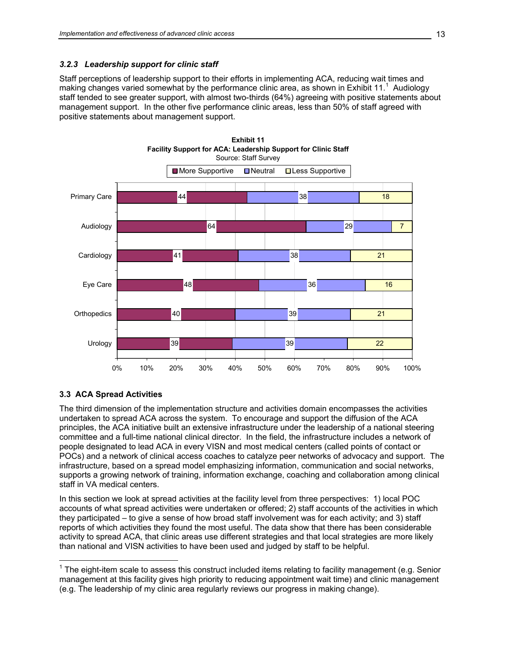# <span id="page-28-0"></span>*3.2.3 Leadership support for clinic staff*

Staff perceptions of leadership support to their efforts in implementing ACA, reducing wait times and making changes varied somewhat by the performance clinic area, as shown in Exhibit 11.<sup>1</sup> Audiology staff tended to see greater support, with almost two-thirds (64%) agreeing with positive statements about management support. In the other five performance clinic areas, less than 50% of staff agreed with positive statements about management support.



# **3.3 ACA Spread Activities**

The third dimension of the implementation structure and activities domain encompasses the activities undertaken to spread ACA across the system. To encourage and support the diffusion of the ACA principles, the ACA initiative built an extensive infrastructure under the leadership of a national steering committee and a full-time national clinical director. In the field, the infrastructure includes a network of people designated to lead ACA in every VISN and most medical centers (called points of contact or POCs) and a network of clinical access coaches to catalyze peer networks of advocacy and support. The infrastructure, based on a spread model emphasizing information, communication and social networks, supports a growing network of training, information exchange, coaching and collaboration among clinical staff in VA medical centers.

In this section we look at spread activities at the facility level from three perspectives: 1) local POC accounts of what spread activities were undertaken or offered; 2) staff accounts of the activities in which they participated – to give a sense of how broad staff involvement was for each activity; and 3) staff reports of which activities they found the most useful. The data show that there has been considerable activity to spread ACA, that clinic areas use different strategies and that local strategies are more likely than national and VISN activities to have been used and judged by staff to be helpful.

 $\overline{a}$  $1$  The eight-item scale to assess this construct included items relating to facility management (e.g. Senior management at this facility gives high priority to reducing appointment wait time) and clinic management (e.g. The leadership of my clinic area regularly reviews our progress in making change).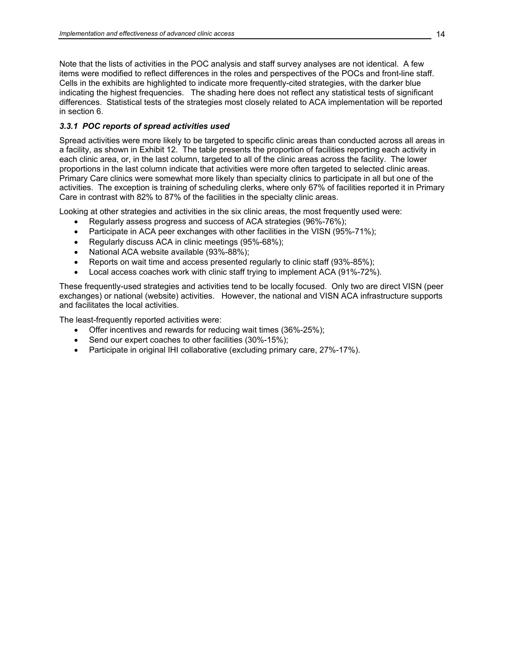Note that the lists of activities in the POC analysis and staff survey analyses are not identical. A few items were modified to reflect differences in the roles and perspectives of the POCs and front-line staff. Cells in the exhibits are highlighted to indicate more frequently-cited strategies, with the darker blue indicating the highest frequencies. The shading here does not reflect any statistical tests of significant differences. Statistical tests of the strategies most closely related to ACA implementation will be reported in section 6.

# *3.3.1 POC reports of spread activities used*

Spread activities were more likely to be targeted to specific clinic areas than conducted across all areas in a facility, as shown in Exhibit 12. The table presents the proportion of facilities reporting each activity in each clinic area, or, in the last column, targeted to all of the clinic areas across the facility. The lower proportions in the last column indicate that activities were more often targeted to selected clinic areas. Primary Care clinics were somewhat more likely than specialty clinics to participate in all but one of the activities. The exception is training of scheduling clerks, where only 67% of facilities reported it in Primary Care in contrast with 82% to 87% of the facilities in the specialty clinic areas.

Looking at other strategies and activities in the six clinic areas, the most frequently used were:

- Regularly assess progress and success of ACA strategies (96%-76%);
- Participate in ACA peer exchanges with other facilities in the VISN (95%-71%);
- Regularly discuss ACA in clinic meetings (95%-68%);
- National ACA website available (93%-88%);
- Reports on wait time and access presented regularly to clinic staff (93%-85%);
- Local access coaches work with clinic staff trying to implement ACA (91%-72%).

These frequently-used strategies and activities tend to be locally focused. Only two are direct VISN (peer exchanges) or national (website) activities. However, the national and VISN ACA infrastructure supports and facilitates the local activities.

The least-frequently reported activities were:

- Offer incentives and rewards for reducing wait times (36%-25%);
- Send our expert coaches to other facilities (30%-15%);
- Participate in original IHI collaborative (excluding primary care, 27%-17%).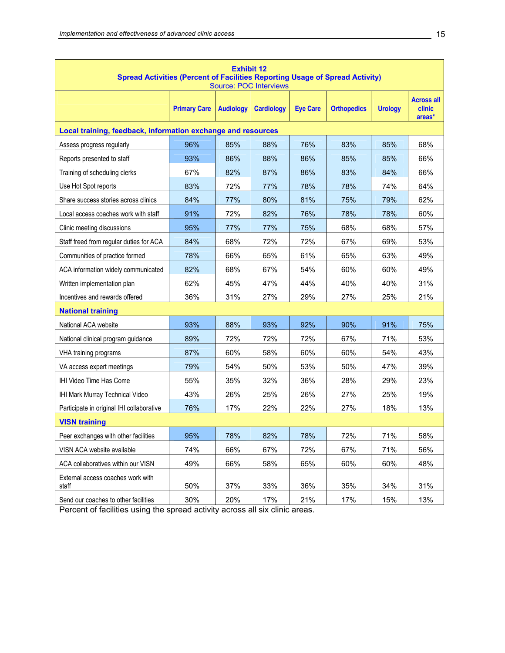| <b>Exhibit 12</b><br><b>Spread Activities (Percent of Facilities Reporting Usage of Spread Activity)</b><br><b>Source: POC Interviews</b> |                     |                  |                   |                 |                    |                |                                       |  |  |
|-------------------------------------------------------------------------------------------------------------------------------------------|---------------------|------------------|-------------------|-----------------|--------------------|----------------|---------------------------------------|--|--|
|                                                                                                                                           | <b>Primary Care</b> | <b>Audiology</b> | <b>Cardiology</b> | <b>Eye Care</b> | <b>Orthopedics</b> | <b>Urology</b> | <b>Across all</b><br>clinic<br>areas* |  |  |
| Local training, feedback, information exchange and resources                                                                              |                     |                  |                   |                 |                    |                |                                       |  |  |
| Assess progress regularly                                                                                                                 | 96%                 | 85%              | 88%               | 76%             | 83%                | 85%            | 68%                                   |  |  |
| Reports presented to staff                                                                                                                | 93%                 | 86%              | 88%               | 86%             | 85%                | 85%            | 66%                                   |  |  |
| Training of scheduling clerks                                                                                                             | 67%                 | 82%              | 87%               | 86%             | 83%                | 84%            | 66%                                   |  |  |
| Use Hot Spot reports                                                                                                                      | 83%                 | 72%              | 77%               | 78%             | 78%                | 74%            | 64%                                   |  |  |
| Share success stories across clinics                                                                                                      | 84%                 | 77%              | 80%               | 81%             | 75%                | 79%            | 62%                                   |  |  |
| Local access coaches work with staff                                                                                                      | 91%                 | 72%              | 82%               | 76%             | 78%                | 78%            | 60%                                   |  |  |
| Clinic meeting discussions                                                                                                                | 95%                 | 77%              | 77%               | 75%             | 68%                | 68%            | 57%                                   |  |  |
| Staff freed from regular duties for ACA                                                                                                   | 84%                 | 68%              | 72%               | 72%             | 67%                | 69%            | 53%                                   |  |  |
| Communities of practice formed                                                                                                            | 78%                 | 66%              | 65%               | 61%             | 65%                | 63%            | 49%                                   |  |  |
| ACA information widely communicated                                                                                                       | 82%                 | 68%              | 67%               | 54%             | 60%                | 60%            | 49%                                   |  |  |
| Written implementation plan                                                                                                               | 62%                 | 45%              | 47%               | 44%             | 40%                | 40%            | 31%                                   |  |  |
| Incentives and rewards offered                                                                                                            | 36%                 | 31%              | 27%               | 29%             | 27%                | 25%            | 21%                                   |  |  |
| <b>National training</b>                                                                                                                  |                     |                  |                   |                 |                    |                |                                       |  |  |
| National ACA website                                                                                                                      | 93%                 | 88%              | 93%               | 92%             | 90%                | 91%            | 75%                                   |  |  |
| National clinical program guidance                                                                                                        | 89%                 | 72%              | 72%               | 72%             | 67%                | 71%            | 53%                                   |  |  |
| VHA training programs                                                                                                                     | 87%                 | 60%              | 58%               | 60%             | 60%                | 54%            | 43%                                   |  |  |
| VA access expert meetings                                                                                                                 | 79%                 | 54%              | 50%               | 53%             | 50%                | 47%            | 39%                                   |  |  |
| IHI Video Time Has Come                                                                                                                   | 55%                 | 35%              | 32%               | 36%             | 28%                | 29%            | 23%                                   |  |  |
| IHI Mark Murray Technical Video                                                                                                           | 43%                 | 26%              | 25%               | 26%             | 27%                | 25%            | 19%                                   |  |  |
| Participate in original IHI collaborative                                                                                                 | 76%                 | 17%              | 22%               | 22%             | 27%                | 18%            | 13%                                   |  |  |
| <b>VISN training</b>                                                                                                                      |                     |                  |                   |                 |                    |                |                                       |  |  |
| Peer exchanges with other facilities                                                                                                      | 95%                 | 78%              | 82%               | 78%             | 72%                | 71%            | 58%                                   |  |  |
| VISN ACA website available                                                                                                                | 74%                 | 66%              | 67%               | 72%             | 67%                | 71%            | 56%                                   |  |  |
| ACA collaboratives within our VISN                                                                                                        | 49%                 | 66%              | 58%               | 65%             | 60%                | 60%            | 48%                                   |  |  |
| External access coaches work with<br>staff                                                                                                | 50%                 | 37%              | 33%               | 36%             | 35%                | 34%            | 31%                                   |  |  |
| Send our coaches to other facilities                                                                                                      | 30%                 | 20%              | 17%               | 21%             | 17%                | 15%            | 13%                                   |  |  |

Percent of facilities using the spread activity across all six clinic areas.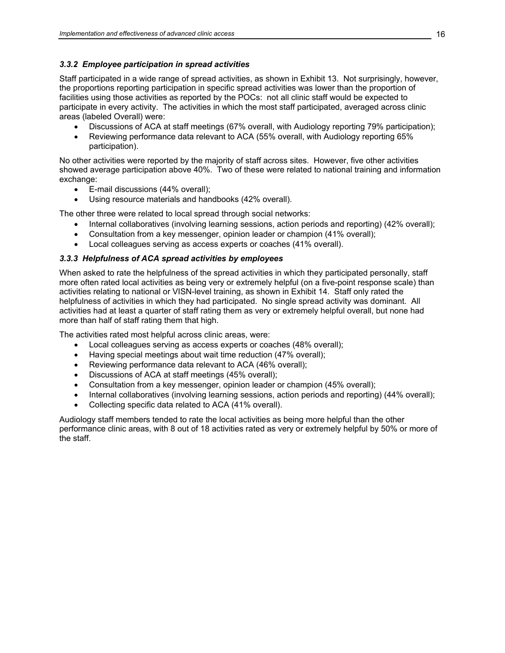# *3.3.2 Employee participation in spread activities*

Staff participated in a wide range of spread activities, as shown in Exhibit 13. Not surprisingly, however, the proportions reporting participation in specific spread activities was lower than the proportion of facilities using those activities as reported by the POCs: not all clinic staff would be expected to participate in every activity. The activities in which the most staff participated, averaged across clinic areas (labeled Overall) were:

- Discussions of ACA at staff meetings (67% overall, with Audiology reporting 79% participation);
- Reviewing performance data relevant to ACA (55% overall, with Audiology reporting 65% participation).

No other activities were reported by the majority of staff across sites. However, five other activities showed average participation above 40%. Two of these were related to national training and information exchange:

- E-mail discussions (44% overall);
- Using resource materials and handbooks (42% overall).

The other three were related to local spread through social networks:

- Internal collaboratives (involving learning sessions, action periods and reporting) (42% overall);
- Consultation from a key messenger, opinion leader or champion (41% overall);
- Local colleagues serving as access experts or coaches (41% overall).

# *3.3.3 Helpfulness of ACA spread activities by employees*

When asked to rate the helpfulness of the spread activities in which they participated personally, staff more often rated local activities as being very or extremely helpful (on a five-point response scale) than activities relating to national or VISN-level training, as shown in Exhibit 14. Staff only rated the helpfulness of activities in which they had participated. No single spread activity was dominant. All activities had at least a quarter of staff rating them as very or extremely helpful overall, but none had more than half of staff rating them that high.

The activities rated most helpful across clinic areas, were:

- Local colleagues serving as access experts or coaches (48% overall);
- Having special meetings about wait time reduction (47% overall);
- Reviewing performance data relevant to ACA (46% overall);
- Discussions of ACA at staff meetings (45% overall);
- Consultation from a key messenger, opinion leader or champion (45% overall);
- Internal collaboratives (involving learning sessions, action periods and reporting) (44% overall);
- Collecting specific data related to ACA (41% overall).

Audiology staff members tended to rate the local activities as being more helpful than the other performance clinic areas, with 8 out of 18 activities rated as very or extremely helpful by 50% or more of the staff.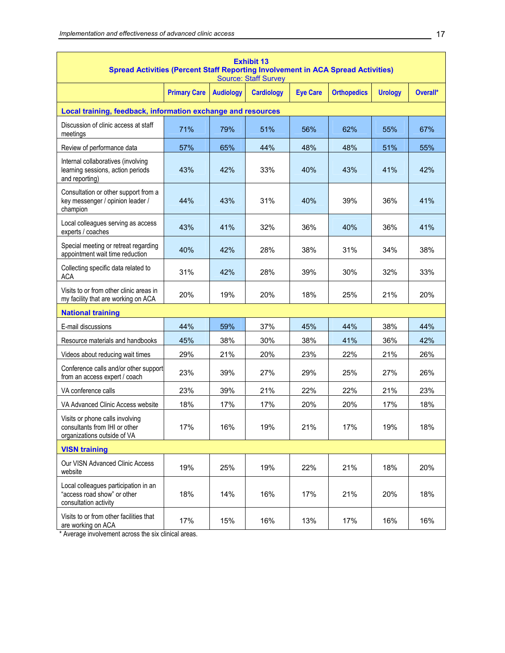| <b>Exhibit 13</b><br><b>Spread Activities (Percent Staff Reporting Involvement in ACA Spread Activities)</b><br><b>Source: Staff Survey</b> |                     |                  |                   |                 |                    |                |          |
|---------------------------------------------------------------------------------------------------------------------------------------------|---------------------|------------------|-------------------|-----------------|--------------------|----------------|----------|
|                                                                                                                                             | <b>Primary Care</b> | <b>Audiology</b> | <b>Cardiology</b> | <b>Eye Care</b> | <b>Orthopedics</b> | <b>Urology</b> | Overall* |
| Local training, feedback, information exchange and resources                                                                                |                     |                  |                   |                 |                    |                |          |
| Discussion of clinic access at staff<br>meetings                                                                                            | 71%                 | 79%              | 51%               | 56%             | 62%                | 55%            | 67%      |
| Review of performance data                                                                                                                  | 57%                 | 65%              | 44%               | 48%             | 48%                | 51%            | 55%      |
| Internal collaboratives (involving<br>learning sessions, action periods<br>and reporting)                                                   | 43%                 | 42%              | 33%               | 40%             | 43%                | 41%            | 42%      |
| Consultation or other support from a<br>key messenger / opinion leader /<br>champion                                                        | 44%                 | 43%              | 31%               | 40%             | 39%                | 36%            | 41%      |
| Local colleagues serving as access<br>experts / coaches                                                                                     | 43%                 | 41%              | 32%               | 36%             | 40%                | 36%            | 41%      |
| Special meeting or retreat regarding<br>appointment wait time reduction                                                                     | 40%                 | 42%              | 28%               | 38%             | 31%                | 34%            | 38%      |
| Collecting specific data related to<br><b>ACA</b>                                                                                           | 31%                 | 42%              | 28%               | 39%             | 30%                | 32%            | 33%      |
| Visits to or from other clinic areas in<br>my facility that are working on ACA                                                              | 20%                 | 19%              | 20%               | 18%             | 25%                | 21%            | 20%      |
| <b>National training</b>                                                                                                                    |                     |                  |                   |                 |                    |                |          |
| E-mail discussions                                                                                                                          | 44%                 | 59%              | 37%               | 45%             | 44%                | 38%            | 44%      |
| Resource materials and handbooks                                                                                                            | 45%                 | 38%              | 30%               | 38%             | 41%                | 36%            | 42%      |
| Videos about reducing wait times                                                                                                            | 29%                 | 21%              | 20%               | 23%             | 22%                | 21%            | 26%      |
| Conference calls and/or other support<br>from an access expert / coach                                                                      | 23%                 | 39%              | 27%               | 29%             | 25%                | 27%            | 26%      |
| VA conference calls                                                                                                                         | 23%                 | 39%              | 21%               | 22%             | 22%                | 21%            | 23%      |
| VA Advanced Clinic Access website                                                                                                           | 18%                 | 17%              | 17%               | 20%             | 20%                | 17%            | 18%      |
| Visits or phone calls involving<br>consultants from IHI or other<br>organizations outside of VA                                             | 17%                 | 16%              | 19%               | 21%             | 17%                | 19%            | 18%      |
| <b>VISN training</b>                                                                                                                        |                     |                  |                   |                 |                    |                |          |
| Our VISN Advanced Clinic Access<br>website                                                                                                  | 19%                 | 25%              | 19%               | 22%             | 21%                | 18%            | 20%      |
| Local colleagues participation in an<br>"access road show" or other<br>consultation activity                                                | 18%                 | 14%              | 16%               | 17%             | 21%                | 20%            | 18%      |
| Visits to or from other facilities that<br>are working on ACA                                                                               | 17%                 | 15%              | 16%               | 13%             | 17%                | 16%            | 16%      |

\* Average involvement across the six clinical areas.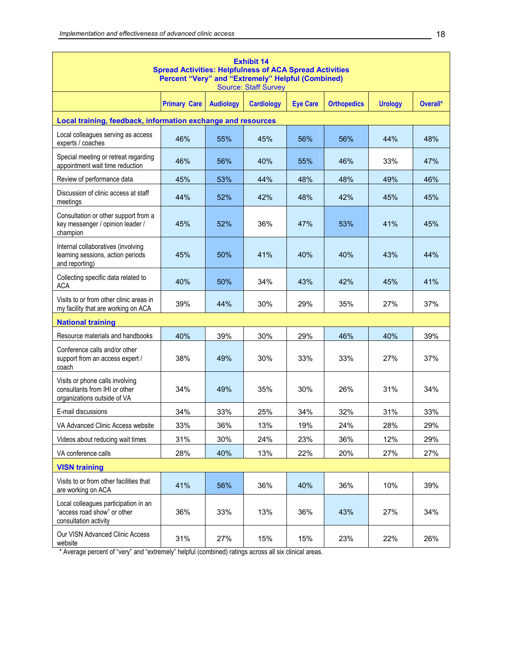| <b>Exhibit 14</b><br><b>Spread Activities: Helpfulness of ACA Spread Activities</b><br>Percent "Very" and "Extremely" Helpful (Combined)<br><b>Source: Staff Survey</b> |                     |                  |                   |                 |                    |                |          |  |  |
|-------------------------------------------------------------------------------------------------------------------------------------------------------------------------|---------------------|------------------|-------------------|-----------------|--------------------|----------------|----------|--|--|
|                                                                                                                                                                         | <b>Primary Care</b> | <b>Audiology</b> | <b>Cardiology</b> | <b>Eye Care</b> | <b>Orthopedics</b> | <b>Urology</b> | Overall* |  |  |
| Local training, feedback, information exchange and resources                                                                                                            |                     |                  |                   |                 |                    |                |          |  |  |
| Local colleagues serving as access<br>experts / coaches                                                                                                                 | 46%                 | 55%              | 45%               | 56%             | 56%                | 44%            | 48%      |  |  |
| Special meeting or retreat regarding<br>appointment wait time reduction                                                                                                 | 46%                 | 56%              | 40%               | 55%             | 46%                | 33%            | 47%      |  |  |
| Review of performance data                                                                                                                                              | 45%                 | 53%              | 44%               | 48%             | 48%                | 49%            | 46%      |  |  |
| Discussion of clinic access at staff<br>meetings                                                                                                                        | 44%                 | 52%              | 42%               | 48%             | 42%                | 45%            | 45%      |  |  |
| Consultation or other support from a<br>key messenger / opinion leader /<br>champion                                                                                    | 45%                 | 52%              | 36%               | 47%             | 53%                | 41%            | 45%      |  |  |
| Internal collaboratives (involving<br>learning sessions, action periods<br>and reporting)                                                                               | 45%                 | 50%              | 41%               | 40%             | 40%                | 43%            | 44%      |  |  |
| Collecting specific data related to<br>ACA                                                                                                                              | 40%                 | 50%              | 34%               | 43%             | 42%                | 45%            | 41%      |  |  |
| Visits to or from other clinic areas in<br>my facility that are working on ACA                                                                                          | 39%                 | 44%              | 30%               | 29%             | 35%                | 27%            | 37%      |  |  |
| <b>National training</b>                                                                                                                                                |                     |                  |                   |                 |                    |                |          |  |  |
| Resource materials and handbooks                                                                                                                                        | 40%                 | 39%              | 30%               | 29%             | 46%                | 40%            | 39%      |  |  |
| Conference calls and/or other<br>support from an access expert /<br>coach                                                                                               | 38%                 | 49%              | 30%               | 33%             | 33%                | 27%            | 37%      |  |  |
| Visits or phone calls involving<br>consultants from IHI or other<br>organizations outside of VA                                                                         | 34%                 | 49%              | 35%               | 30%             | 26%                | 31%            | 34%      |  |  |
| E-mail discussions                                                                                                                                                      | 34%                 | 33%              | 25%               | 34%             | 32%                | 31%            | 33%      |  |  |
| VA Advanced Clinic Access website                                                                                                                                       | 33%                 | 36%              | 13%               | 19%             | 24%                | 28%            | 29%      |  |  |
| Videos about reducing wait times                                                                                                                                        | 31%                 | 30%              | 24%               | 23%             | 36%                | 12%            | 29%      |  |  |
| VA conference calls                                                                                                                                                     | 28%                 | 40%              | 13%               | 22%             | 20%                | 27%            | 27%      |  |  |
| <b>VISN training</b>                                                                                                                                                    |                     |                  |                   |                 |                    |                |          |  |  |
| Visits to or from other facilities that<br>are working on ACA                                                                                                           | 41%                 | 56%              | 36%               | 40%             | 36%                | 10%            | 39%      |  |  |
| Local colleagues participation in an<br>"access road show" or other<br>consultation activity                                                                            | 36%                 | 33%              | 13%               | 36%             | 43%                | 27%            | 34%      |  |  |
| Our VISN Advanced Clinic Access<br>website                                                                                                                              | 31%                 | 27%              | 15%               | 15%             | 23%                | 22%            | 26%      |  |  |

\* Average percent of "very" and "extremely" helpful (combined) ratings across all six clinical areas.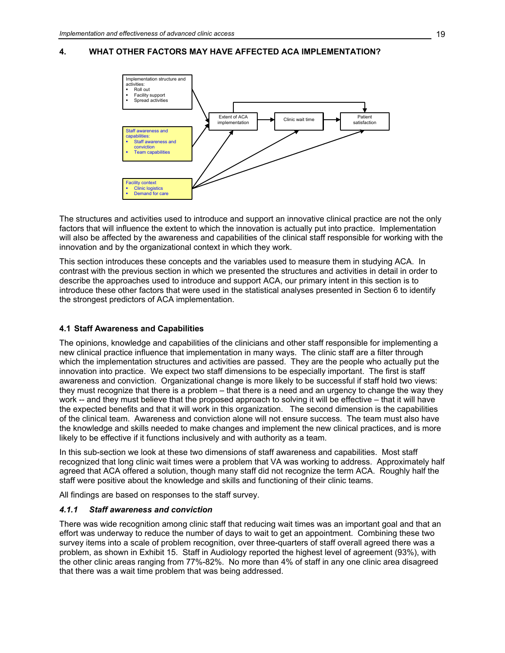# <span id="page-34-0"></span>**4. WHAT OTHER FACTORS MAY HAVE AFFECTED ACA IMPLEMENTATION?**



The structures and activities used to introduce and support an innovative clinical practice are not the only factors that will influence the extent to which the innovation is actually put into practice. Implementation will also be affected by the awareness and capabilities of the clinical staff responsible for working with the innovation and by the organizational context in which they work.

This section introduces these concepts and the variables used to measure them in studying ACA. In contrast with the previous section in which we presented the structures and activities in detail in order to describe the approaches used to introduce and support ACA, our primary intent in this section is to introduce these other factors that were used in the statistical analyses presented in Section 6 to identify the strongest predictors of ACA implementation.

# **4.1 Staff Awareness and Capabilities**

The opinions, knowledge and capabilities of the clinicians and other staff responsible for implementing a new clinical practice influence that implementation in many ways. The clinic staff are a filter through which the implementation structures and activities are passed. They are the people who actually put the innovation into practice. We expect two staff dimensions to be especially important. The first is staff awareness and conviction. Organizational change is more likely to be successful if staff hold two views: they must recognize that there is a problem – that there is a need and an urgency to change the way they work -- and they must believe that the proposed approach to solving it will be effective – that it will have the expected benefits and that it will work in this organization. The second dimension is the capabilities of the clinical team. Awareness and conviction alone will not ensure success. The team must also have the knowledge and skills needed to make changes and implement the new clinical practices, and is more likely to be effective if it functions inclusively and with authority as a team.

In this sub-section we look at these two dimensions of staff awareness and capabilities. Most staff recognized that long clinic wait times were a problem that VA was working to address. Approximately half agreed that ACA offered a solution, though many staff did not recognize the term ACA. Roughly half the staff were positive about the knowledge and skills and functioning of their clinic teams.

All findings are based on responses to the staff survey.

# *4.1.1 Staff awareness and conviction*

There was wide recognition among clinic staff that reducing wait times was an important goal and that an effort was underway to reduce the number of days to wait to get an appointment. Combining these two survey items into a scale of problem recognition, over three-quarters of staff overall agreed there was a problem, as shown in Exhibit 15. Staff in Audiology reported the highest level of agreement (93%), with the other clinic areas ranging from 77%-82%. No more than 4% of staff in any one clinic area disagreed that there was a wait time problem that was being addressed.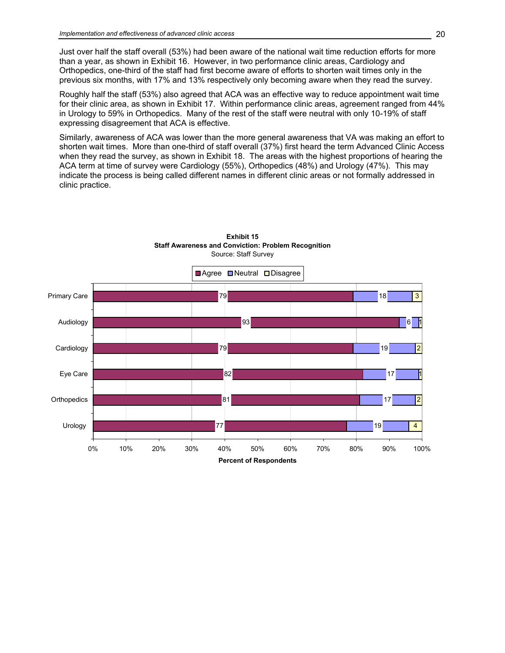Just over half the staff overall (53%) had been aware of the national wait time reduction efforts for more than a year, as shown in Exhibit 16. However, in two performance clinic areas, Cardiology and Orthopedics, one-third of the staff had first become aware of efforts to shorten wait times only in the previous six months, with 17% and 13% respectively only becoming aware when they read the survey.

Roughly half the staff (53%) also agreed that ACA was an effective way to reduce appointment wait time for their clinic area, as shown in Exhibit 17. Within performance clinic areas, agreement ranged from 44% in Urology to 59% in Orthopedics. Many of the rest of the staff were neutral with only 10-19% of staff expressing disagreement that ACA is effective.

Similarly, awareness of ACA was lower than the more general awareness that VA was making an effort to shorten wait times. More than one-third of staff overall (37%) first heard the term Advanced Clinic Access when they read the survey, as shown in Exhibit 18. The areas with the highest proportions of hearing the ACA term at time of survey were Cardiology (55%), Orthopedics (48%) and Urology (47%). This may indicate the process is being called different names in different clinic areas or not formally addressed in clinic practice.



**Exhibit 15 Staff Awareness and Conviction: Problem Recognition** Source: Staff Survey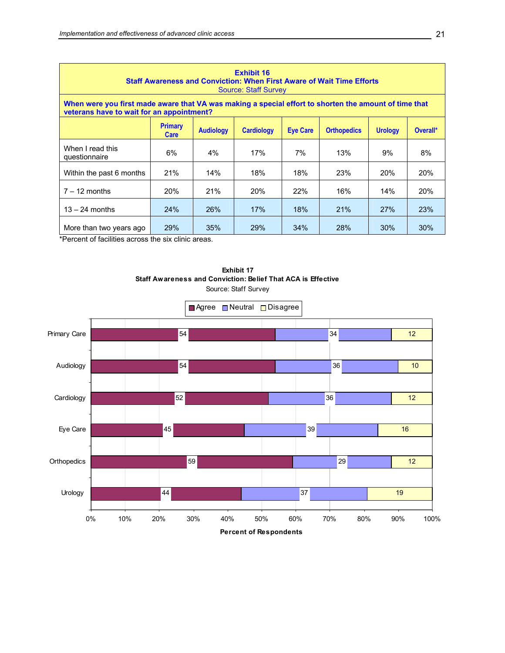| <b>Exhibit 16</b><br><b>Staff Awareness and Conviction: When First Aware of Wait Time Efforts</b><br><b>Source: Staff Survey</b>                   |            |     |            |     |     |            |            |  |  |  |
|----------------------------------------------------------------------------------------------------------------------------------------------------|------------|-----|------------|-----|-----|------------|------------|--|--|--|
| When were you first made aware that VA was making a special effort to shorten the amount of time that<br>veterans have to wait for an appointment? |            |     |            |     |     |            |            |  |  |  |
| <b>Primary</b><br><b>Audiology</b><br><b>Cardiology</b><br><b>Eye Care</b><br><b>Orthopedics</b><br><b>Urology</b><br>Overall*<br><b>Care</b>      |            |     |            |     |     |            |            |  |  |  |
| When I read this<br>questionnaire                                                                                                                  | 6%         | 4%  | 17%        | 7%  | 13% | 9%         | 8%         |  |  |  |
| Within the past 6 months                                                                                                                           | 21%        | 14% | 18%        | 18% | 23% | <b>20%</b> | <b>20%</b> |  |  |  |
| $7 - 12$ months                                                                                                                                    | <b>20%</b> | 21% | <b>20%</b> | 22% | 16% | 14%        | <b>20%</b> |  |  |  |
| 26%<br>17%<br>18%<br>21%<br>24%<br>27%<br>$13 - 24$ months                                                                                         |            |     |            |     |     |            |            |  |  |  |
| More than two years ago                                                                                                                            | 29%        | 35% | 29%        | 34% | 28% | 30%        | 30%        |  |  |  |

\*Percent of facilities across the six clinic areas.



**Exhibit 17 Staff Awareness and Conviction: Belief That ACA is Effective** Source: Staff Survey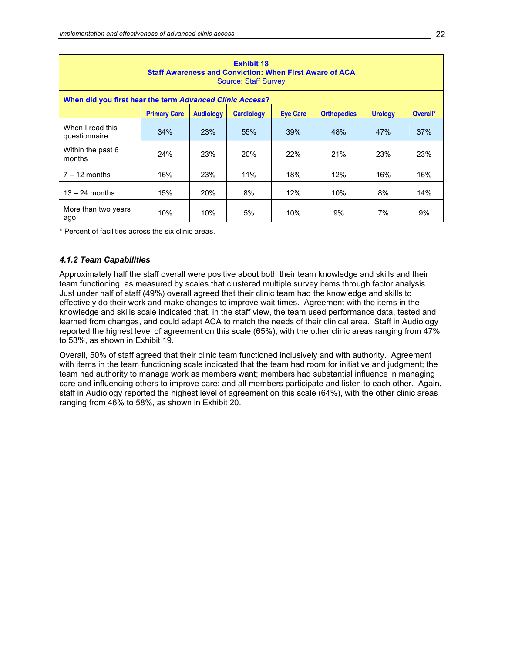| <b>Exhibit 18</b><br><b>Staff Awareness and Conviction: When First Aware of ACA</b><br><b>Source: Staff Survey</b>                  |     |            |     |     |     |     |     |  |  |  |
|-------------------------------------------------------------------------------------------------------------------------------------|-----|------------|-----|-----|-----|-----|-----|--|--|--|
| When did you first hear the term Advanced Clinic Access?                                                                            |     |            |     |     |     |     |     |  |  |  |
| <b>Primary Care</b><br><b>Audiology</b><br><b>Cardiology</b><br><b>Eve Care</b><br><b>Orthopedics</b><br><b>Urology</b><br>Overall* |     |            |     |     |     |     |     |  |  |  |
| When I read this<br>questionnaire                                                                                                   | 34% | 23%        | 55% | 39% | 48% | 47% | 37% |  |  |  |
| Within the past 6<br>months                                                                                                         | 24% | 23%        | 20% | 22% | 21% | 23% | 23% |  |  |  |
| $7 - 12$ months                                                                                                                     | 16% | 23%        | 11% | 18% | 12% | 16% | 16% |  |  |  |
| $13 - 24$ months                                                                                                                    | 15% | <b>20%</b> | 8%  | 12% | 10% | 8%  | 14% |  |  |  |
| More than two years<br>ago                                                                                                          | 10% | 10%        | 5%  | 10% | 9%  | 7%  | 9%  |  |  |  |

\* Percent of facilities across the six clinic areas.

#### *4.1.2 Team Capabilities*

Approximately half the staff overall were positive about both their team knowledge and skills and their team functioning, as measured by scales that clustered multiple survey items through factor analysis. Just under half of staff (49%) overall agreed that their clinic team had the knowledge and skills to effectively do their work and make changes to improve wait times. Agreement with the items in the knowledge and skills scale indicated that, in the staff view, the team used performance data, tested and learned from changes, and could adapt ACA to match the needs of their clinical area. Staff in Audiology reported the highest level of agreement on this scale (65%), with the other clinic areas ranging from 47% to 53%, as shown in Exhibit 19.

Overall, 50% of staff agreed that their clinic team functioned inclusively and with authority. Agreement with items in the team functioning scale indicated that the team had room for initiative and judgment; the team had authority to manage work as members want; members had substantial influence in managing care and influencing others to improve care; and all members participate and listen to each other. Again, staff in Audiology reported the highest level of agreement on this scale (64%), with the other clinic areas ranging from 46% to 58%, as shown in Exhibit 20.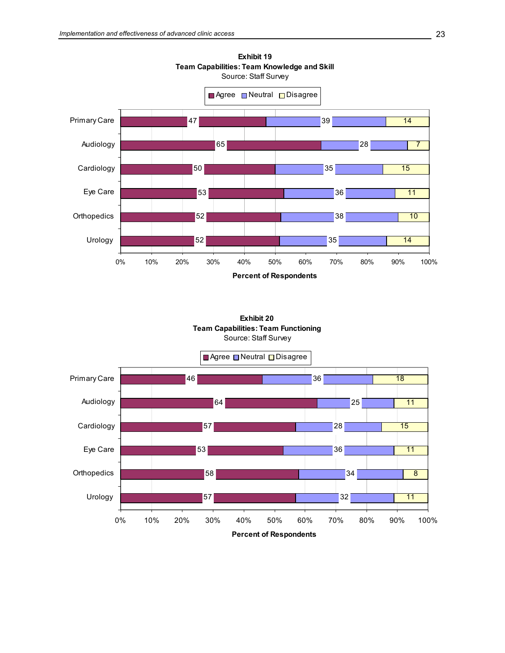

**Exhibit 19 Team Capabilities: Team Knowledge and Skill**

**Exhibit 20 Team Capabilities: Team Functioning** Source: Staff Survey

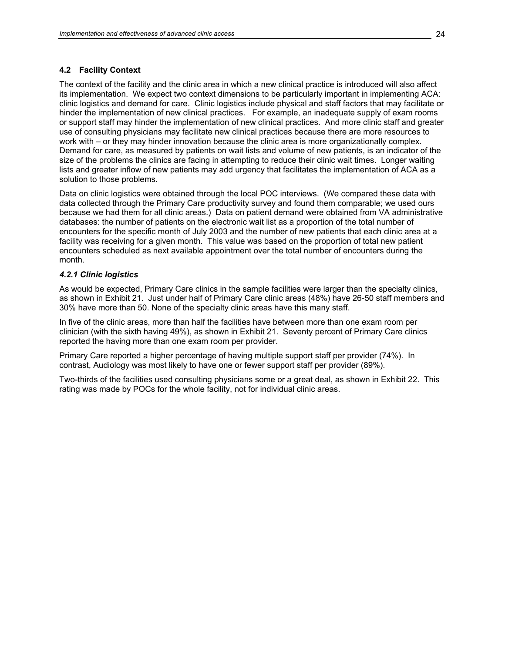## **4.2 Facility Context**

The context of the facility and the clinic area in which a new clinical practice is introduced will also affect its implementation. We expect two context dimensions to be particularly important in implementing ACA: clinic logistics and demand for care. Clinic logistics include physical and staff factors that may facilitate or hinder the implementation of new clinical practices. For example, an inadequate supply of exam rooms or support staff may hinder the implementation of new clinical practices. And more clinic staff and greater use of consulting physicians may facilitate new clinical practices because there are more resources to work with – or they may hinder innovation because the clinic area is more organizationally complex. Demand for care, as measured by patients on wait lists and volume of new patients, is an indicator of the size of the problems the clinics are facing in attempting to reduce their clinic wait times. Longer waiting lists and greater inflow of new patients may add urgency that facilitates the implementation of ACA as a solution to those problems.

Data on clinic logistics were obtained through the local POC interviews. (We compared these data with data collected through the Primary Care productivity survey and found them comparable; we used ours because we had them for all clinic areas.) Data on patient demand were obtained from VA administrative databases: the number of patients on the electronic wait list as a proportion of the total number of encounters for the specific month of July 2003 and the number of new patients that each clinic area at a facility was receiving for a given month. This value was based on the proportion of total new patient encounters scheduled as next available appointment over the total number of encounters during the month.

## *4.2.1 Clinic logistics*

As would be expected, Primary Care clinics in the sample facilities were larger than the specialty clinics, as shown in Exhibit 21. Just under half of Primary Care clinic areas (48%) have 26-50 staff members and 30% have more than 50. None of the specialty clinic areas have this many staff.

In five of the clinic areas, more than half the facilities have between more than one exam room per clinician (with the sixth having 49%), as shown in Exhibit 21. Seventy percent of Primary Care clinics reported the having more than one exam room per provider.

Primary Care reported a higher percentage of having multiple support staff per provider (74%). In contrast, Audiology was most likely to have one or fewer support staff per provider (89%).

Two-thirds of the facilities used consulting physicians some or a great deal, as shown in Exhibit 22. This rating was made by POCs for the whole facility, not for individual clinic areas.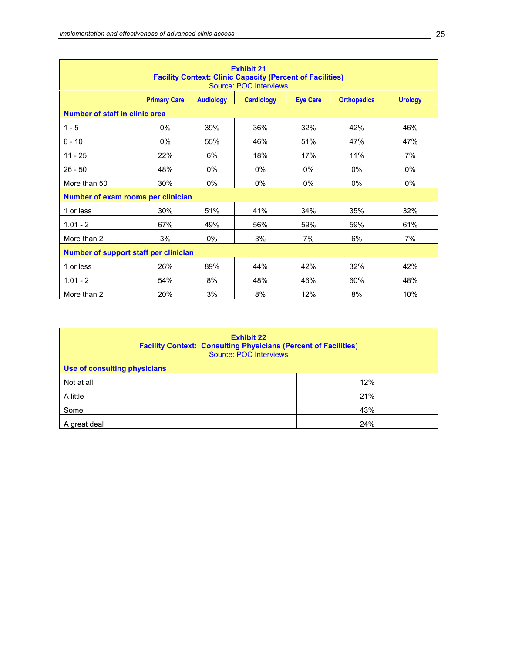| <b>Exhibit 21</b><br><b>Facility Context: Clinic Capacity (Percent of Facilities)</b><br><b>Source: POC Interviews</b> |                     |                  |                   |                 |                    |                |  |  |  |  |
|------------------------------------------------------------------------------------------------------------------------|---------------------|------------------|-------------------|-----------------|--------------------|----------------|--|--|--|--|
|                                                                                                                        | <b>Primary Care</b> | <b>Audiology</b> | <b>Cardiology</b> | <b>Eye Care</b> | <b>Orthopedics</b> | <b>Urology</b> |  |  |  |  |
| Number of staff in clinic area                                                                                         |                     |                  |                   |                 |                    |                |  |  |  |  |
| $1 - 5$                                                                                                                | 0%                  | 39%              | 36%               | 32%             | 42%                | 46%            |  |  |  |  |
| $6 - 10$                                                                                                               | 0%                  | 55%              | 46%               | 51%             | 47%                | 47%            |  |  |  |  |
| $11 - 25$                                                                                                              | 22%                 | 6%               | 18%               | 17%             | 11%                | 7%             |  |  |  |  |
| $26 - 50$                                                                                                              | 48%                 | 0%               | 0%                | $0\%$           | $0\%$              | 0%             |  |  |  |  |
| More than 50                                                                                                           | 30%                 | 0%               | 0%                | 0%              | $0\%$              | $0\%$          |  |  |  |  |
| Number of exam rooms per clinician                                                                                     |                     |                  |                   |                 |                    |                |  |  |  |  |
| 1 or less                                                                                                              | 30%                 | 51%              | 41%               | 34%             | 35%                | 32%            |  |  |  |  |
| $1.01 - 2$                                                                                                             | 67%                 | 49%              | 56%               | 59%             | 59%                | 61%            |  |  |  |  |
| More than 2                                                                                                            | 3%                  | 0%               | 3%                | 7%              | 6%                 | 7%             |  |  |  |  |
| Number of support staff per clinician                                                                                  |                     |                  |                   |                 |                    |                |  |  |  |  |
| 1 or less                                                                                                              | 26%                 | 89%              | 44%               | 42%             | 32%                | 42%            |  |  |  |  |
| $1.01 - 2$                                                                                                             | 54%                 | 8%               | 48%               | 46%             | 60%                | 48%            |  |  |  |  |
| More than 2                                                                                                            | 20%                 | 3%               | 8%                | 12%             | 8%                 | 10%            |  |  |  |  |

| <b>Exhibit 22</b><br><b>Facility Context: Consulting Physicians (Percent of Facilities)</b><br>Source: POC Interviews |     |  |  |  |  |  |  |
|-----------------------------------------------------------------------------------------------------------------------|-----|--|--|--|--|--|--|
| Use of consulting physicians                                                                                          |     |  |  |  |  |  |  |
| Not at all                                                                                                            | 12% |  |  |  |  |  |  |
| A little                                                                                                              | 21% |  |  |  |  |  |  |
| Some                                                                                                                  | 43% |  |  |  |  |  |  |
| A great deal                                                                                                          | 24% |  |  |  |  |  |  |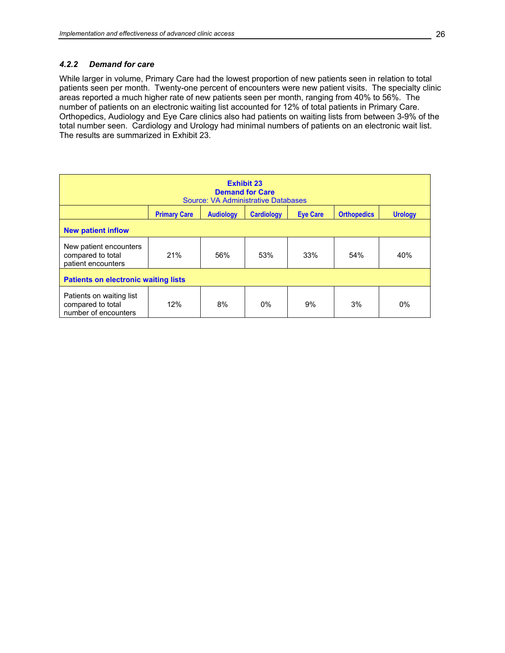## *4.2.2 Demand for care*

While larger in volume, Primary Care had the lowest proportion of new patients seen in relation to total patients seen per month. Twenty-one percent of encounters were new patient visits. The specialty clinic areas reported a much higher rate of new patients seen per month, ranging from 40% to 56%. The number of patients on an electronic waiting list accounted for 12% of total patients in Primary Care. Orthopedics, Audiology and Eye Care clinics also had patients on waiting lists from between 3-9% of the total number seen. Cardiology and Urology had minimal numbers of patients on an electronic wait list. The results are summarized in Exhibit 23.

| <b>Exhibit 23</b><br><b>Demand for Care</b><br><b>Source: VA Administrative Databases</b>                               |                                             |     |     |     |     |       |  |  |  |
|-------------------------------------------------------------------------------------------------------------------------|---------------------------------------------|-----|-----|-----|-----|-------|--|--|--|
| <b>Orthopedics</b><br><b>Primary Care</b><br><b>Audiology</b><br><b>Cardiology</b><br><b>Eve Care</b><br><b>Urology</b> |                                             |     |     |     |     |       |  |  |  |
| <b>New patient inflow</b>                                                                                               |                                             |     |     |     |     |       |  |  |  |
| New patient encounters<br>compared to total<br>patient encounters                                                       | 21%                                         | 56% | 53% | 33% | 54% | 40%   |  |  |  |
|                                                                                                                         | <b>Patients on electronic waiting lists</b> |     |     |     |     |       |  |  |  |
| Patients on waiting list<br>compared to total<br>number of encounters                                                   | 12%                                         | 8%  | 0%  | 9%  | 3%  | $0\%$ |  |  |  |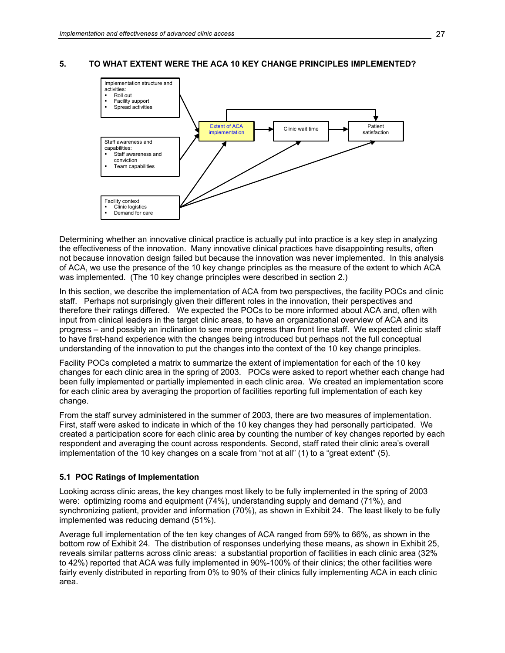## **5. TO WHAT EXTENT WERE THE ACA 10 KEY CHANGE PRINCIPLES IMPLEMENTED?**



Determining whether an innovative clinical practice is actually put into practice is a key step in analyzing the effectiveness of the innovation. Many innovative clinical practices have disappointing results, often not because innovation design failed but because the innovation was never implemented. In this analysis of ACA, we use the presence of the 10 key change principles as the measure of the extent to which ACA was implemented. (The 10 key change principles were described in section 2.)

In this section, we describe the implementation of ACA from two perspectives, the facility POCs and clinic staff. Perhaps not surprisingly given their different roles in the innovation, their perspectives and therefore their ratings differed. We expected the POCs to be more informed about ACA and, often with input from clinical leaders in the target clinic areas, to have an organizational overview of ACA and its progress – and possibly an inclination to see more progress than front line staff. We expected clinic staff to have first-hand experience with the changes being introduced but perhaps not the full conceptual understanding of the innovation to put the changes into the context of the 10 key change principles.

Facility POCs completed a matrix to summarize the extent of implementation for each of the 10 key changes for each clinic area in the spring of 2003. POCs were asked to report whether each change had been fully implemented or partially implemented in each clinic area. We created an implementation score for each clinic area by averaging the proportion of facilities reporting full implementation of each key change.

From the staff survey administered in the summer of 2003, there are two measures of implementation. First, staff were asked to indicate in which of the 10 key changes they had personally participated. We created a participation score for each clinic area by counting the number of key changes reported by each respondent and averaging the count across respondents. Second, staff rated their clinic area's overall implementation of the 10 key changes on a scale from "not at all" (1) to a "great extent" (5).

#### **5.1 POC Ratings of Implementation**

Looking across clinic areas, the key changes most likely to be fully implemented in the spring of 2003 were: optimizing rooms and equipment (74%), understanding supply and demand (71%), and synchronizing patient, provider and information (70%), as shown in Exhibit 24. The least likely to be fully implemented was reducing demand (51%).

Average full implementation of the ten key changes of ACA ranged from 59% to 66%, as shown in the bottom row of Exhibit 24. The distribution of responses underlying these means, as shown in Exhibit 25, reveals similar patterns across clinic areas: a substantial proportion of facilities in each clinic area (32% to 42%) reported that ACA was fully implemented in 90%-100% of their clinics; the other facilities were fairly evenly distributed in reporting from 0% to 90% of their clinics fully implementing ACA in each clinic area.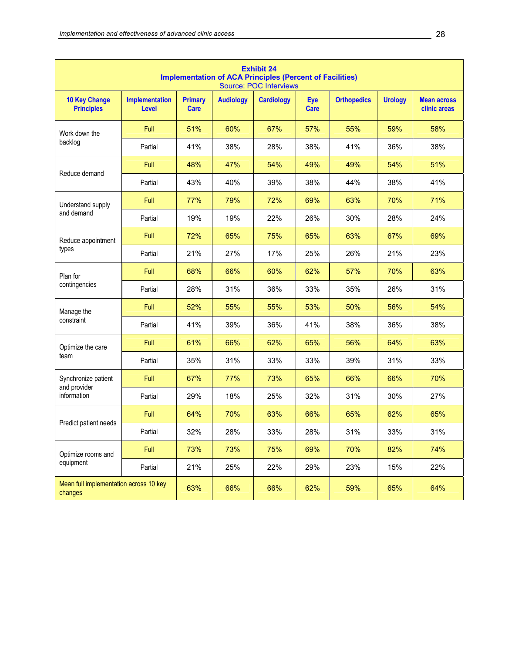|                                                   | <b>Exhibit 24</b><br><b>Implementation of ACA Principles (Percent of Facilities)</b><br><b>Source: POC Interviews</b> |                               |                  |                   |                           |                    |                |                                    |  |  |
|---------------------------------------------------|-----------------------------------------------------------------------------------------------------------------------|-------------------------------|------------------|-------------------|---------------------------|--------------------|----------------|------------------------------------|--|--|
| <b>10 Key Change</b><br><b>Principles</b>         | <b>Implementation</b><br>Level                                                                                        | <b>Primary</b><br><b>Care</b> | <b>Audiology</b> | <b>Cardiology</b> | <b>Eye</b><br><b>Care</b> | <b>Orthopedics</b> | <b>Urology</b> | <b>Mean across</b><br>clinic areas |  |  |
| Work down the                                     | Full                                                                                                                  | 51%                           | 60%              | 67%               | 57%                       | 55%                | 59%            | 58%                                |  |  |
| backlog                                           | Partial                                                                                                               | 41%                           | 38%              | 28%               | 38%                       | 41%                | 36%            | 38%                                |  |  |
| Reduce demand                                     | Full                                                                                                                  | 48%                           | 47%              | 54%               | 49%                       | 49%                | 54%            | 51%                                |  |  |
|                                                   | Partial                                                                                                               | 43%                           | 40%              | 39%               | 38%                       | 44%                | 38%            | 41%                                |  |  |
| Understand supply                                 | Full                                                                                                                  | 77%                           | 79%              | 72%               | 69%                       | 63%                | 70%            | 71%                                |  |  |
| and demand                                        | Partial                                                                                                               | 19%                           | 19%              | 22%               | 26%                       | 30%                | 28%            | 24%                                |  |  |
| Reduce appointment                                | Full                                                                                                                  | 72%                           | 65%              | 75%               | 65%                       | 63%                | 67%            | 69%                                |  |  |
| types                                             | Partial                                                                                                               | 21%                           | 27%              | 17%               | 25%                       | 26%                | 21%            | 23%                                |  |  |
| Plan for                                          | Full                                                                                                                  | 68%                           | 66%              | 60%               | 62%                       | 57%                | 70%            | 63%                                |  |  |
| contingencies                                     | Partial                                                                                                               | 28%                           | 31%              | 36%               | 33%                       | 35%                | 26%            | 31%                                |  |  |
| Manage the                                        | Full                                                                                                                  | 52%                           | 55%              | 55%               | 53%                       | 50%                | 56%            | 54%                                |  |  |
| constraint                                        | Partial                                                                                                               | 41%                           | 39%              | 36%               | 41%                       | 38%                | 36%            | 38%                                |  |  |
| Optimize the care                                 | Full                                                                                                                  | 61%                           | 66%              | 62%               | 65%                       | 56%                | 64%            | 63%                                |  |  |
| team                                              | Partial                                                                                                               | 35%                           | 31%              | 33%               | 33%                       | 39%                | 31%            | 33%                                |  |  |
| Synchronize patient<br>and provider               | Full                                                                                                                  | 67%                           | 77%              | 73%               | 65%                       | 66%                | 66%            | 70%                                |  |  |
| information                                       | Partial                                                                                                               | 29%                           | 18%              | 25%               | 32%                       | 31%                | 30%            | 27%                                |  |  |
| Predict patient needs                             | Full                                                                                                                  | 64%                           | 70%              | 63%               | 66%                       | 65%                | 62%            | 65%                                |  |  |
|                                                   | Partial                                                                                                               | 32%                           | 28%              | 33%               | 28%                       | 31%                | 33%            | 31%                                |  |  |
| Optimize rooms and                                | Full                                                                                                                  | 73%                           | 73%              | 75%               | 69%                       | 70%                | 82%            | 74%                                |  |  |
| equipment                                         | Partial                                                                                                               | 21%                           | 25%              | 22%               | 29%                       | 23%                | 15%            | 22%                                |  |  |
| Mean full implementation across 10 key<br>changes |                                                                                                                       | 63%                           | 66%              | 66%               | 62%                       | 59%                | 65%            | 64%                                |  |  |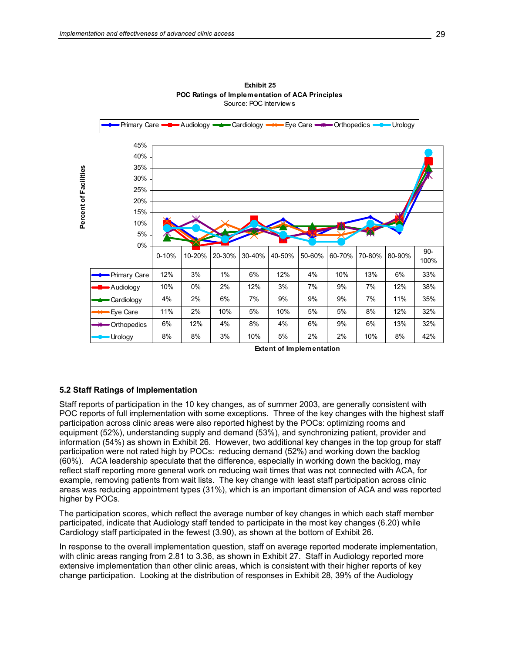

**Exhibit 25 POC Ratings of Implementation of ACA Principles** Source: POC Interview s

**Extent of Implementation**

## **5.2 Staff Ratings of Implementation**

Staff reports of participation in the 10 key changes, as of summer 2003, are generally consistent with POC reports of full implementation with some exceptions. Three of the key changes with the highest staff participation across clinic areas were also reported highest by the POCs: optimizing rooms and equipment (52%), understanding supply and demand (53%), and synchronizing patient, provider and information (54%) as shown in Exhibit 26. However, two additional key changes in the top group for staff participation were not rated high by POCs: reducing demand (52%) and working down the backlog (60%). ACA leadership speculate that the difference, especially in working down the backlog, may reflect staff reporting more general work on reducing wait times that was not connected with ACA, for example, removing patients from wait lists. The key change with least staff participation across clinic areas was reducing appointment types (31%), which is an important dimension of ACA and was reported higher by POCs.

The participation scores, which reflect the average number of key changes in which each staff member participated, indicate that Audiology staff tended to participate in the most key changes (6.20) while Cardiology staff participated in the fewest (3.90), as shown at the bottom of Exhibit 26.

In response to the overall implementation question, staff on average reported moderate implementation, with clinic areas ranging from 2.81 to 3.36, as shown in Exhibit 27. Staff in Audiology reported more extensive implementation than other clinic areas, which is consistent with their higher reports of key change participation. Looking at the distribution of responses in Exhibit 28, 39% of the Audiology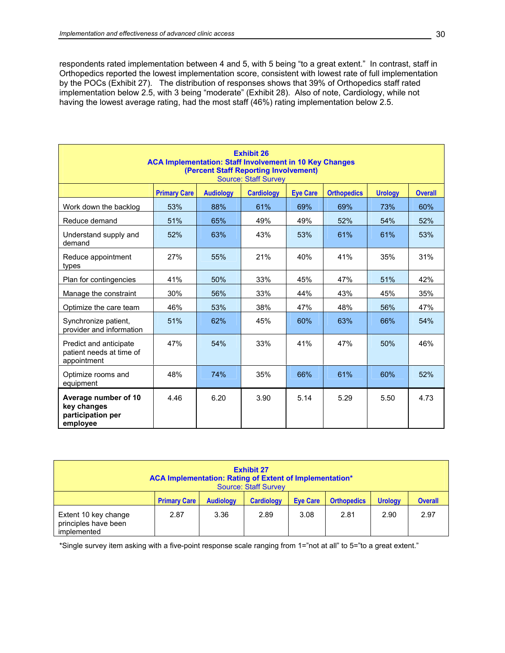respondents rated implementation between 4 and 5, with 5 being "to a great extent." In contrast, staff in Orthopedics reported the lowest implementation score, consistent with lowest rate of full implementation by the POCs (Exhibit 27). The distribution of responses shows that 39% of Orthopedics staff rated implementation below 2.5, with 3 being "moderate" (Exhibit 28). Also of note, Cardiology, while not having the lowest average rating, had the most staff (46%) rating implementation below 2.5.

| <b>Exhibit 26</b><br><b>ACA Implementation: Staff Involvement in 10 Key Changes</b><br>(Percent Staff Reporting Involvement)<br><b>Source: Staff Survey</b> |                     |                  |                   |                 |                    |                |                |  |  |
|-------------------------------------------------------------------------------------------------------------------------------------------------------------|---------------------|------------------|-------------------|-----------------|--------------------|----------------|----------------|--|--|
|                                                                                                                                                             | <b>Primary Care</b> | <b>Audiology</b> | <b>Cardiology</b> | <b>Eve Care</b> | <b>Orthopedics</b> | <b>Urology</b> | <b>Overall</b> |  |  |
| Work down the backlog                                                                                                                                       | 53%                 | 88%              | 61%               | 69%             | 69%                | 73%            | 60%            |  |  |
| Reduce demand                                                                                                                                               | 51%                 | 65%              | 49%               | 49%             | 52%                | 54%            | 52%            |  |  |
| Understand supply and<br>demand                                                                                                                             | 52%                 | 63%              | 43%               | 53%             | 61%                | 61%            | 53%            |  |  |
| Reduce appointment<br>types                                                                                                                                 | 27%                 | 55%              | 21%               | 40%             | 41%                | 35%            | 31%            |  |  |
| Plan for contingencies                                                                                                                                      | 41%                 | 50%              | 33%               | 45%             | 47%                | 51%            | 42%            |  |  |
| Manage the constraint                                                                                                                                       | 30%                 | 56%              | 33%               | 44%             | 43%                | 45%            | 35%            |  |  |
| Optimize the care team                                                                                                                                      | 46%                 | 53%              | 38%               | 47%             | 48%                | 56%            | 47%            |  |  |
| Synchronize patient,<br>provider and information                                                                                                            | 51%                 | 62%              | 45%               | 60%             | 63%                | 66%            | 54%            |  |  |
| Predict and anticipate<br>patient needs at time of<br>appointment                                                                                           | 47%                 | 54%              | 33%               | 41%             | 47%                | 50%            | 46%            |  |  |
| Optimize rooms and<br>equipment                                                                                                                             | 48%                 | 74%              | 35%               | 66%             | 61%                | 60%            | 52%            |  |  |
| Average number of 10<br>key changes<br>participation per<br>employee                                                                                        | 4.46                | 6.20             | 3.90              | 5.14            | 5.29               | 5.50           | 4.73           |  |  |

|                                                             |                     |                  | <b>Exhibit 27</b><br>ACA Implementation: Rating of Extent of Implementation*<br><b>Source: Staff Survey</b><br><b>Overall</b><br><b>Urology</b><br><b>Cardiology</b><br><b>Eve Care</b><br><b>Orthopedics</b><br>2.89<br>2.81<br>2.90<br>2.97<br>3.08 |  |  |  |  |
|-------------------------------------------------------------|---------------------|------------------|-------------------------------------------------------------------------------------------------------------------------------------------------------------------------------------------------------------------------------------------------------|--|--|--|--|
|                                                             | <b>Primary Care</b> | <b>Audiology</b> |                                                                                                                                                                                                                                                       |  |  |  |  |
| Extent 10 key change<br>principles have been<br>implemented | 2.87                | 3.36             |                                                                                                                                                                                                                                                       |  |  |  |  |

\*Single survey item asking with a five-point response scale ranging from 1="not at all" to 5="to a great extent."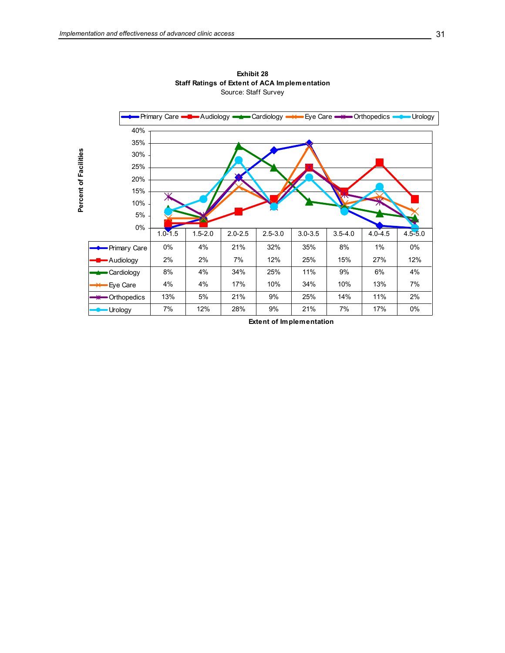

**Exhibit 28 Staff Ratings of Extent of ACA Implementation** Source: Staff Survey

**Extent of Implementation**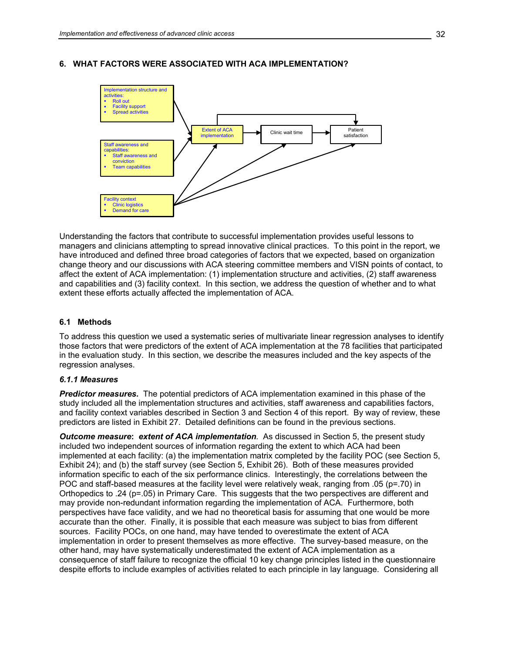

## **6. WHAT FACTORS WERE ASSOCIATED WITH ACA IMPLEMENTATION?**

Understanding the factors that contribute to successful implementation provides useful lessons to managers and clinicians attempting to spread innovative clinical practices. To this point in the report, we have introduced and defined three broad categories of factors that we expected, based on organization change theory and our discussions with ACA steering committee members and VISN points of contact, to affect the extent of ACA implementation: (1) implementation structure and activities, (2) staff awareness and capabilities and (3) facility context. In this section, we address the question of whether and to what extent these efforts actually affected the implementation of ACA.

#### **6.1 Methods**

To address this question we used a systematic series of multivariate linear regression analyses to identify those factors that were predictors of the extent of ACA implementation at the 78 facilities that participated in the evaluation study. In this section, we describe the measures included and the key aspects of the regression analyses.

#### *6.1.1 Measures*

*Predictor measures.* The potential predictors of ACA implementation examined in this phase of the study included all the implementation structures and activities, staff awareness and capabilities factors, and facility context variables described in Section 3 and Section 4 of this report. By way of review, these predictors are listed in Exhibit 27. Detailed definitions can be found in the previous sections.

*Outcome measure***:** *extent of ACA implementation.* As discussed in Section 5, the present study included two independent sources of information regarding the extent to which ACA had been implemented at each facility: (a) the implementation matrix completed by the facility POC (see Section 5, Exhibit 24); and (b) the staff survey (see Section 5, Exhibit 26). Both of these measures provided information specific to each of the six performance clinics. Interestingly, the correlations between the POC and staff-based measures at the facility level were relatively weak, ranging from .05 (p=.70) in Orthopedics to .24 (p=.05) in Primary Care. This suggests that the two perspectives are different and may provide non-redundant information regarding the implementation of ACA. Furthermore, both perspectives have face validity, and we had no theoretical basis for assuming that one would be more accurate than the other. Finally, it is possible that each measure was subject to bias from different sources. Facility POCs, on one hand, may have tended to overestimate the extent of ACA implementation in order to present themselves as more effective. The survey-based measure, on the other hand, may have systematically underestimated the extent of ACA implementation as a consequence of staff failure to recognize the official 10 key change principles listed in the questionnaire despite efforts to include examples of activities related to each principle in lay language. Considering all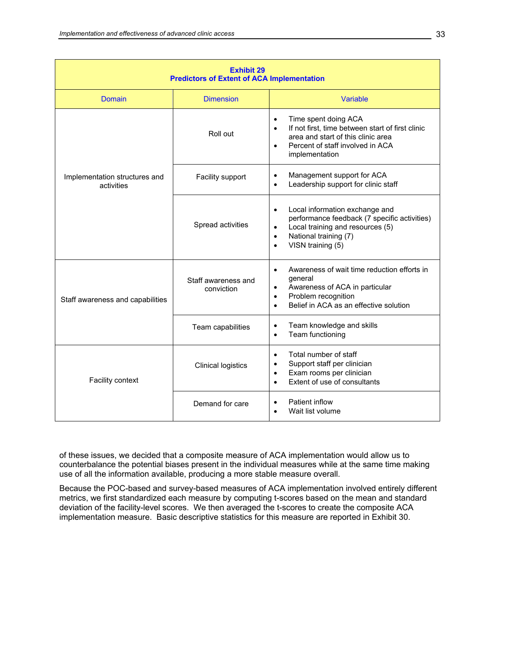| <b>Exhibit 29</b><br><b>Predictors of Extent of ACA Implementation</b> |                                   |                                                                                                                                                                                                                      |  |  |  |  |  |  |
|------------------------------------------------------------------------|-----------------------------------|----------------------------------------------------------------------------------------------------------------------------------------------------------------------------------------------------------------------|--|--|--|--|--|--|
| Domain                                                                 | <b>Dimension</b>                  | Variable                                                                                                                                                                                                             |  |  |  |  |  |  |
|                                                                        | Roll out                          | Time spent doing ACA<br>$\bullet$<br>If not first, time between start of first clinic<br>$\bullet$<br>area and start of this clinic area<br>Percent of staff involved in ACA<br>$\bullet$<br>implementation          |  |  |  |  |  |  |
| Implementation structures and<br>activities                            | Facility support                  | Management support for ACA<br>$\bullet$<br>Leadership support for clinic staff                                                                                                                                       |  |  |  |  |  |  |
|                                                                        | Spread activities                 | Local information exchange and<br>$\bullet$<br>performance feedback (7 specific activities)<br>Local training and resources (5)<br>$\bullet$<br>National training (7)<br>$\bullet$<br>VISN training (5)<br>$\bullet$ |  |  |  |  |  |  |
| Staff awareness and capabilities                                       | Staff awareness and<br>conviction | Awareness of wait time reduction efforts in<br>$\bullet$<br>general<br>Awareness of ACA in particular<br>Problem recognition<br>$\bullet$<br>Belief in ACA as an effective solution<br>$\bullet$                     |  |  |  |  |  |  |
|                                                                        | Team capabilities                 | Team knowledge and skills<br>٠<br>Team functioning<br>$\bullet$                                                                                                                                                      |  |  |  |  |  |  |
| <b>Facility context</b>                                                | <b>Clinical logistics</b>         | Total number of staff<br>$\bullet$<br>Support staff per clinician<br>٠<br>Exam rooms per clinician<br>$\bullet$<br>Extent of use of consultants<br>$\bullet$                                                         |  |  |  |  |  |  |
|                                                                        | Demand for care                   | Patient inflow<br>Wait list volume                                                                                                                                                                                   |  |  |  |  |  |  |

of these issues, we decided that a composite measure of ACA implementation would allow us to counterbalance the potential biases present in the individual measures while at the same time making use of all the information available, producing a more stable measure overall.

Because the POC-based and survey-based measures of ACA implementation involved entirely different metrics, we first standardized each measure by computing t-scores based on the mean and standard deviation of the facility-level scores. We then averaged the t-scores to create the composite ACA implementation measure. Basic descriptive statistics for this measure are reported in Exhibit 30.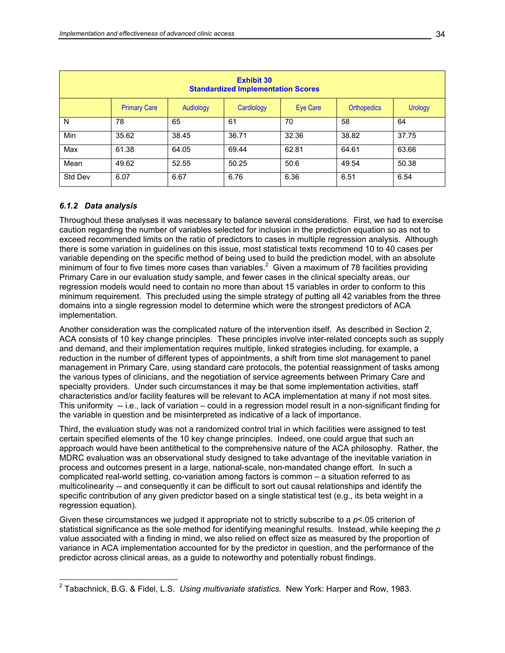| <b>Exhibit 30</b><br><b>Standardized Implementation Scores</b> |                     |           |            |          |                    |                |  |  |
|----------------------------------------------------------------|---------------------|-----------|------------|----------|--------------------|----------------|--|--|
|                                                                | <b>Primary Care</b> | Audiology | Cardiology | Eye Care | <b>Orthopedics</b> | <b>Urology</b> |  |  |
| N                                                              | 78                  | 65        | 61         | 70       | 58                 | 64             |  |  |
| Min                                                            | 35.62               | 38.45     | 36.71      | 32.36    | 38.82              | 37.75          |  |  |
| Max                                                            | 61.38               | 64.05     | 69.44      | 62.81    | 64.61              | 63.66          |  |  |
| Mean                                                           | 49.62               | 52.55     | 50.25      | 50.6     | 49.54              | 50.38          |  |  |
| Std Dev                                                        | 6.07                | 6.67      | 6.76       | 6.36     | 6.51               | 6.54           |  |  |

## *6.1.2 Data analysis*

Throughout these analyses it was necessary to balance several considerations. First, we had to exercise caution regarding the number of variables selected for inclusion in the prediction equation so as not to exceed recommended limits on the ratio of predictors to cases in multiple regression analysis. Although there is some variation in guidelines on this issue, most statistical texts recommend 10 to 40 cases per variable depending on the specific method of being used to build the prediction model, with an absolute minimum of four to five times more cases than variables.<sup>2</sup> Given a maximum of 78 facilities providing Primary Care in our evaluation study sample, and fewer cases in the clinical specialty areas, our regression models would need to contain no more than about 15 variables in order to conform to this minimum requirement. This precluded using the simple strategy of putting all 42 variables from the three domains into a single regression model to determine which were the strongest predictors of ACA implementation.

Another consideration was the complicated nature of the intervention itself. As described in Section 2, ACA consists of 10 key change principles. These principles involve inter-related concepts such as supply and demand, and their implementation requires multiple, linked strategies including, for example, a reduction in the number of different types of appointments, a shift from time slot management to panel management in Primary Care, using standard care protocols, the potential reassignment of tasks among the various types of clinicians, and the negotiation of service agreements between Primary Care and specialty providers. Under such circumstances it may be that some implementation activities, staff characteristics and/or facility features will be relevant to ACA implementation at many if not most sites. This uniformity -- i.e., lack of variation – could in a regression model result in a non-significant finding for the variable in question and be misinterpreted as indicative of a lack of importance.

Third, the evaluation study was not a randomized control trial in which facilities were assigned to test certain specified elements of the 10 key change principles. Indeed, one could argue that such an approach would have been antithetical to the comprehensive nature of the ACA philosophy. Rather, the MDRC evaluation was an observational study designed to take advantage of the inevitable variation in process and outcomes present in a large, national-scale, non-mandated change effort. In such a complicated real-world setting, co-variation among factors is common – a situation referred to as multicolinearity -- and consequently it can be difficult to sort out causal relationships and identify the specific contribution of any given predictor based on a single statistical test (e.g., its beta weight in a regression equation).

Given these circumstances we judged it appropriate not to strictly subscribe to a *p*<.05 criterion of statistical significance as the sole method for identifying meaningful results. Instead, while keeping the *p* value associated with a finding in mind, we also relied on effect size as measured by the proportion of variance in ACA implementation accounted for by the predictor in question, and the performance of the predictor across clinical areas, as a guide to noteworthy and potentially robust findings.

 2 Tabachnick, B.G. & Fidel, L.S. *Using multivariate statistics.* New York: Harper and Row, 1983.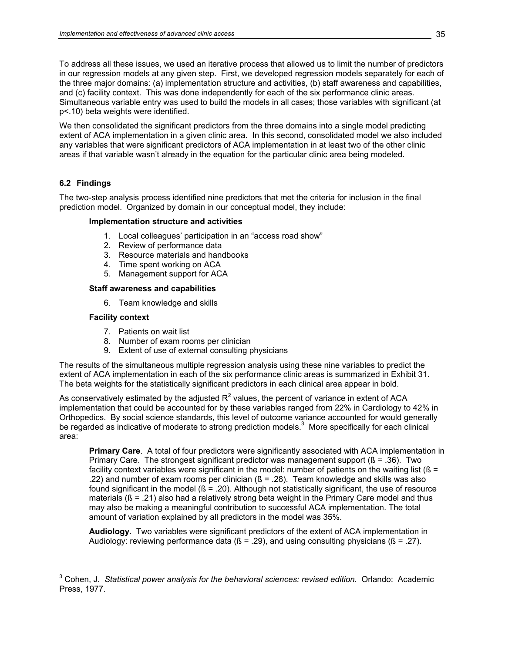To address all these issues, we used an iterative process that allowed us to limit the number of predictors in our regression models at any given step. First, we developed regression models separately for each of the three major domains: (a) implementation structure and activities, (b) staff awareness and capabilities, and (c) facility context. This was done independently for each of the six performance clinic areas. Simultaneous variable entry was used to build the models in all cases; those variables with significant (at p<.10) beta weights were identified.

We then consolidated the significant predictors from the three domains into a single model predicting extent of ACA implementation in a given clinic area. In this second, consolidated model we also included any variables that were significant predictors of ACA implementation in at least two of the other clinic areas if that variable wasn't already in the equation for the particular clinic area being modeled.

# **6.2 Findings**

The two-step analysis process identified nine predictors that met the criteria for inclusion in the final prediction model. Organized by domain in our conceptual model, they include:

## **Implementation structure and activities**

- 1. Local colleagues' participation in an "access road show"
- 2. Review of performance data
- 3. Resource materials and handbooks
- 4. Time spent working on ACA
- 5. Management support for ACA

## **Staff awareness and capabilities**

6. Team knowledge and skills

## **Facility context**

- 7. Patients on wait list
- 8. Number of exam rooms per clinician
- 9. Extent of use of external consulting physicians

The results of the simultaneous multiple regression analysis using these nine variables to predict the extent of ACA implementation in each of the six performance clinic areas is summarized in Exhibit 31. The beta weights for the statistically significant predictors in each clinical area appear in bold.

As conservatively estimated by the adjusted  $R^2$  values, the percent of variance in extent of ACA implementation that could be accounted for by these variables ranged from 22% in Cardiology to 42% in Orthopedics. By social science standards, this level of outcome variance accounted for would generally be regarded as indicative of moderate to strong prediction models. $3$  More specifically for each clinical area:

**Primary Care.** A total of four predictors were significantly associated with ACA implementation in Primary Care. The strongest significant predictor was management support  $(8 = .36)$ . Two facility context variables were significant in the model: number of patients on the waiting list ( $\beta$  = .22) and number of exam rooms per clinician  $(6 = .28)$ . Team knowledge and skills was also found significant in the model  $(8 = .20)$ . Although not statistically significant, the use of resource materials  $(8 = .21)$  also had a relatively strong beta weight in the Primary Care model and thus may also be making a meaningful contribution to successful ACA implementation. The total amount of variation explained by all predictors in the model was 35%.

**Audiology.** Two variables were significant predictors of the extent of ACA implementation in Audiology: reviewing performance data  $(8 = .29)$ , and using consulting physicians  $(8 = .27)$ .

 3 Cohen, J. *Statistical power analysis for the behavioral sciences: revised edition.* Orlando: Academic Press, 1977.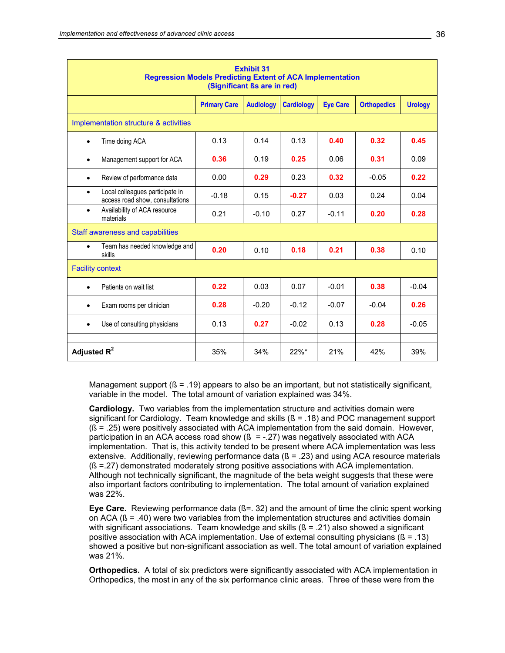| <b>Exhibit 31</b><br><b>Regression Models Predicting Extent of ACA Implementation</b><br>(Significant ßs are in red) |                     |                  |                   |                 |                    |                |  |  |  |
|----------------------------------------------------------------------------------------------------------------------|---------------------|------------------|-------------------|-----------------|--------------------|----------------|--|--|--|
|                                                                                                                      | <b>Primary Care</b> | <b>Audiology</b> | <b>Cardiology</b> | <b>Eye Care</b> | <b>Orthopedics</b> | <b>Urology</b> |  |  |  |
| Implementation structure & activities                                                                                |                     |                  |                   |                 |                    |                |  |  |  |
| Time doing ACA<br>$\bullet$                                                                                          | 0.13                | 0.14             | 0.13              | 0.40            | 0.32               | 0.45           |  |  |  |
| Management support for ACA<br>$\bullet$                                                                              | 0.36                | 0.19             | 0.25              | 0.06            | 0.31               | 0.09           |  |  |  |
| Review of performance data<br>$\bullet$                                                                              | 0.00                | 0.29             | 0.23              | 0.32            | $-0.05$            | 0.22           |  |  |  |
| Local colleagues participate in<br>$\bullet$<br>access road show, consultations                                      | $-0.18$             | 0.15             | $-0.27$           | 0.03            | 0.24               | 0.04           |  |  |  |
| Availability of ACA resource<br>$\bullet$<br>materials                                                               | 0.21                | $-0.10$          | 0.27              | $-0.11$         | 0.20               | 0.28           |  |  |  |
| Staff awareness and capabilities                                                                                     |                     |                  |                   |                 |                    |                |  |  |  |
| Team has needed knowledge and<br>$\bullet$<br>skills                                                                 | 0.20                | 0.10             | 0.18              | 0.21            | 0.38               | 0.10           |  |  |  |
| <b>Facility context</b>                                                                                              |                     |                  |                   |                 |                    |                |  |  |  |
| Patients on wait list<br>$\bullet$                                                                                   | 0.22                | 0.03             | 0.07              | $-0.01$         | 0.38               | $-0.04$        |  |  |  |
| Exam rooms per clinician<br>$\bullet$                                                                                | 0.28                | $-0.20$          | $-0.12$           | $-0.07$         | $-0.04$            | 0.26           |  |  |  |
| Use of consulting physicians<br>$\bullet$                                                                            | 0.13                | 0.27             | $-0.02$           | 0.13            | 0.28               | $-0.05$        |  |  |  |
| Adjusted $R^2$                                                                                                       | 35%                 | 34%              | $22\%$ *          | 21%             | 42%                | 39%            |  |  |  |

Management support  $(6 = .19)$  appears to also be an important, but not statistically significant, variable in the model. The total amount of variation explained was 34%.

**Cardiology.** Two variables from the implementation structure and activities domain were significant for Cardiology. Team knowledge and skills  $(8 = .18)$  and POC management support (ß = .25) were positively associated with ACA implementation from the said domain. However, participation in an ACA access road show  $($  =  $-27$ ) was negatively associated with ACA implementation. That is, this activity tended to be present where ACA implementation was less extensive. Additionally, reviewing performance data  $(6 = .23)$  and using ACA resource materials (ß =.27) demonstrated moderately strong positive associations with ACA implementation. Although not technically significant, the magnitude of the beta weight suggests that these were also important factors contributing to implementation. The total amount of variation explained was 22%.

**Eye Care.** Reviewing performance data (ß=. 32) and the amount of time the clinic spent working on ACA (ß = .40) were two variables from the implementation structures and activities domain with significant associations. Team knowledge and skills  $(ß = .21)$  also showed a significant positive association with ACA implementation. Use of external consulting physicians (ß = .13) showed a positive but non-significant association as well. The total amount of variation explained was 21%.

**Orthopedics.** A total of six predictors were significantly associated with ACA implementation in Orthopedics, the most in any of the six performance clinic areas. Three of these were from the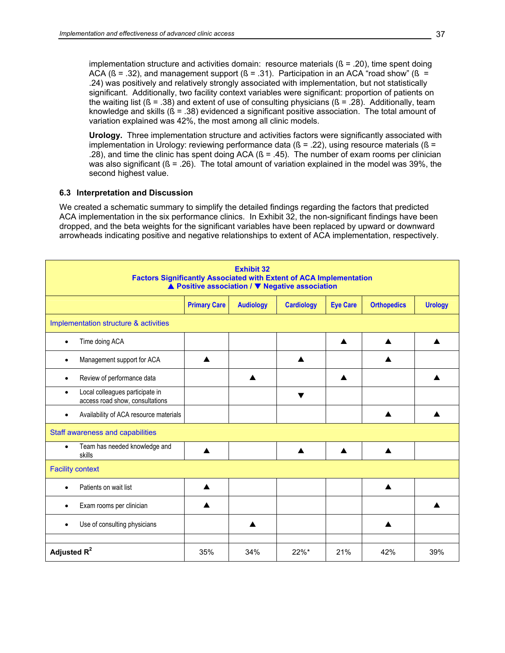implementation structure and activities domain: resource materials  $(8 = .20)$ , time spent doing ACA ( $\beta$  = .32), and management support ( $\beta$  = .31). Participation in an ACA "road show" ( $\beta$  = .24) was positively and relatively strongly associated with implementation, but not statistically significant. Additionally, two facility context variables were significant: proportion of patients on the waiting list ( $\beta$  = .38) and extent of use of consulting physicians ( $\beta$  = .28). Additionally, team knowledge and skills (ß = .38) evidenced a significant positive association. The total amount of variation explained was 42%, the most among all clinic models.

**Urology.** Three implementation structure and activities factors were significantly associated with implementation in Urology: reviewing performance data ( $\beta$  = .22), using resource materials ( $\beta$  = .28), and time the clinic has spent doing ACA  $(B = .45)$ . The number of exam rooms per clinician was also significant  $(6 = .26)$ . The total amount of variation explained in the model was 39%, the second highest value.

#### **6.3 Interpretation and Discussion**

We created a schematic summary to simplify the detailed findings regarding the factors that predicted ACA implementation in the six performance clinics. In Exhibit 32, the non-significant findings have been dropped, and the beta weights for the significant variables have been replaced by upward or downward arrowheads indicating positive and negative relationships to extent of ACA implementation, respectively.

| <b>Exhibit 32</b><br><b>Factors Significantly Associated with Extent of ACA Implementation</b><br>▲ Positive association / ▼ Negative association |                     |                  |                      |                 |                    |                |  |  |  |
|---------------------------------------------------------------------------------------------------------------------------------------------------|---------------------|------------------|----------------------|-----------------|--------------------|----------------|--|--|--|
|                                                                                                                                                   | <b>Primary Care</b> | <b>Audiology</b> | <b>Cardiology</b>    | <b>Eye Care</b> | <b>Orthopedics</b> | <b>Urology</b> |  |  |  |
| Implementation structure & activities                                                                                                             |                     |                  |                      |                 |                    |                |  |  |  |
| Time doing ACA<br>$\bullet$                                                                                                                       |                     |                  |                      | ▲               |                    |                |  |  |  |
| Management support for ACA                                                                                                                        |                     |                  | ▲                    |                 |                    |                |  |  |  |
| Review of performance data<br>$\bullet$                                                                                                           |                     |                  |                      | ▲               |                    | ▲              |  |  |  |
| Local colleagues participate in<br>$\bullet$<br>access road show, consultations                                                                   |                     |                  | $\blacktriangledown$ |                 |                    |                |  |  |  |
| Availability of ACA resource materials<br>$\bullet$                                                                                               |                     |                  |                      |                 | ▲                  | ▲              |  |  |  |
| Staff awareness and capabilities                                                                                                                  |                     |                  |                      |                 |                    |                |  |  |  |
| Team has needed knowledge and<br>$\bullet$<br>skills                                                                                              | ▲                   |                  | $\blacktriangle$     | ▲               |                    |                |  |  |  |
| <b>Facility context</b>                                                                                                                           |                     |                  |                      |                 |                    |                |  |  |  |
| Patients on wait list                                                                                                                             | $\blacktriangle$    |                  |                      |                 | $\blacktriangle$   |                |  |  |  |
| Exam rooms per clinician                                                                                                                          |                     |                  |                      |                 |                    |                |  |  |  |
| Use of consulting physicians                                                                                                                      |                     |                  |                      |                 |                    |                |  |  |  |
| Adjusted R <sup>2</sup>                                                                                                                           | 35%                 | 34%              | 22%*                 | 21%             | 42%                | 39%            |  |  |  |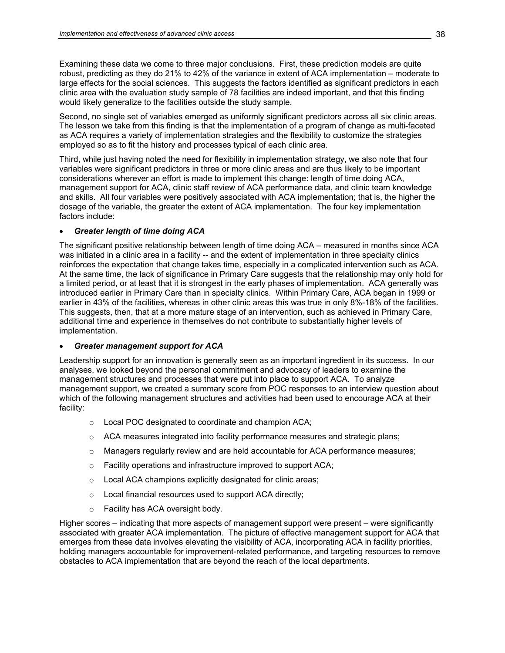Examining these data we come to three major conclusions. First, these prediction models are quite robust, predicting as they do 21% to 42% of the variance in extent of ACA implementation – moderate to large effects for the social sciences. This suggests the factors identified as significant predictors in each clinic area with the evaluation study sample of 78 facilities are indeed important, and that this finding would likely generalize to the facilities outside the study sample.

Second, no single set of variables emerged as uniformly significant predictors across all six clinic areas. The lesson we take from this finding is that the implementation of a program of change as multi-faceted as ACA requires a variety of implementation strategies and the flexibility to customize the strategies employed so as to fit the history and processes typical of each clinic area.

Third, while just having noted the need for flexibility in implementation strategy, we also note that four variables were significant predictors in three or more clinic areas and are thus likely to be important considerations wherever an effort is made to implement this change: length of time doing ACA, management support for ACA, clinic staff review of ACA performance data, and clinic team knowledge and skills. All four variables were positively associated with ACA implementation; that is, the higher the dosage of the variable, the greater the extent of ACA implementation. The four key implementation factors include:

## • *Greater length of time doing ACA*

The significant positive relationship between length of time doing ACA – measured in months since ACA was initiated in a clinic area in a facility -- and the extent of implementation in three specialty clinics reinforces the expectation that change takes time, especially in a complicated intervention such as ACA. At the same time, the lack of significance in Primary Care suggests that the relationship may only hold for a limited period, or at least that it is strongest in the early phases of implementation. ACA generally was introduced earlier in Primary Care than in specialty clinics. Within Primary Care, ACA began in 1999 or earlier in 43% of the facilities, whereas in other clinic areas this was true in only 8%-18% of the facilities. This suggests, then, that at a more mature stage of an intervention, such as achieved in Primary Care, additional time and experience in themselves do not contribute to substantially higher levels of implementation.

## • *Greater management support for ACA*

Leadership support for an innovation is generally seen as an important ingredient in its success. In our analyses, we looked beyond the personal commitment and advocacy of leaders to examine the management structures and processes that were put into place to support ACA. To analyze management support, we created a summary score from POC responses to an interview question about which of the following management structures and activities had been used to encourage ACA at their facility:

- o Local POC designated to coordinate and champion ACA;
- $\circ$  ACA measures integrated into facility performance measures and strategic plans;
- $\circ$  Managers regularly review and are held accountable for ACA performance measures;
- o Facility operations and infrastructure improved to support ACA;
- o Local ACA champions explicitly designated for clinic areas;
- o Local financial resources used to support ACA directly;
- o Facility has ACA oversight body.

Higher scores – indicating that more aspects of management support were present – were significantly associated with greater ACA implementation. The picture of effective management support for ACA that emerges from these data involves elevating the visibility of ACA, incorporating ACA in facility priorities, holding managers accountable for improvement-related performance, and targeting resources to remove obstacles to ACA implementation that are beyond the reach of the local departments.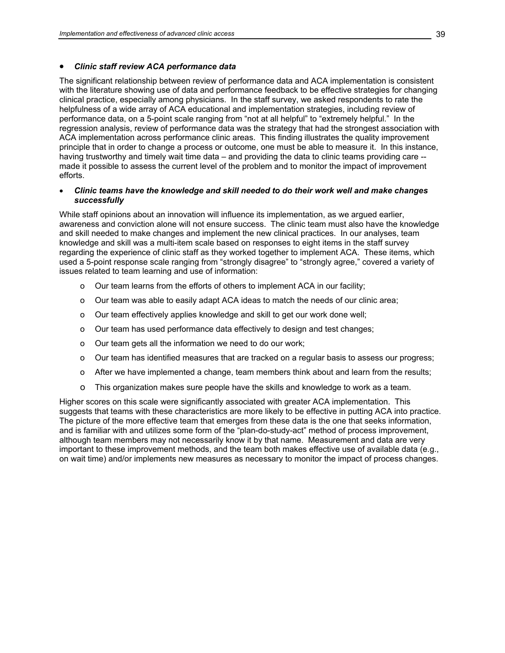#### • *Clinic staff review ACA performance data*

The significant relationship between review of performance data and ACA implementation is consistent with the literature showing use of data and performance feedback to be effective strategies for changing clinical practice, especially among physicians. In the staff survey, we asked respondents to rate the helpfulness of a wide array of ACA educational and implementation strategies, including review of performance data, on a 5-point scale ranging from "not at all helpful" to "extremely helpful." In the regression analysis, review of performance data was the strategy that had the strongest association with ACA implementation across performance clinic areas. This finding illustrates the quality improvement principle that in order to change a process or outcome, one must be able to measure it. In this instance, having trustworthy and timely wait time data – and providing the data to clinic teams providing care - made it possible to assess the current level of the problem and to monitor the impact of improvement efforts.

## • *Clinic teams have the knowledge and skill needed to do their work well and make changes successfully*

While staff opinions about an innovation will influence its implementation, as we argued earlier, awareness and conviction alone will not ensure success. The clinic team must also have the knowledge and skill needed to make changes and implement the new clinical practices. In our analyses, team knowledge and skill was a multi-item scale based on responses to eight items in the staff survey regarding the experience of clinic staff as they worked together to implement ACA. These items, which used a 5-point response scale ranging from "strongly disagree" to "strongly agree," covered a variety of issues related to team learning and use of information:

- o Our team learns from the efforts of others to implement ACA in our facility;
- o Our team was able to easily adapt ACA ideas to match the needs of our clinic area;
- o Our team effectively applies knowledge and skill to get our work done well;
- o Our team has used performance data effectively to design and test changes;
- o Our team gets all the information we need to do our work;
- o Our team has identified measures that are tracked on a regular basis to assess our progress;
- o After we have implemented a change, team members think about and learn from the results;
- o This organization makes sure people have the skills and knowledge to work as a team.

Higher scores on this scale were significantly associated with greater ACA implementation. This suggests that teams with these characteristics are more likely to be effective in putting ACA into practice. The picture of the more effective team that emerges from these data is the one that seeks information, and is familiar with and utilizes some form of the "plan-do-study-act" method of process improvement, although team members may not necessarily know it by that name. Measurement and data are very important to these improvement methods, and the team both makes effective use of available data (e.g., on wait time) and/or implements new measures as necessary to monitor the impact of process changes.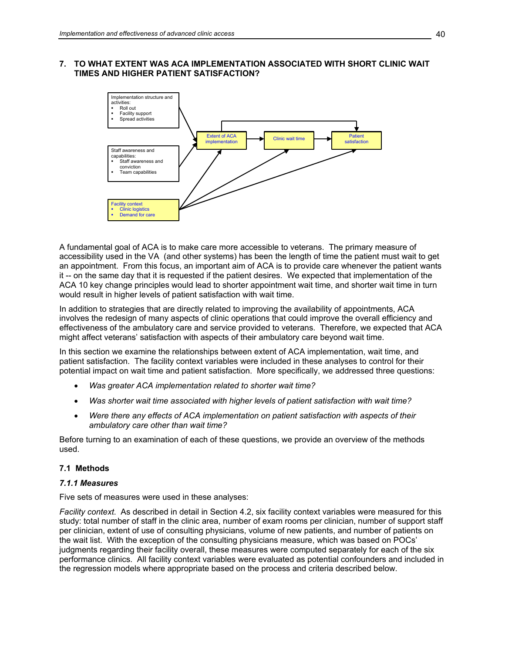## **7. TO WHAT EXTENT WAS ACA IMPLEMENTATION ASSOCIATED WITH SHORT CLINIC WAIT TIMES AND HIGHER PATIENT SATISFACTION?**



A fundamental goal of ACA is to make care more accessible to veterans. The primary measure of accessibility used in the VA (and other systems) has been the length of time the patient must wait to get an appointment. From this focus, an important aim of ACA is to provide care whenever the patient wants it -- on the same day that it is requested if the patient desires. We expected that implementation of the ACA 10 key change principles would lead to shorter appointment wait time, and shorter wait time in turn would result in higher levels of patient satisfaction with wait time.

In addition to strategies that are directly related to improving the availability of appointments, ACA involves the redesign of many aspects of clinic operations that could improve the overall efficiency and effectiveness of the ambulatory care and service provided to veterans. Therefore, we expected that ACA might affect veterans' satisfaction with aspects of their ambulatory care beyond wait time.

In this section we examine the relationships between extent of ACA implementation, wait time, and patient satisfaction. The facility context variables were included in these analyses to control for their potential impact on wait time and patient satisfaction. More specifically, we addressed three questions:

- *Was greater ACA implementation related to shorter wait time?*
- *Was shorter wait time associated with higher levels of patient satisfaction with wait time?*
- *Were there any effects of ACA implementation on patient satisfaction with aspects of their ambulatory care other than wait time?*

Before turning to an examination of each of these questions, we provide an overview of the methods used.

## **7.1 Methods**

#### *7.1.1 Measures*

Five sets of measures were used in these analyses:

*Facility context*. As described in detail in Section 4.2, six facility context variables were measured for this study: total number of staff in the clinic area, number of exam rooms per clinician, number of support staff per clinician, extent of use of consulting physicians, volume of new patients, and number of patients on the wait list. With the exception of the consulting physicians measure, which was based on POCs' judgments regarding their facility overall, these measures were computed separately for each of the six performance clinics. All facility context variables were evaluated as potential confounders and included in the regression models where appropriate based on the process and criteria described below.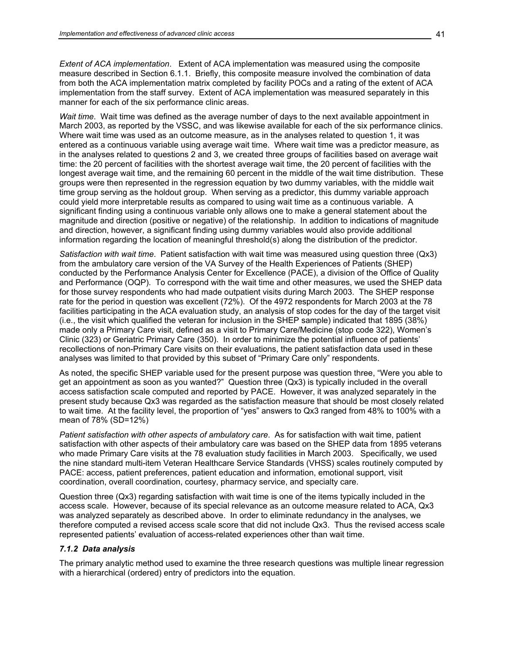*Extent of ACA implementation*. Extent of ACA implementation was measured using the composite measure described in Section 6.1.1. Briefly, this composite measure involved the combination of data from both the ACA implementation matrix completed by facility POCs and a rating of the extent of ACA implementation from the staff survey. Extent of ACA implementation was measured separately in this manner for each of the six performance clinic areas.

*Wait time*. Wait time was defined as the average number of days to the next available appointment in March 2003, as reported by the VSSC, and was likewise available for each of the six performance clinics. Where wait time was used as an outcome measure, as in the analyses related to question 1, it was entered as a continuous variable using average wait time. Where wait time was a predictor measure, as in the analyses related to questions 2 and 3, we created three groups of facilities based on average wait time: the 20 percent of facilities with the shortest average wait time, the 20 percent of facilities with the longest average wait time, and the remaining 60 percent in the middle of the wait time distribution. These groups were then represented in the regression equation by two dummy variables, with the middle wait time group serving as the holdout group. When serving as a predictor, this dummy variable approach could yield more interpretable results as compared to using wait time as a continuous variable. A significant finding using a continuous variable only allows one to make a general statement about the magnitude and direction (positive or negative) of the relationship. In addition to indications of magnitude and direction, however, a significant finding using dummy variables would also provide additional information regarding the location of meaningful threshold(s) along the distribution of the predictor.

*Satisfaction with wait time*. Patient satisfaction with wait time was measured using question three (Qx3) from the ambulatory care version of the VA Survey of the Health Experiences of Patients (SHEP) conducted by the Performance Analysis Center for Excellence (PACE), a division of the Office of Quality and Performance (OQP). To correspond with the wait time and other measures, we used the SHEP data for those survey respondents who had made outpatient visits during March 2003. The SHEP response rate for the period in question was excellent (72%). Of the 4972 respondents for March 2003 at the 78 facilities participating in the ACA evaluation study, an analysis of stop codes for the day of the target visit (i.e., the visit which qualified the veteran for inclusion in the SHEP sample) indicated that 1895 (38%) made only a Primary Care visit, defined as a visit to Primary Care/Medicine (stop code 322), Women's Clinic (323) or Geriatric Primary Care (350). In order to minimize the potential influence of patients' recollections of non-Primary Care visits on their evaluations, the patient satisfaction data used in these analyses was limited to that provided by this subset of "Primary Care only" respondents.

As noted, the specific SHEP variable used for the present purpose was question three, "Were you able to get an appointment as soon as you wanted?" Question three (Qx3) is typically included in the overall access satisfaction scale computed and reported by PACE. However, it was analyzed separately in the present study because Qx3 was regarded as the satisfaction measure that should be most closely related to wait time. At the facility level, the proportion of "yes" answers to Qx3 ranged from 48% to 100% with a mean of 78% (SD=12%)

*Patient satisfaction with other aspects of ambulatory care*. As for satisfaction with wait time, patient satisfaction with other aspects of their ambulatory care was based on the SHEP data from 1895 veterans who made Primary Care visits at the 78 evaluation study facilities in March 2003. Specifically, we used the nine standard multi-item Veteran Healthcare Service Standards (VHSS) scales routinely computed by PACE: access, patient preferences, patient education and information, emotional support, visit coordination, overall coordination, courtesy, pharmacy service, and specialty care.

Question three (Qx3) regarding satisfaction with wait time is one of the items typically included in the access scale. However, because of its special relevance as an outcome measure related to ACA, Qx3 was analyzed separately as described above. In order to eliminate redundancy in the analyses, we therefore computed a revised access scale score that did not include Qx3. Thus the revised access scale represented patients' evaluation of access-related experiences other than wait time.

#### *7.1.2 Data analysis*

The primary analytic method used to examine the three research questions was multiple linear regression with a hierarchical (ordered) entry of predictors into the equation.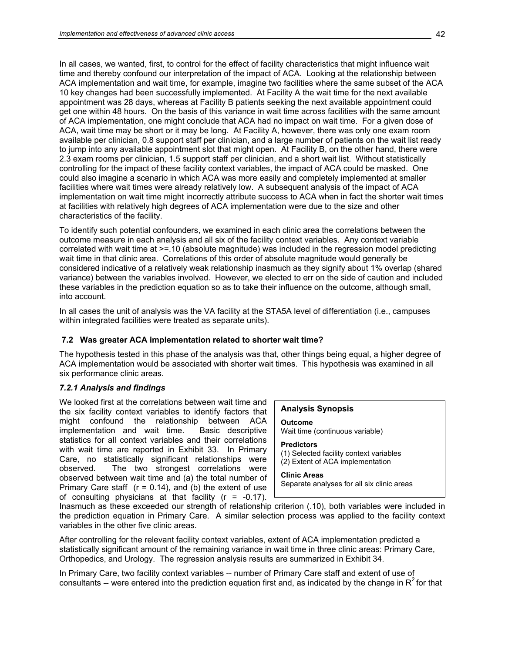In all cases, we wanted, first, to control for the effect of facility characteristics that might influence wait time and thereby confound our interpretation of the impact of ACA. Looking at the relationship between ACA implementation and wait time, for example, imagine two facilities where the same subset of the ACA 10 key changes had been successfully implemented. At Facility A the wait time for the next available appointment was 28 days, whereas at Facility B patients seeking the next available appointment could get one within 48 hours. On the basis of this variance in wait time across facilities with the same amount of ACA implementation, one might conclude that ACA had no impact on wait time. For a given dose of ACA, wait time may be short or it may be long. At Facility A, however, there was only one exam room available per clinician, 0.8 support staff per clinician, and a large number of patients on the wait list ready to jump into any available appointment slot that might open. At Facility B, on the other hand, there were 2.3 exam rooms per clinician, 1.5 support staff per clinician, and a short wait list. Without statistically controlling for the impact of these facility context variables, the impact of ACA could be masked. One could also imagine a scenario in which ACA was more easily and completely implemented at smaller facilities where wait times were already relatively low. A subsequent analysis of the impact of ACA implementation on wait time might incorrectly attribute success to ACA when in fact the shorter wait times at facilities with relatively high degrees of ACA implementation were due to the size and other characteristics of the facility.

To identify such potential confounders, we examined in each clinic area the correlations between the outcome measure in each analysis and all six of the facility context variables. Any context variable correlated with wait time at >=.10 (absolute magnitude) was included in the regression model predicting wait time in that clinic area. Correlations of this order of absolute magnitude would generally be considered indicative of a relatively weak relationship inasmuch as they signify about 1% overlap (shared variance) between the variables involved. However, we elected to err on the side of caution and included these variables in the prediction equation so as to take their influence on the outcome, although small, into account.

In all cases the unit of analysis was the VA facility at the STA5A level of differentiation (i.e., campuses within integrated facilities were treated as separate units).

## **7.2 Was greater ACA implementation related to shorter wait time?**

The hypothesis tested in this phase of the analysis was that, other things being equal, a higher degree of ACA implementation would be associated with shorter wait times. This hypothesis was examined in all six performance clinic areas.

# *7.2.1 Analysis and findings*

We looked first at the correlations between wait time and the six facility context variables to identify factors that might confound the relationship between ACA implementation and wait time. Basic descriptive statistics for all context variables and their correlations with wait time are reported in Exhibit 33. In Primary Care, no statistically significant relationships were observed. The two strongest correlations were observed between wait time and (a) the total number of Primary Care staff  $(r = 0.14)$ , and (b) the extent of use of consulting physicians at that facility  $(r = -0.17)$ .

## **Analysis Synopsis**

**Outcome**  Wait time (continuous variable)

**Predictors**  (1) Selected facility context variables (2) Extent of ACA implementation

**Clinic Areas**  Separate analyses for all six clinic areas

Inasmuch as these exceeded our strength of relationship criterion (.10), both variables were included in the prediction equation in Primary Care. A similar selection process was applied to the facility context variables in the other five clinic areas.

After controlling for the relevant facility context variables, extent of ACA implementation predicted a statistically significant amount of the remaining variance in wait time in three clinic areas: Primary Care, Orthopedics, and Urology. The regression analysis results are summarized in Exhibit 34.

In Primary Care, two facility context variables -- number of Primary Care staff and extent of use of consultants -- were entered into the prediction equation first and, as indicated by the change in  $R^2$  for that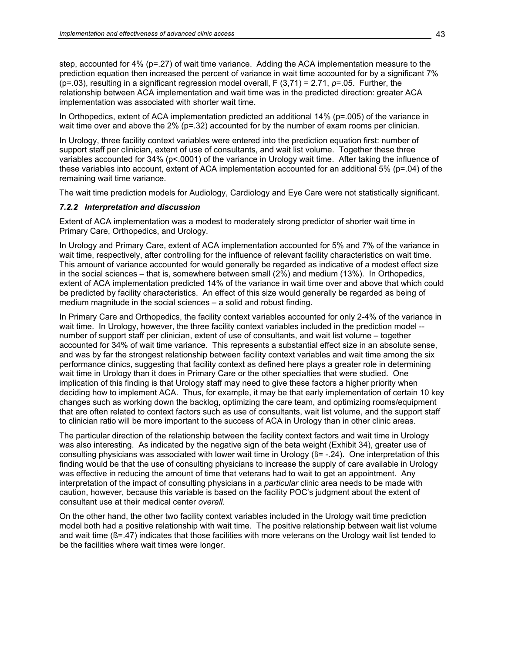step, accounted for 4% (p=.27) of wait time variance. Adding the ACA implementation measure to the prediction equation then increased the percent of variance in wait time accounted for by a significant 7% (p=.03), resulting in a significant regression model overall, F (3,71) = 2.71, *p*=.05. Further, the relationship between ACA implementation and wait time was in the predicted direction: greater ACA implementation was associated with shorter wait time.

In Orthopedics, extent of ACA implementation predicted an additional 14% (p=.005) of the variance in wait time over and above the 2% (p=.32) accounted for by the number of exam rooms per clinician.

In Urology, three facility context variables were entered into the prediction equation first: number of support staff per clinician, extent of use of consultants, and wait list volume. Together these three variables accounted for 34% (p<.0001) of the variance in Urology wait time. After taking the influence of these variables into account, extent of ACA implementation accounted for an additional 5% (p=.04) of the remaining wait time variance.

The wait time prediction models for Audiology, Cardiology and Eye Care were not statistically significant.

#### *7.2.2 Interpretation and discussion*

Extent of ACA implementation was a modest to moderately strong predictor of shorter wait time in Primary Care, Orthopedics, and Urology.

In Urology and Primary Care, extent of ACA implementation accounted for 5% and 7% of the variance in wait time, respectively, after controlling for the influence of relevant facility characteristics on wait time. This amount of variance accounted for would generally be regarded as indicative of a modest effect size in the social sciences – that is, somewhere between small (2%) and medium (13%). In Orthopedics, extent of ACA implementation predicted 14% of the variance in wait time over and above that which could be predicted by facility characteristics. An effect of this size would generally be regarded as being of medium magnitude in the social sciences – a solid and robust finding.

In Primary Care and Orthopedics, the facility context variables accounted for only 2-4% of the variance in wait time. In Urology, however, the three facility context variables included in the prediction model -number of support staff per clinician, extent of use of consultants, and wait list volume – together accounted for 34% of wait time variance. This represents a substantial effect size in an absolute sense, and was by far the strongest relationship between facility context variables and wait time among the six performance clinics, suggesting that facility context as defined here plays a greater role in determining wait time in Urology than it does in Primary Care or the other specialties that were studied. One implication of this finding is that Urology staff may need to give these factors a higher priority when deciding how to implement ACA. Thus, for example, it may be that early implementation of certain 10 key changes such as working down the backlog, optimizing the care team, and optimizing rooms/equipment that are often related to context factors such as use of consultants, wait list volume, and the support staff to clinician ratio will be more important to the success of ACA in Urology than in other clinic areas.

The particular direction of the relationship between the facility context factors and wait time in Urology was also interesting. As indicated by the negative sign of the beta weight (Exhibit 34), greater use of consulting physicians was associated with lower wait time in Urology  $(\beta = -0.24)$ . One interpretation of this finding would be that the use of consulting physicians to increase the supply of care available in Urology was effective in reducing the amount of time that veterans had to wait to get an appointment. Any interpretation of the impact of consulting physicians in a *particular* clinic area needs to be made with caution, however, because this variable is based on the facility POC's judgment about the extent of consultant use at their medical center *overall*.

On the other hand, the other two facility context variables included in the Urology wait time prediction model both had a positive relationship with wait time. The positive relationship between wait list volume and wait time ( $B = .47$ ) indicates that those facilities with more veterans on the Urology wait list tended to be the facilities where wait times were longer.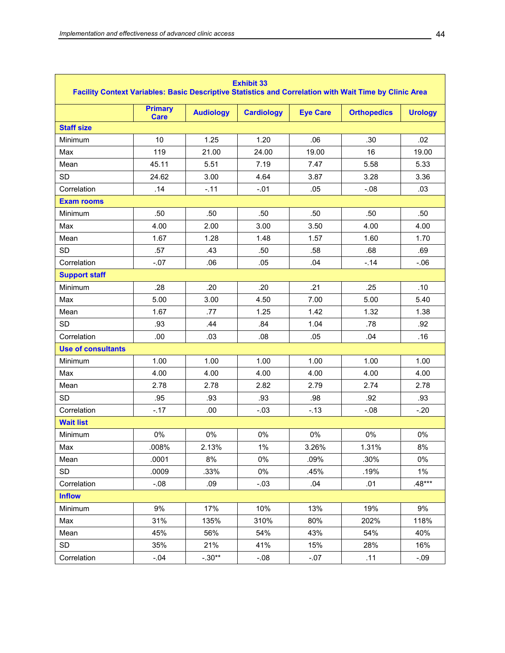| <b>Exhibit 33</b><br>Facility Context Variables: Basic Descriptive Statistics and Correlation with Wait Time by Clinic Area |                               |                  |                   |                 |                    |                |  |  |  |  |
|-----------------------------------------------------------------------------------------------------------------------------|-------------------------------|------------------|-------------------|-----------------|--------------------|----------------|--|--|--|--|
|                                                                                                                             | <b>Primary</b><br><b>Care</b> | <b>Audiology</b> | <b>Cardiology</b> | <b>Eye Care</b> | <b>Orthopedics</b> | <b>Urology</b> |  |  |  |  |
| <b>Staff size</b>                                                                                                           |                               |                  |                   |                 |                    |                |  |  |  |  |
| Minimum                                                                                                                     | 10                            | 1.25             | 1.20              | .06             | .30                | .02            |  |  |  |  |
| Max                                                                                                                         | 119                           | 21.00            | 24.00             | 19.00           | 16                 | 19.00          |  |  |  |  |
| Mean                                                                                                                        | 45.11                         | 5.51             | 7.19              | 7.47            | 5.58               | 5.33           |  |  |  |  |
| <b>SD</b>                                                                                                                   | 24.62                         | 3.00             | 4.64              | 3.87            | 3.28               | 3.36           |  |  |  |  |
| Correlation                                                                                                                 | .14                           | $-.11$           | $-.01$            | .05             | $-0.08$            | .03            |  |  |  |  |
| <b>Exam rooms</b>                                                                                                           |                               |                  |                   |                 |                    |                |  |  |  |  |
| Minimum                                                                                                                     | .50                           | .50              | .50               | .50             | .50                | .50            |  |  |  |  |
| Max                                                                                                                         | 4.00                          | 2.00             | 3.00              | 3.50            | 4.00               | 4.00           |  |  |  |  |
| Mean                                                                                                                        | 1.67                          | 1.28             | 1.48              | 1.57            | 1.60               | 1.70           |  |  |  |  |
| <b>SD</b>                                                                                                                   | .57                           | .43              | .50               | .58             | .68                | .69            |  |  |  |  |
| Correlation                                                                                                                 | $-.07$                        | .06              | .05               | .04             | $-14$              | $-.06$         |  |  |  |  |
| <b>Support staff</b>                                                                                                        |                               |                  |                   |                 |                    |                |  |  |  |  |
| Minimum                                                                                                                     | .28                           | .20              | .20               | .21             | .25                | .10            |  |  |  |  |
| Max                                                                                                                         | 5.00                          | 3.00             | 4.50              | 7.00            | 5.00               | 5.40           |  |  |  |  |
| Mean                                                                                                                        | 1.67                          | .77              | 1.25              | 1.42            | 1.32               | 1.38           |  |  |  |  |
| <b>SD</b>                                                                                                                   | .93                           | .44              | .84               | 1.04            | .78                | .92            |  |  |  |  |
| Correlation                                                                                                                 | .00                           | .03              | .08               | .05             | .04                | .16            |  |  |  |  |
| <b>Use of consultants</b>                                                                                                   |                               |                  |                   |                 |                    |                |  |  |  |  |
| Minimum                                                                                                                     | 1.00<br>1.00                  |                  | 1.00              | 1.00            | 1.00               | 1.00           |  |  |  |  |
| Max                                                                                                                         | 4.00                          | 4.00             | 4.00              | 4.00            | 4.00               | 4.00           |  |  |  |  |
| Mean                                                                                                                        | 2.78                          | 2.78             | 2.82              | 2.79            | 2.74               | 2.78           |  |  |  |  |
| <b>SD</b>                                                                                                                   | .95                           | .93              | .93               | .98             | .92                | .93            |  |  |  |  |
| Correlation                                                                                                                 | $-.17$                        | .00              | $-.03$            | $-13$           | $-0.08$            | $-.20$         |  |  |  |  |
| <b>Wait list</b>                                                                                                            |                               |                  |                   |                 |                    |                |  |  |  |  |
| Minimum                                                                                                                     | 0%                            | 0%               | 0%                | 0%              | $0\%$              | 0%             |  |  |  |  |
| Max                                                                                                                         | .008%                         | 2.13%            | $1\%$             | 3.26%           | 1.31%              | $8\%$          |  |  |  |  |
| Mean                                                                                                                        | .0001                         | 8%               | $0\%$             | .09%            | .30%               | 0%             |  |  |  |  |
| <b>SD</b>                                                                                                                   | .0009                         | .33%             | $0\%$             | .45%            | .19%               | $1\%$          |  |  |  |  |
| Correlation                                                                                                                 | $-0.08$                       | .09              | $-.03$            | .04             | .01                | $.48***$       |  |  |  |  |
| <b>Inflow</b>                                                                                                               |                               |                  |                   |                 |                    |                |  |  |  |  |
| Minimum                                                                                                                     | 9%                            | 17%              | 10%               | 13%             | 19%                | 9%             |  |  |  |  |
| Max                                                                                                                         | 31%                           | 135%             | 310%              | 80%             | 202%               | 118%           |  |  |  |  |
| Mean                                                                                                                        | 45%                           | 56%              | 54%               | 43%             | 54%                | 40%            |  |  |  |  |
| SD                                                                                                                          | 35%                           | 21%              | 41%               | 15%             | 28%                | 16%            |  |  |  |  |
| Correlation                                                                                                                 | $-0.04$                       | $-.30**$         | $-0.08$           | .11             | $-.09$             |                |  |  |  |  |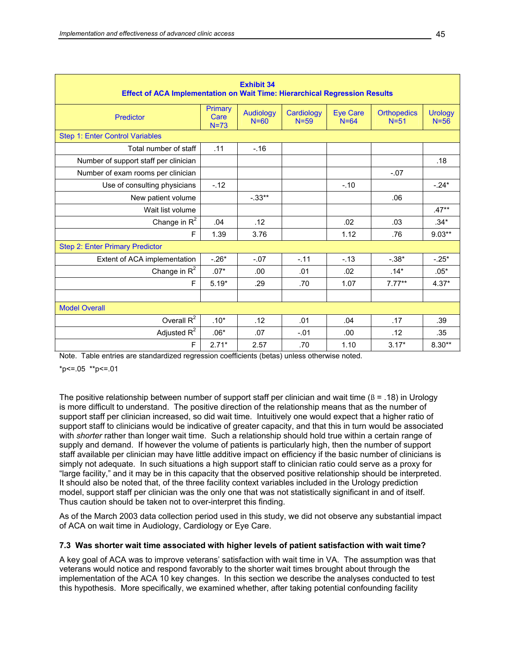| <b>Exhibit 34</b><br><b>Effect of ACA Implementation on Wait Time: Hierarchical Regression Results</b> |                           |                              |                        |                             |                              |                            |  |  |  |  |
|--------------------------------------------------------------------------------------------------------|---------------------------|------------------------------|------------------------|-----------------------------|------------------------------|----------------------------|--|--|--|--|
| Predictor                                                                                              | Primary<br>Care<br>$N=73$ | <b>Audiology</b><br>$N = 60$ | Cardiology<br>$N = 59$ | <b>Eye Care</b><br>$N = 64$ | <b>Orthopedics</b><br>$N=51$ | <b>Urology</b><br>$N = 56$ |  |  |  |  |
| <b>Step 1: Enter Control Variables</b>                                                                 |                           |                              |                        |                             |                              |                            |  |  |  |  |
| Total number of staff                                                                                  | .11                       | $-.16$                       |                        |                             |                              |                            |  |  |  |  |
| Number of support staff per clinician                                                                  |                           |                              |                        |                             |                              | .18                        |  |  |  |  |
| Number of exam rooms per clinician                                                                     |                           |                              |                        |                             | $-.07$                       |                            |  |  |  |  |
| Use of consulting physicians                                                                           | $-.12$                    |                              |                        | $-.10$                      |                              | $-.24*$                    |  |  |  |  |
| New patient volume                                                                                     |                           | $-.33**$                     |                        |                             | .06                          |                            |  |  |  |  |
| Wait list volume                                                                                       |                           |                              |                        |                             |                              | $.47**$                    |  |  |  |  |
| Change in $R^2$                                                                                        | .04                       | .12                          |                        | .02                         | .03                          | $.34*$                     |  |  |  |  |
| E                                                                                                      | 1.39                      | 3.76                         |                        | 1.12                        | .76                          | $9.03**$                   |  |  |  |  |
| <b>Step 2: Enter Primary Predictor</b>                                                                 |                           |                              |                        |                             |                              |                            |  |  |  |  |
| Extent of ACA implementation                                                                           | $-.26*$                   | $-.07$                       | $-.11$                 | $-13$                       | $-.38*$                      | $-.25*$                    |  |  |  |  |
| Change in $R^2$                                                                                        | $.07*$                    | .00                          | .01                    | .02                         | $.14*$                       | $.05*$                     |  |  |  |  |
| F                                                                                                      | $5.19*$                   | .29                          | .70                    | 1.07                        | $7.77***$                    | $4.37*$                    |  |  |  |  |
|                                                                                                        |                           |                              |                        |                             |                              |                            |  |  |  |  |
| <b>Model Overall</b>                                                                                   |                           |                              |                        |                             |                              |                            |  |  |  |  |
| Overall $R^2$                                                                                          | $.10*$                    | .12                          | .01                    | .04                         | .17                          | .39                        |  |  |  |  |
| Adjusted $R^2$                                                                                         | $.06*$                    | .07                          | $-.01$                 | .00                         | .12                          | .35                        |  |  |  |  |
| F                                                                                                      | $2.71*$                   | 2.57                         | .70                    | 1.10                        | $3.17*$                      | $8.30**$                   |  |  |  |  |

Note. Table entries are standardized regression coefficients (betas) unless otherwise noted.

 $*p<=.05$  \*\*p<=.01

The positive relationship between number of support staff per clinician and wait time ( $\beta$  = .18) in Urology is more difficult to understand. The positive direction of the relationship means that as the number of support staff per clinician increased, so did wait time. Intuitively one would expect that a higher ratio of support staff to clinicians would be indicative of greater capacity, and that this in turn would be associated with *shorter* rather than longer wait time. Such a relationship should hold true within a certain range of supply and demand. If however the volume of patients is particularly high, then the number of support staff available per clinician may have little additive impact on efficiency if the basic number of clinicians is simply not adequate. In such situations a high support staff to clinician ratio could serve as a proxy for "large facility," and it may be in this capacity that the observed positive relationship should be interpreted. It should also be noted that, of the three facility context variables included in the Urology prediction model, support staff per clinician was the only one that was not statistically significant in and of itself. Thus caution should be taken not to over-interpret this finding.

As of the March 2003 data collection period used in this study, we did not observe any substantial impact of ACA on wait time in Audiology, Cardiology or Eye Care.

#### **7.3 Was shorter wait time associated with higher levels of patient satisfaction with wait time?**

A key goal of ACA was to improve veterans' satisfaction with wait time in VA. The assumption was that veterans would notice and respond favorably to the shorter wait times brought about through the implementation of the ACA 10 key changes. In this section we describe the analyses conducted to test this hypothesis. More specifically, we examined whether, after taking potential confounding facility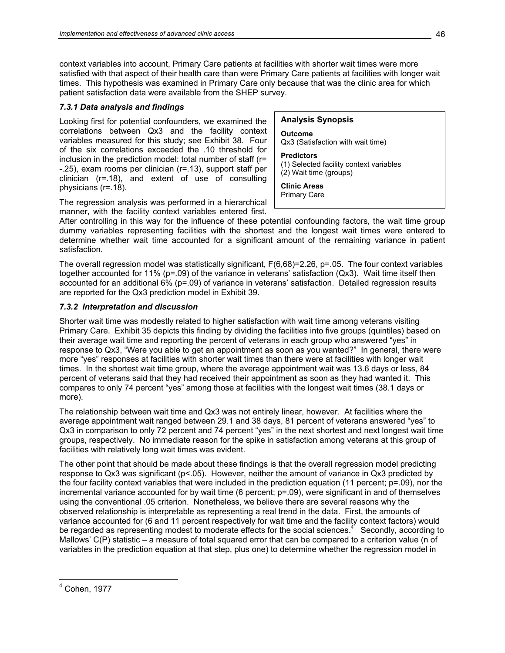context variables into account, Primary Care patients at facilities with shorter wait times were more satisfied with that aspect of their health care than were Primary Care patients at facilities with longer wait times. This hypothesis was examined in Primary Care only because that was the clinic area for which patient satisfaction data were available from the SHEP survey.

## *7.3.1 Data analysis and findings*

Looking first for potential confounders, we examined the correlations between Qx3 and the facility context variables measured for this study; see Exhibit 38. Four of the six correlations exceeded the .10 threshold for inclusion in the prediction model: total number of staff (r= -.25), exam rooms per clinician (r=.13), support staff per clinician (r=.18), and extent of use of consulting physicians (r=.18).

#### **Analysis Synopsis**

**Outcome**  Qx3 (Satisfaction with wait time)

#### **Predictors**

(1) Selected facility context variables (2) Wait time (groups)

## **Clinic Areas**

Primary Care

The regression analysis was performed in a hierarchical manner, with the facility context variables entered first.

After controlling in this way for the influence of these potential confounding factors, the wait time group dummy variables representing facilities with the shortest and the longest wait times were entered to determine whether wait time accounted for a significant amount of the remaining variance in patient satisfaction.

The overall regression model was statistically significant, F(6,68)=2.26, p=.05. The four context variables together accounted for 11% (p=.09) of the variance in veterans' satisfaction (Qx3). Wait time itself then accounted for an additional 6% (p=.09) of variance in veterans' satisfaction. Detailed regression results are reported for the Qx3 prediction model in Exhibit 39.

## *7.3.2 Interpretation and discussion*

Shorter wait time was modestly related to higher satisfaction with wait time among veterans visiting Primary Care. Exhibit 35 depicts this finding by dividing the facilities into five groups (quintiles) based on their average wait time and reporting the percent of veterans in each group who answered "yes" in response to Qx3, "Were you able to get an appointment as soon as you wanted?" In general, there were more "yes" responses at facilities with shorter wait times than there were at facilities with longer wait times. In the shortest wait time group, where the average appointment wait was 13.6 days or less, 84 percent of veterans said that they had received their appointment as soon as they had wanted it. This compares to only 74 percent "yes" among those at facilities with the longest wait times (38.1 days or more).

The relationship between wait time and Qx3 was not entirely linear, however. At facilities where the average appointment wait ranged between 29.1 and 38 days, 81 percent of veterans answered "yes" to Qx3 in comparison to only 72 percent and 74 percent "yes" in the next shortest and next longest wait time groups, respectively. No immediate reason for the spike in satisfaction among veterans at this group of facilities with relatively long wait times was evident.

The other point that should be made about these findings is that the overall regression model predicting response to Qx3 was significant (p<.05). However, neither the amount of variance in Qx3 predicted by the four facility context variables that were included in the prediction equation (11 percent; p=.09), nor the incremental variance accounted for by wait time (6 percent; p=.09), were significant in and of themselves using the conventional .05 criterion. Nonetheless, we believe there are several reasons why the observed relationship is interpretable as representing a real trend in the data. First, the amounts of variance accounted for (6 and 11 percent respectively for wait time and the facility context factors) would be regarded as representing modest to moderate effects for the social sciences.<sup>4</sup> Secondly, according to Mallows' C(P) statistic – a measure of total squared error that can be compared to a criterion value (n of variables in the prediction equation at that step, plus one) to determine whether the regression model in

 $\overline{a}$ 

<sup>4</sup> Cohen, 1977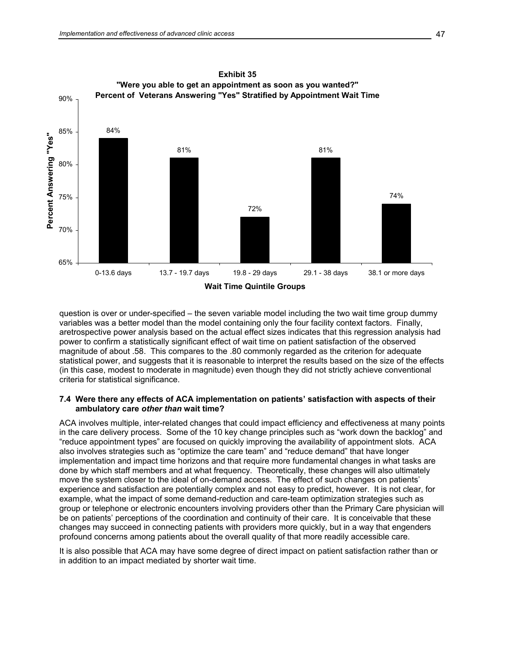

question is over or under-specified – the seven variable model including the two wait time group dummy variables was a better model than the model containing only the four facility context factors. Finally, aretrospective power analysis based on the actual effect sizes indicates that this regression analysis had power to confirm a statistically significant effect of wait time on patient satisfaction of the observed magnitude of about .58. This compares to the .80 commonly regarded as the criterion for adequate statistical power, and suggests that it is reasonable to interpret the results based on the size of the effects (in this case, modest to moderate in magnitude) even though they did not strictly achieve conventional criteria for statistical significance.

#### **7.4 Were there any effects of ACA implementation on patients' satisfaction with aspects of their ambulatory care** *other than* **wait time?**

ACA involves multiple, inter-related changes that could impact efficiency and effectiveness at many points in the care delivery process. Some of the 10 key change principles such as "work down the backlog" and "reduce appointment types" are focused on quickly improving the availability of appointment slots. ACA also involves strategies such as "optimize the care team" and "reduce demand" that have longer implementation and impact time horizons and that require more fundamental changes in what tasks are done by which staff members and at what frequency. Theoretically, these changes will also ultimately move the system closer to the ideal of on-demand access. The effect of such changes on patients' experience and satisfaction are potentially complex and not easy to predict, however. It is not clear, for example, what the impact of some demand-reduction and care-team optimization strategies such as group or telephone or electronic encounters involving providers other than the Primary Care physician will be on patients' perceptions of the coordination and continuity of their care. It is conceivable that these changes may succeed in connecting patients with providers more quickly, but in a way that engenders profound concerns among patients about the overall quality of that more readily accessible care.

It is also possible that ACA may have some degree of direct impact on patient satisfaction rather than or in addition to an impact mediated by shorter wait time.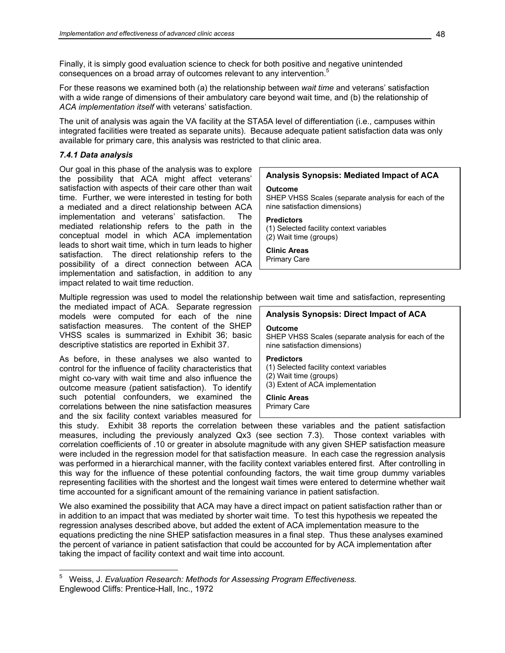Finally, it is simply good evaluation science to check for both positive and negative unintended consequences on a broad array of outcomes relevant to any intervention.<sup>5</sup>

For these reasons we examined both (a) the relationship between *wait time* and veterans' satisfaction with a wide range of dimensions of their ambulatory care beyond wait time, and (b) the relationship of *ACA implementation itself* with veterans' satisfaction.

The unit of analysis was again the VA facility at the STA5A level of differentiation (i.e., campuses within integrated facilities were treated as separate units). Because adequate patient satisfaction data was only available for primary care, this analysis was restricted to that clinic area.

## *7.4.1 Data analysis*

Our goal in this phase of the analysis was to explore the possibility that ACA might affect veterans' satisfaction with aspects of their care other than wait time. Further, we were interested in testing for both a mediated and a direct relationship between ACA implementation and veterans' satisfaction. The mediated relationship refers to the path in the conceptual model in which ACA implementation leads to short wait time, which in turn leads to higher satisfaction. The direct relationship refers to the possibility of a direct connection between ACA implementation and satisfaction, in addition to any impact related to wait time reduction.

## **Analysis Synopsis: Mediated Impact of ACA**

#### **Outcome**

SHEP VHSS Scales (separate analysis for each of the nine satisfaction dimensions)

#### **Predictors**

(1) Selected facility context variables (2) Wait time (groups)

## **Clinic Areas**

Primary Care

Multiple regression was used to model the relationship between wait time and satisfaction, representing

the mediated impact of ACA. Separate regression models were computed for each of the nine satisfaction measures. The content of the SHEP VHSS scales is summarized in Exhibit 36; basic descriptive statistics are reported in Exhibit 37.

As before, in these analyses we also wanted to control for the influence of facility characteristics that might co-vary with wait time and also influence the outcome measure (patient satisfaction). To identify such potential confounders, we examined the correlations between the nine satisfaction measures and the six facility context variables measured for

**Analysis Synopsis: Direct Impact of ACA**

#### **Outcome**

SHEP VHSS Scales (separate analysis for each of the nine satisfaction dimensions)

## **Predictors**

(1) Selected facility context variables (2) Wait time (groups) (3) Extent of ACA implementation

# **Clinic Areas**

Primary Care

this study. Exhibit 38 reports the correlation between these variables and the patient satisfaction measures, including the previously analyzed Qx3 (see section 7.3). Those context variables with correlation coefficients of .10 or greater in absolute magnitude with any given SHEP satisfaction measure were included in the regression model for that satisfaction measure. In each case the regression analysis was performed in a hierarchical manner, with the facility context variables entered first. After controlling in this way for the influence of these potential confounding factors, the wait time group dummy variables representing facilities with the shortest and the longest wait times were entered to determine whether wait time accounted for a significant amount of the remaining variance in patient satisfaction.

We also examined the possibility that ACA may have a direct impact on patient satisfaction rather than or in addition to an impact that was mediated by shorter wait time. To test this hypothesis we repeated the regression analyses described above, but added the extent of ACA implementation measure to the equations predicting the nine SHEP satisfaction measures in a final step. Thus these analyses examined the percent of variance in patient satisfaction that could be accounted for by ACA implementation after taking the impact of facility context and wait time into account.

 $\frac{1}{5}$  Weiss, J. *Evaluation Research: Methods for Assessing Program Effectiveness.* Englewood Cliffs: Prentice-Hall, Inc., 1972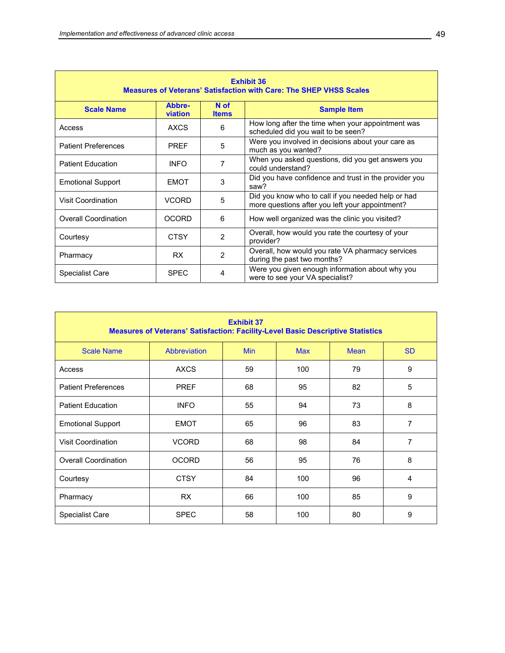| <b>Exhibit 36</b><br><b>Measures of Veterans' Satisfaction with Care: The SHEP VHSS Scales</b> |                   |                      |                                                                                                       |  |  |  |  |  |
|------------------------------------------------------------------------------------------------|-------------------|----------------------|-------------------------------------------------------------------------------------------------------|--|--|--|--|--|
| <b>Scale Name</b>                                                                              | Abbre-<br>viation | N of<br><b>Items</b> | <b>Sample Item</b>                                                                                    |  |  |  |  |  |
| Access                                                                                         | AXCS              | 6                    | How long after the time when your appointment was<br>scheduled did you wait to be seen?               |  |  |  |  |  |
| <b>Patient Preferences</b>                                                                     | <b>PREF</b>       | 5                    | Were you involved in decisions about your care as<br>much as you wanted?                              |  |  |  |  |  |
| <b>Patient Education</b>                                                                       | <b>INFO</b>       | 7                    | When you asked questions, did you get answers you<br>could understand?                                |  |  |  |  |  |
| <b>Emotional Support</b>                                                                       | <b>EMOT</b>       | 3                    | Did you have confidence and trust in the provider you<br>saw?                                         |  |  |  |  |  |
| <b>Visit Coordination</b>                                                                      | <b>VCORD</b>      | 5                    | Did you know who to call if you needed help or had<br>more questions after you left your appointment? |  |  |  |  |  |
| <b>Overall Coordination</b>                                                                    | <b>OCORD</b>      | 6                    | How well organized was the clinic you visited?                                                        |  |  |  |  |  |
| Courtesy                                                                                       | <b>CTSY</b>       | $\overline{2}$       | Overall, how would you rate the courtesy of your<br>provider?                                         |  |  |  |  |  |
| Pharmacy                                                                                       | RX.               | 2                    | Overall, how would you rate VA pharmacy services<br>during the past two months?                       |  |  |  |  |  |
| <b>Specialist Care</b>                                                                         | <b>SPEC</b>       | 4                    | Were you given enough information about why you<br>were to see your VA specialist?                    |  |  |  |  |  |

| <b>Exhibit 37</b><br><b>Measures of Veterans' Satisfaction: Facility-Level Basic Descriptive Statistics</b> |                                                                      |    |     |    |                |  |  |  |  |
|-------------------------------------------------------------------------------------------------------------|----------------------------------------------------------------------|----|-----|----|----------------|--|--|--|--|
| <b>Scale Name</b>                                                                                           | Abbreviation<br><b>Min</b><br><b>Max</b><br><b>SD</b><br><b>Mean</b> |    |     |    |                |  |  |  |  |
| Access                                                                                                      | <b>AXCS</b>                                                          | 59 | 100 | 79 | 9              |  |  |  |  |
| <b>Patient Preferences</b>                                                                                  | <b>PREF</b>                                                          | 68 | 95  | 82 | 5              |  |  |  |  |
| <b>Patient Education</b>                                                                                    | 55<br>73<br><b>INFO</b><br>94                                        |    |     |    |                |  |  |  |  |
| <b>Emotional Support</b>                                                                                    | <b>EMOT</b>                                                          | 65 | 96  | 83 | 7              |  |  |  |  |
| <b>Visit Coordination</b>                                                                                   | <b>VCORD</b>                                                         | 68 | 98  | 84 | $\overline{7}$ |  |  |  |  |
| <b>Overall Coordination</b>                                                                                 | <b>OCORD</b>                                                         | 56 | 95  | 76 | 8              |  |  |  |  |
| Courtesy                                                                                                    | <b>CTSY</b>                                                          | 84 | 100 | 96 | 4              |  |  |  |  |
| Pharmacy                                                                                                    | <b>RX</b>                                                            | 66 | 100 | 85 | 9              |  |  |  |  |
| <b>Specialist Care</b>                                                                                      | <b>SPEC</b>                                                          | 58 | 100 | 80 | 9              |  |  |  |  |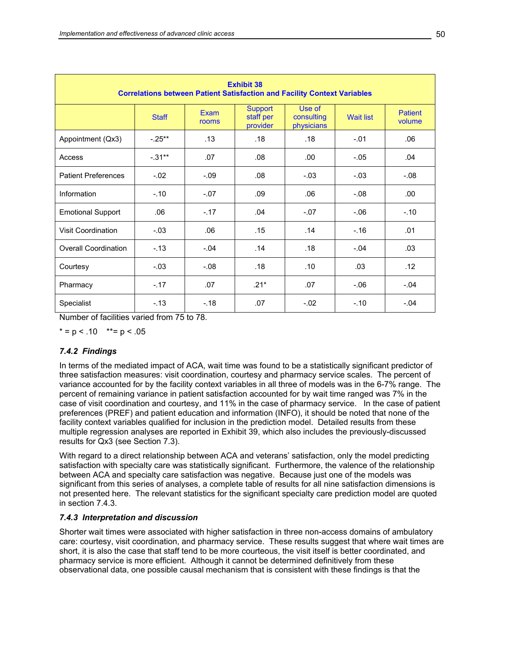| <b>Exhibit 38</b><br><b>Correlations between Patient Satisfaction and Facility Context Variables</b> |              |               |                                         |                                    |                  |                          |  |  |  |
|------------------------------------------------------------------------------------------------------|--------------|---------------|-----------------------------------------|------------------------------------|------------------|--------------------------|--|--|--|
|                                                                                                      | <b>Staff</b> | Exam<br>rooms | <b>Support</b><br>staff per<br>provider | Use of<br>consulting<br>physicians | <b>Wait list</b> | <b>Patient</b><br>volume |  |  |  |
| Appointment (Qx3)                                                                                    | $-.25***$    | .13           | .18                                     | .18                                | $-.01$           | .06                      |  |  |  |
| Access                                                                                               | $-.31***$    | .07           | .08                                     | .00                                | $-.05$           | .04                      |  |  |  |
| <b>Patient Preferences</b>                                                                           | $-.02$       | $-.09$        | .08                                     | $-.03$                             | $-.03$           | $-0.08$                  |  |  |  |
| Information                                                                                          | $-.10$       | $-.07$        | .09                                     | .06                                | $-0.08$          | .00                      |  |  |  |
| <b>Emotional Support</b>                                                                             | .06          | $-.17$        | .04                                     | $-.07$                             | $-06$            | $-.10$                   |  |  |  |
| <b>Visit Coordination</b>                                                                            | $-.03$       | .06           | .15                                     | .14                                | $-16$            | .01                      |  |  |  |
| <b>Overall Coordination</b>                                                                          | $-.13$       | $-.04$        | .14                                     | .18                                | $-.04$           | .03                      |  |  |  |
| Courtesy                                                                                             | $-.03$       | $-0.08$       | .18                                     | .10                                | .03              | .12                      |  |  |  |
| Pharmacy                                                                                             | $-.17$       | .07           | $.21*$                                  | .07                                | $-06$            | $-.04$                   |  |  |  |
| Specialist                                                                                           | $-.13$       | $-.18$        | .07                                     | $-.02$                             | $-.10$           | $-.04$                   |  |  |  |

Number of facilities varied from 75 to 78.

 $* = p < .10$  \*\* = p < .05

## *7.4.2 Findings*

In terms of the mediated impact of ACA, wait time was found to be a statistically significant predictor of three satisfaction measures: visit coordination, courtesy and pharmacy service scales. The percent of variance accounted for by the facility context variables in all three of models was in the 6-7% range. The percent of remaining variance in patient satisfaction accounted for by wait time ranged was 7% in the case of visit coordination and courtesy, and 11% in the case of pharmacy service. In the case of patient preferences (PREF) and patient education and information (INFO), it should be noted that none of the facility context variables qualified for inclusion in the prediction model. Detailed results from these multiple regression analyses are reported in Exhibit 39, which also includes the previously-discussed results for Qx3 (see Section 7.3).

With regard to a direct relationship between ACA and veterans' satisfaction, only the model predicting satisfaction with specialty care was statistically significant. Furthermore, the valence of the relationship between ACA and specialty care satisfaction was negative. Because just one of the models was significant from this series of analyses, a complete table of results for all nine satisfaction dimensions is not presented here. The relevant statistics for the significant specialty care prediction model are quoted in section 7.4.3.

#### *7.4.3 Interpretation and discussion*

Shorter wait times were associated with higher satisfaction in three non-access domains of ambulatory care: courtesy, visit coordination, and pharmacy service. These results suggest that where wait times are short, it is also the case that staff tend to be more courteous, the visit itself is better coordinated, and pharmacy service is more efficient. Although it cannot be determined definitively from these observational data, one possible causal mechanism that is consistent with these findings is that the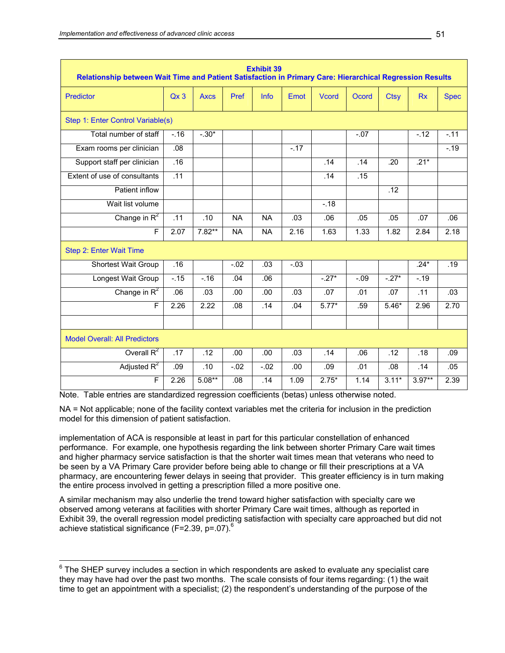| <b>Exhibit 39</b><br>Relationship between Wait Time and Patient Satisfaction in Primary Care: Hierarchical Regression Results |        |             |           |           |        |               |         |             |           |             |
|-------------------------------------------------------------------------------------------------------------------------------|--------|-------------|-----------|-----------|--------|---------------|---------|-------------|-----------|-------------|
| Predictor                                                                                                                     | Qx3    | <b>Axcs</b> | Pref      | Info      | Emot   | <b>V</b> cord | Ocord   | <b>Ctsy</b> | <b>Rx</b> | <b>Spec</b> |
| Step 1: Enter Control Variable(s)                                                                                             |        |             |           |           |        |               |         |             |           |             |
| Total number of staff                                                                                                         | $-.16$ | $-.30*$     |           |           |        |               | $-.07$  |             | $-.12$    | $-11$       |
| Exam rooms per clinician                                                                                                      | .08    |             |           |           | $-.17$ |               |         |             |           | $-19$       |
| Support staff per clinician                                                                                                   | .16    |             |           |           |        | .14           | .14     | .20         | $.21*$    |             |
| Extent of use of consultants                                                                                                  | .11    |             |           |           |        | .14           | .15     |             |           |             |
| Patient inflow                                                                                                                |        |             |           |           |        |               |         | .12         |           |             |
| Wait list volume                                                                                                              |        |             |           |           |        | $-.18$        |         |             |           |             |
| Change in $R^2$                                                                                                               | .11    | .10         | <b>NA</b> | <b>NA</b> | .03    | .06           | .05     | .05         | .07       | .06         |
| F                                                                                                                             | 2.07   | $7.82**$    | <b>NA</b> | <b>NA</b> | 2.16   | 1.63          | 1.33    | 1.82        | 2.84      | 2.18        |
| Step 2: Enter Wait Time                                                                                                       |        |             |           |           |        |               |         |             |           |             |
| <b>Shortest Wait Group</b>                                                                                                    | .16    |             | $-02$     | .03       | $-03$  |               |         |             | $.24*$    | .19         |
| Longest Wait Group                                                                                                            | $-15$  | $-.16$      | .04       | .06       |        | $-27*$        | $-0.09$ | $-27*$      | $-19$     |             |
| Change in $R^2$                                                                                                               | .06    | .03         | .00       | .00       | .03    | .07           | .01     | .07         | .11       | .03         |
| F                                                                                                                             | 2.26   | 2.22        | .08       | .14       | .04    | $5.77*$       | .59     | $5.46*$     | 2.96      | 2.70        |
|                                                                                                                               |        |             |           |           |        |               |         |             |           |             |
| <b>Model Overall: All Predictors</b>                                                                                          |        |             |           |           |        |               |         |             |           |             |
| Overall $R^2$                                                                                                                 | .17    | .12         | .00       | .00       | .03    | .14           | .06     | .12         | .18       | .09         |
| Adjusted $R^2$                                                                                                                | .09    | .10         | $-.02$    | $-.02$    | .00    | .09           | .01     | .08         | .14       | .05         |
| F                                                                                                                             | 2.26   | $5.08**$    | .08       | .14       | 1.09   | $2.75*$       | 1.14    | $3.11*$     | $3.97**$  | 2.39        |

Note. Table entries are standardized regression coefficients (betas) unless otherwise noted.

NA = Not applicable; none of the facility context variables met the criteria for inclusion in the prediction model for this dimension of patient satisfaction.

implementation of ACA is responsible at least in part for this particular constellation of enhanced performance. For example, one hypothesis regarding the link between shorter Primary Care wait times and higher pharmacy service satisfaction is that the shorter wait times mean that veterans who need to be seen by a VA Primary Care provider before being able to change or fill their prescriptions at a VA pharmacy, are encountering fewer delays in seeing that provider. This greater efficiency is in turn making the entire process involved in getting a prescription filled a more positive one.

A similar mechanism may also underlie the trend toward higher satisfaction with specialty care we observed among veterans at facilities with shorter Primary Care wait times, although as reported in Exhibit 39, the overall regression model predicting satisfaction with specialty care approached but did not achieve statistical significance (F=2.39,  $p=.07$ ).<sup>6</sup>

 $\overline{a}$ 

 $^6$  The SHEP survey includes a section in which respondents are asked to evaluate any specialist care they may have had over the past two months. The scale consists of four items regarding: (1) the wait time to get an appointment with a specialist; (2) the respondent's understanding of the purpose of the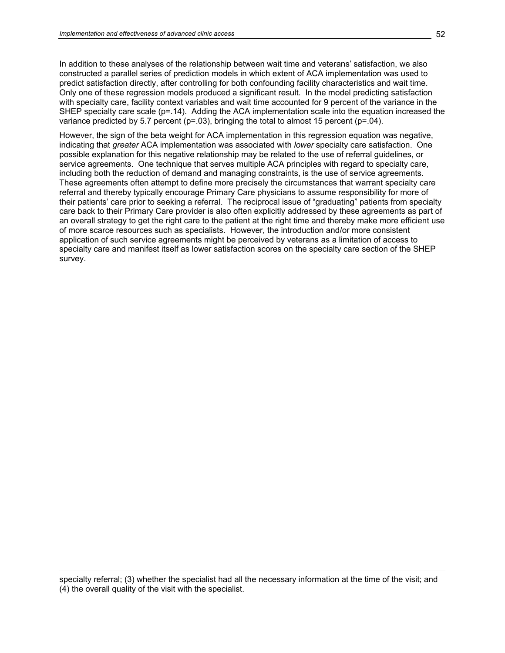In addition to these analyses of the relationship between wait time and veterans' satisfaction, we also constructed a parallel series of prediction models in which extent of ACA implementation was used to predict satisfaction directly, after controlling for both confounding facility characteristics and wait time. Only one of these regression models produced a significant result. In the model predicting satisfaction with specialty care, facility context variables and wait time accounted for 9 percent of the variance in the SHEP specialty care scale (p=.14). Adding the ACA implementation scale into the equation increased the variance predicted by 5.7 percent ( $p=03$ ), bringing the total to almost 15 percent ( $p=04$ ).

However, the sign of the beta weight for ACA implementation in this regression equation was negative, indicating that *greater* ACA implementation was associated with *lower* specialty care satisfaction. One possible explanation for this negative relationship may be related to the use of referral guidelines, or service agreements. One technique that serves multiple ACA principles with regard to specialty care, including both the reduction of demand and managing constraints, is the use of service agreements. These agreements often attempt to define more precisely the circumstances that warrant specialty care referral and thereby typically encourage Primary Care physicians to assume responsibility for more of their patients' care prior to seeking a referral. The reciprocal issue of "graduating" patients from specialty care back to their Primary Care provider is also often explicitly addressed by these agreements as part of an overall strategy to get the right care to the patient at the right time and thereby make more efficient use of more scarce resources such as specialists. However, the introduction and/or more consistent application of such service agreements might be perceived by veterans as a limitation of access to specialty care and manifest itself as lower satisfaction scores on the specialty care section of the SHEP survey.

specialty referral; (3) whether the specialist had all the necessary information at the time of the visit; and (4) the overall quality of the visit with the specialist.

 $\overline{a}$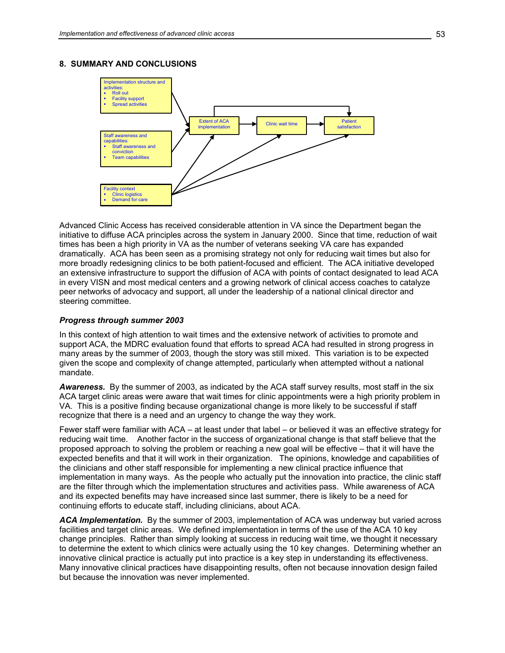## **8. SUMMARY AND CONCLUSIONS**



Advanced Clinic Access has received considerable attention in VA since the Department began the initiative to diffuse ACA principles across the system in January 2000. Since that time, reduction of wait times has been a high priority in VA as the number of veterans seeking VA care has expanded dramatically. ACA has been seen as a promising strategy not only for reducing wait times but also for more broadly redesigning clinics to be both patient-focused and efficient. The ACA initiative developed an extensive infrastructure to support the diffusion of ACA with points of contact designated to lead ACA in every VISN and most medical centers and a growing network of clinical access coaches to catalyze peer networks of advocacy and support, all under the leadership of a national clinical director and steering committee.

#### *Progress through summer 2003*

In this context of high attention to wait times and the extensive network of activities to promote and support ACA, the MDRC evaluation found that efforts to spread ACA had resulted in strong progress in many areas by the summer of 2003, though the story was still mixed. This variation is to be expected given the scope and complexity of change attempted, particularly when attempted without a national mandate.

*Awareness.* By the summer of 2003, as indicated by the ACA staff survey results, most staff in the six ACA target clinic areas were aware that wait times for clinic appointments were a high priority problem in VA. This is a positive finding because organizational change is more likely to be successful if staff recognize that there is a need and an urgency to change the way they work.

Fewer staff were familiar with ACA – at least under that label – or believed it was an effective strategy for reducing wait time. Another factor in the success of organizational change is that staff believe that the proposed approach to solving the problem or reaching a new goal will be effective – that it will have the expected benefits and that it will work in their organization. The opinions, knowledge and capabilities of the clinicians and other staff responsible for implementing a new clinical practice influence that implementation in many ways. As the people who actually put the innovation into practice, the clinic staff are the filter through which the implementation structures and activities pass. While awareness of ACA and its expected benefits may have increased since last summer, there is likely to be a need for continuing efforts to educate staff, including clinicians, about ACA.

*ACA Implementation.* By the summer of 2003, implementation of ACA was underway but varied across facilities and target clinic areas. We defined implementation in terms of the use of the ACA 10 key change principles. Rather than simply looking at success in reducing wait time, we thought it necessary to determine the extent to which clinics were actually using the 10 key changes. Determining whether an innovative clinical practice is actually put into practice is a key step in understanding its effectiveness. Many innovative clinical practices have disappointing results, often not because innovation design failed but because the innovation was never implemented.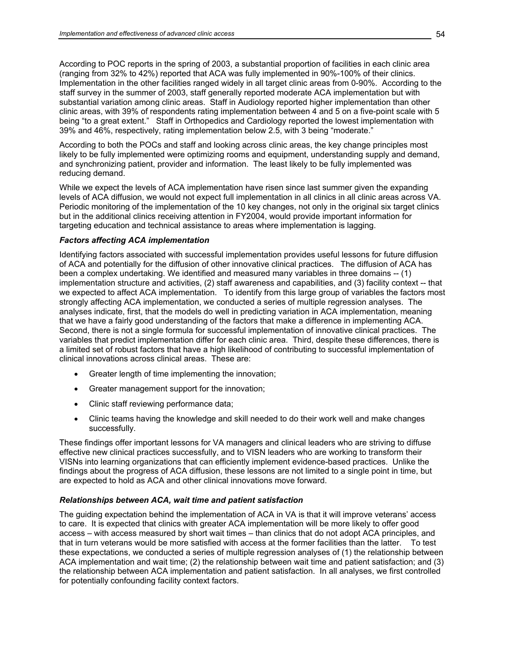According to POC reports in the spring of 2003, a substantial proportion of facilities in each clinic area (ranging from 32% to 42%) reported that ACA was fully implemented in 90%-100% of their clinics. Implementation in the other facilities ranged widely in all target clinic areas from 0-90%. According to the staff survey in the summer of 2003, staff generally reported moderate ACA implementation but with substantial variation among clinic areas. Staff in Audiology reported higher implementation than other clinic areas, with 39% of respondents rating implementation between 4 and 5 on a five-point scale with 5 being "to a great extent." Staff in Orthopedics and Cardiology reported the lowest implementation with 39% and 46%, respectively, rating implementation below 2.5, with 3 being "moderate."

According to both the POCs and staff and looking across clinic areas, the key change principles most likely to be fully implemented were optimizing rooms and equipment, understanding supply and demand, and synchronizing patient, provider and information. The least likely to be fully implemented was reducing demand.

While we expect the levels of ACA implementation have risen since last summer given the expanding levels of ACA diffusion, we would not expect full implementation in all clinics in all clinic areas across VA. Periodic monitoring of the implementation of the 10 key changes, not only in the original six target clinics but in the additional clinics receiving attention in FY2004, would provide important information for targeting education and technical assistance to areas where implementation is lagging.

## *Factors affecting ACA implementation*

Identifying factors associated with successful implementation provides useful lessons for future diffusion of ACA and potentially for the diffusion of other innovative clinical practices. The diffusion of ACA has been a complex undertaking. We identified and measured many variables in three domains -- (1) implementation structure and activities, (2) staff awareness and capabilities, and (3) facility context -- that we expected to affect ACA implementation. To identify from this large group of variables the factors most strongly affecting ACA implementation, we conducted a series of multiple regression analyses. The analyses indicate, first, that the models do well in predicting variation in ACA implementation, meaning that we have a fairly good understanding of the factors that make a difference in implementing ACA. Second, there is not a single formula for successful implementation of innovative clinical practices. The variables that predict implementation differ for each clinic area. Third, despite these differences, there is a limited set of robust factors that have a high likelihood of contributing to successful implementation of clinical innovations across clinical areas. These are:

- Greater length of time implementing the innovation;
- Greater management support for the innovation;
- Clinic staff reviewing performance data;
- Clinic teams having the knowledge and skill needed to do their work well and make changes successfully.

These findings offer important lessons for VA managers and clinical leaders who are striving to diffuse effective new clinical practices successfully, and to VISN leaders who are working to transform their VISNs into learning organizations that can efficiently implement evidence-based practices. Unlike the findings about the progress of ACA diffusion, these lessons are not limited to a single point in time, but are expected to hold as ACA and other clinical innovations move forward.

## *Relationships between ACA, wait time and patient satisfaction*

The guiding expectation behind the implementation of ACA in VA is that it will improve veterans' access to care. It is expected that clinics with greater ACA implementation will be more likely to offer good access – with access measured by short wait times – than clinics that do not adopt ACA principles, and that in turn veterans would be more satisfied with access at the former facilities than the latter. To test these expectations, we conducted a series of multiple regression analyses of (1) the relationship between ACA implementation and wait time; (2) the relationship between wait time and patient satisfaction; and (3) the relationship between ACA implementation and patient satisfaction. In all analyses, we first controlled for potentially confounding facility context factors.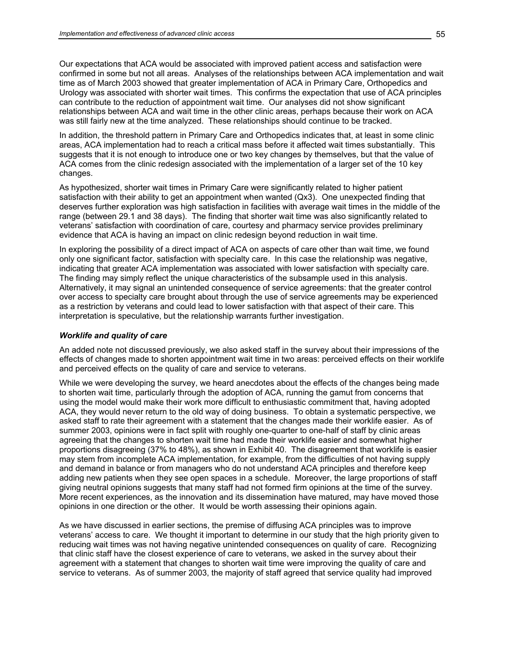Our expectations that ACA would be associated with improved patient access and satisfaction were confirmed in some but not all areas. Analyses of the relationships between ACA implementation and wait time as of March 2003 showed that greater implementation of ACA in Primary Care, Orthopedics and Urology was associated with shorter wait times. This confirms the expectation that use of ACA principles can contribute to the reduction of appointment wait time. Our analyses did not show significant relationships between ACA and wait time in the other clinic areas, perhaps because their work on ACA was still fairly new at the time analyzed. These relationships should continue to be tracked.

In addition, the threshold pattern in Primary Care and Orthopedics indicates that, at least in some clinic areas, ACA implementation had to reach a critical mass before it affected wait times substantially. This suggests that it is not enough to introduce one or two key changes by themselves, but that the value of ACA comes from the clinic redesign associated with the implementation of a larger set of the 10 key changes.

As hypothesized, shorter wait times in Primary Care were significantly related to higher patient satisfaction with their ability to get an appointment when wanted (Qx3). One unexpected finding that deserves further exploration was high satisfaction in facilities with average wait times in the middle of the range (between 29.1 and 38 days). The finding that shorter wait time was also significantly related to veterans' satisfaction with coordination of care, courtesy and pharmacy service provides preliminary evidence that ACA is having an impact on clinic redesign beyond reduction in wait time.

In exploring the possibility of a direct impact of ACA on aspects of care other than wait time, we found only one significant factor, satisfaction with specialty care. In this case the relationship was negative, indicating that greater ACA implementation was associated with lower satisfaction with specialty care. The finding may simply reflect the unique characteristics of the subsample used in this analysis. Alternatively, it may signal an unintended consequence of service agreements: that the greater control over access to specialty care brought about through the use of service agreements may be experienced as a restriction by veterans and could lead to lower satisfaction with that aspect of their care. This interpretation is speculative, but the relationship warrants further investigation.

#### *Worklife and quality of care*

An added note not discussed previously, we also asked staff in the survey about their impressions of the effects of changes made to shorten appointment wait time in two areas: perceived effects on their worklife and perceived effects on the quality of care and service to veterans.

While we were developing the survey, we heard anecdotes about the effects of the changes being made to shorten wait time, particularly through the adoption of ACA, running the gamut from concerns that using the model would make their work more difficult to enthusiastic commitment that, having adopted ACA, they would never return to the old way of doing business. To obtain a systematic perspective, we asked staff to rate their agreement with a statement that the changes made their worklife easier. As of summer 2003, opinions were in fact split with roughly one-quarter to one-half of staff by clinic areas agreeing that the changes to shorten wait time had made their worklife easier and somewhat higher proportions disagreeing (37% to 48%), as shown in Exhibit 40. The disagreement that worklife is easier may stem from incomplete ACA implementation, for example, from the difficulties of not having supply and demand in balance or from managers who do not understand ACA principles and therefore keep adding new patients when they see open spaces in a schedule. Moreover, the large proportions of staff giving neutral opinions suggests that many staff had not formed firm opinions at the time of the survey. More recent experiences, as the innovation and its dissemination have matured, may have moved those opinions in one direction or the other. It would be worth assessing their opinions again.

As we have discussed in earlier sections, the premise of diffusing ACA principles was to improve veterans' access to care. We thought it important to determine in our study that the high priority given to reducing wait times was not having negative unintended consequences on quality of care. Recognizing that clinic staff have the closest experience of care to veterans, we asked in the survey about their agreement with a statement that changes to shorten wait time were improving the quality of care and service to veterans. As of summer 2003, the majority of staff agreed that service quality had improved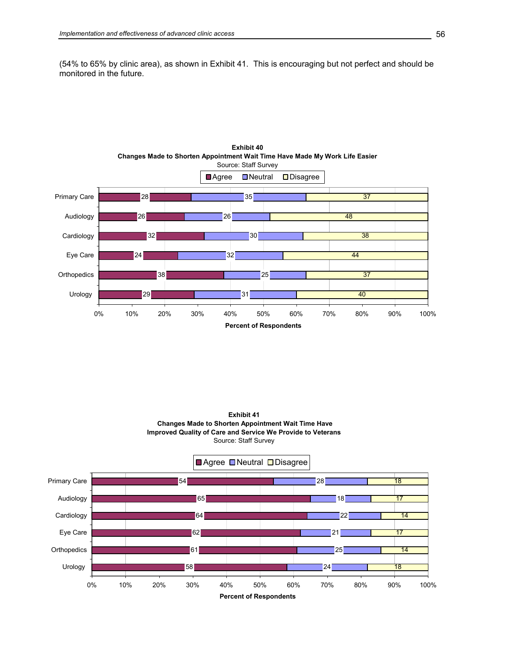(54% to 65% by clinic area), as shown in Exhibit 41. This is encouraging but not perfect and should be monitored in the future.



**Exhibit 40**



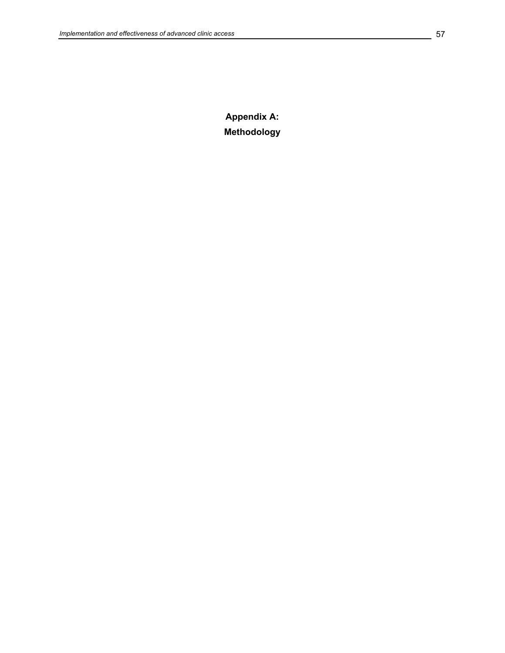**Appendix A: Methodology**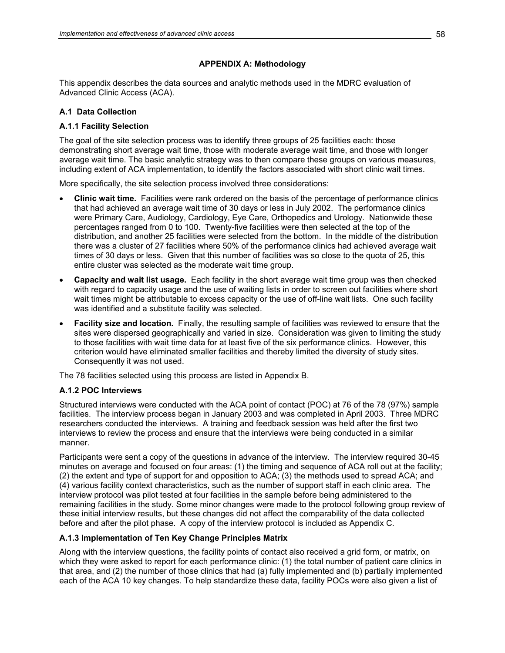### **APPENDIX A: Methodology**

This appendix describes the data sources and analytic methods used in the MDRC evaluation of Advanced Clinic Access (ACA).

### **A.1 Data Collection**

### **A.1.1 Facility Selection**

The goal of the site selection process was to identify three groups of 25 facilities each: those demonstrating short average wait time, those with moderate average wait time, and those with longer average wait time. The basic analytic strategy was to then compare these groups on various measures, including extent of ACA implementation, to identify the factors associated with short clinic wait times.

More specifically, the site selection process involved three considerations:

- **Clinic wait time***.* Facilities were rank ordered on the basis of the percentage of performance clinics that had achieved an average wait time of 30 days or less in July 2002. The performance clinics were Primary Care, Audiology, Cardiology, Eye Care, Orthopedics and Urology. Nationwide these percentages ranged from 0 to 100. Twenty-five facilities were then selected at the top of the distribution, and another 25 facilities were selected from the bottom. In the middle of the distribution there was a cluster of 27 facilities where 50% of the performance clinics had achieved average wait times of 30 days or less. Given that this number of facilities was so close to the quota of 25, this entire cluster was selected as the moderate wait time group.
- **Capacity and wait list usage.** Each facility in the short average wait time group was then checked with regard to capacity usage and the use of waiting lists in order to screen out facilities where short wait times might be attributable to excess capacity or the use of off-line wait lists. One such facility was identified and a substitute facility was selected.
- **Facility size and location***.* Finally, the resulting sample of facilities was reviewed to ensure that the sites were dispersed geographically and varied in size. Consideration was given to limiting the study to those facilities with wait time data for at least five of the six performance clinics. However, this criterion would have eliminated smaller facilities and thereby limited the diversity of study sites. Consequently it was not used.

The 78 facilities selected using this process are listed in Appendix B.

#### **A.1.2 POC Interviews**

Structured interviews were conducted with the ACA point of contact (POC) at 76 of the 78 (97%) sample facilities. The interview process began in January 2003 and was completed in April 2003. Three MDRC researchers conducted the interviews. A training and feedback session was held after the first two interviews to review the process and ensure that the interviews were being conducted in a similar manner.

Participants were sent a copy of the questions in advance of the interview. The interview required 30-45 minutes on average and focused on four areas: (1) the timing and sequence of ACA roll out at the facility; (2) the extent and type of support for and opposition to ACA; (3) the methods used to spread ACA; and (4) various facility context characteristics, such as the number of support staff in each clinic area. The interview protocol was pilot tested at four facilities in the sample before being administered to the remaining facilities in the study. Some minor changes were made to the protocol following group review of these initial interview results, but these changes did not affect the comparability of the data collected before and after the pilot phase. A copy of the interview protocol is included as Appendix C.

#### **A.1.3 Implementation of Ten Key Change Principles Matrix**

Along with the interview questions, the facility points of contact also received a grid form, or matrix, on which they were asked to report for each performance clinic: (1) the total number of patient care clinics in that area, and (2) the number of those clinics that had (a) fully implemented and (b) partially implemented each of the ACA 10 key changes. To help standardize these data, facility POCs were also given a list of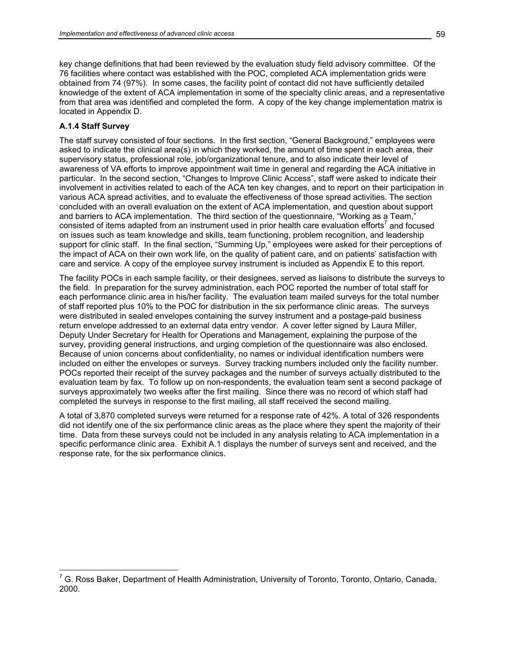key change definitions that had been reviewed by the evaluation study field advisory committee. Of the 76 facilities where contact was established with the POC, completed ACA implementation grids were obtained from 74 (97%). In some cases, the facility point of contact did not have sufficiently detailed knowledge of the extent of ACA implementation in some of the specialty clinic areas, and a representative from that area was identified and completed the form. A copy of the key change implementation matrix is located in Appendix D.

#### **A.1.4 Staff Survey**

The staff survey consisted of four sections. In the first section, "General Background," employees were asked to indicate the clinical area(s) in which they worked, the amount of time spent in each area, their supervisory status, professional role, job/organizational tenure, and to also indicate their level of awareness of VA efforts to improve appointment wait time in general and regarding the ACA initiative in particular. In the second section, "Changes to Improve Clinic Access", staff were asked to indicate their involvement in activities related to each of the ACA ten key changes, and to report on their participation in various ACA spread activities, and to evaluate the effectiveness of those spread activities. The section concluded with an overall evaluation on the extent of ACA implementation, and question about support and barriers to ACA implementation. The third section of the questionnaire, "Working as a Team," consisted of items adapted from an instrument used in prior health care evaluation efforts<sup>7</sup> and focused on issues such as team knowledge and skills, team functioning, problem recognition, and leadership support for clinic staff. In the final section, "Summing Up," employees were asked for their perceptions of the impact of ACA on their own work life, on the quality of patient care, and on patients' satisfaction with care and service. A copy of the employee survey instrument is included as Appendix E to this report.

The facility POCs in each sample facility, or their designees, served as liaisons to distribute the surveys to the field. In preparation for the survey administration, each POC reported the number of total staff for each performance clinic area in his/her facility. The evaluation team mailed surveys for the total number of staff reported plus 10% to the POC for distribution in the six performance clinic areas. The surveys were distributed in sealed envelopes containing the survey instrument and a postage-paid business return envelope addressed to an external data entry vendor. A cover letter signed by Laura Miller, Deputy Under Secretary for Health for Operations and Management, explaining the purpose of the survey, providing general instructions, and urging completion of the questionnaire was also enclosed. Because of union concerns about confidentiality, no names or individual identification numbers were included on either the envelopes or surveys. Survey tracking numbers included only the facility number. POCs reported their receipt of the survey packages and the number of surveys actually distributed to the evaluation team by fax. To follow up on non-respondents, the evaluation team sent a second package of surveys approximately two weeks after the first mailing. Since there was no record of which staff had completed the surveys in response to the first mailing, all staff received the second mailing.

A total of 3,870 completed surveys were returned for a response rate of 42%. A total of 326 respondents did not identify one of the six performance clinic areas as the place where they spent the majority of their time. Data from these surveys could not be included in any analysis relating to ACA implementation in a specific performance clinic area. Exhibit A.1 displays the number of surveys sent and received, and the response rate, for the six performance clinics.

<sup>————————————————————&</sup>lt;br><sup>7</sup> G. Ross Baker, Department of Health Administration, University of Toronto, Toronto, Ontario, Canada, 2000.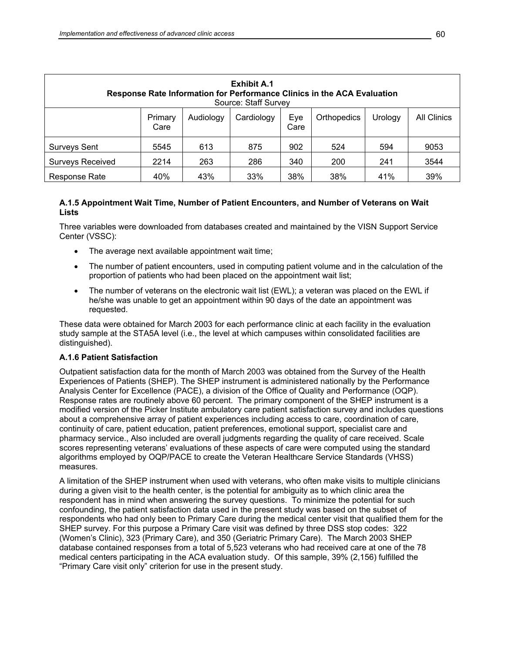| <b>Exhibit A.1</b><br>Response Rate Information for Performance Clinics in the ACA Evaluation<br>Source: Staff Survey |                                               |           |            |             |             |         |                    |  |  |  |
|-----------------------------------------------------------------------------------------------------------------------|-----------------------------------------------|-----------|------------|-------------|-------------|---------|--------------------|--|--|--|
|                                                                                                                       | Primary<br>Care                               | Audiology | Cardiology | Eye<br>Care | Orthopedics | Urology | <b>All Clinics</b> |  |  |  |
| <b>Surveys Sent</b>                                                                                                   | 5545                                          | 613       | 875        | 902         | 524         | 594     | 9053               |  |  |  |
| <b>Surveys Received</b>                                                                                               | 2214                                          | 263       | 286        | 340         | 200         | 241     | 3544               |  |  |  |
| Response Rate                                                                                                         | 38%<br>39%<br>40%<br>43%<br>33%<br>38%<br>41% |           |            |             |             |         |                    |  |  |  |

### **A.1.5 Appointment Wait Time, Number of Patient Encounters, and Number of Veterans on Wait Lists**

Three variables were downloaded from databases created and maintained by the VISN Support Service Center (VSSC):

- The average next available appointment wait time;
- The number of patient encounters, used in computing patient volume and in the calculation of the proportion of patients who had been placed on the appointment wait list;
- The number of veterans on the electronic wait list (EWL); a veteran was placed on the EWL if he/she was unable to get an appointment within 90 days of the date an appointment was requested.

These data were obtained for March 2003 for each performance clinic at each facility in the evaluation study sample at the STA5A level (i.e., the level at which campuses within consolidated facilities are distinguished).

#### **A.1.6 Patient Satisfaction**

Outpatient satisfaction data for the month of March 2003 was obtained from the Survey of the Health Experiences of Patients (SHEP). The SHEP instrument is administered nationally by the Performance Analysis Center for Excellence (PACE), a division of the Office of Quality and Performance (OQP). Response rates are routinely above 60 percent. The primary component of the SHEP instrument is a modified version of the Picker Institute ambulatory care patient satisfaction survey and includes questions about a comprehensive array of patient experiences including access to care, coordination of care, continuity of care, patient education, patient preferences, emotional support, specialist care and pharmacy service., Also included are overall judgments regarding the quality of care received. Scale scores representing veterans' evaluations of these aspects of care were computed using the standard algorithms employed by OQP/PACE to create the Veteran Healthcare Service Standards (VHSS) measures.

A limitation of the SHEP instrument when used with veterans, who often make visits to multiple clinicians during a given visit to the health center, is the potential for ambiguity as to which clinic area the respondent has in mind when answering the survey questions. To minimize the potential for such confounding, the patient satisfaction data used in the present study was based on the subset of respondents who had only been to Primary Care during the medical center visit that qualified them for the SHEP survey. For this purpose a Primary Care visit was defined by three DSS stop codes: 322 (Women's Clinic), 323 (Primary Care), and 350 (Geriatric Primary Care). The March 2003 SHEP database contained responses from a total of 5,523 veterans who had received care at one of the 78 medical centers participating in the ACA evaluation study. Of this sample, 39% (2,156) fulfilled the "Primary Care visit only" criterion for use in the present study.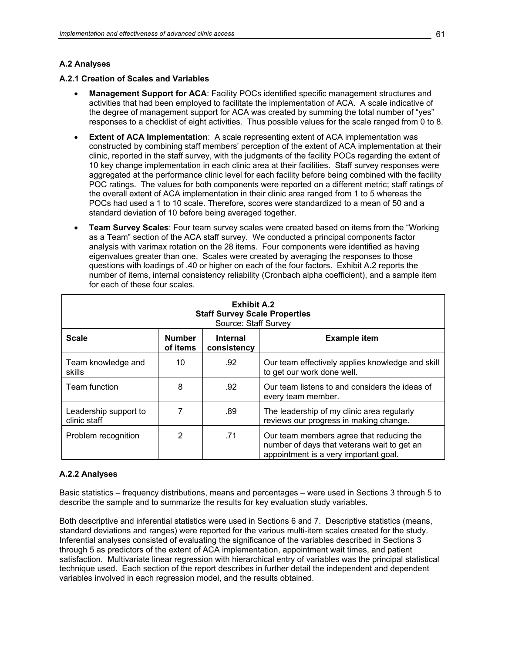## **A.2 Analyses**

#### **A.2.1 Creation of Scales and Variables**

- **Management Support for ACA**: Facility POCs identified specific management structures and activities that had been employed to facilitate the implementation of ACA. A scale indicative of the degree of management support for ACA was created by summing the total number of "yes" responses to a checklist of eight activities. Thus possible values for the scale ranged from 0 to 8.
- **Extent of ACA Implementation:** A scale representing extent of ACA implementation was constructed by combining staff members' perception of the extent of ACA implementation at their clinic, reported in the staff survey, with the judgments of the facility POCs regarding the extent of 10 key change implementation in each clinic area at their facilities. Staff survey responses were aggregated at the performance clinic level for each facility before being combined with the facility POC ratings. The values for both components were reported on a different metric; staff ratings of the overall extent of ACA implementation in their clinic area ranged from 1 to 5 whereas the POCs had used a 1 to 10 scale. Therefore, scores were standardized to a mean of 50 and a standard deviation of 10 before being averaged together.
- **Team Survey Scales**: Four team survey scales were created based on items from the "Working as a Team" section of the ACA staff survey. We conducted a principal components factor analysis with varimax rotation on the 28 items. Four components were identified as having eigenvalues greater than one. Scales were created by averaging the responses to those questions with loadings of .40 or higher on each of the four factors. Exhibit A.2 reports the number of items, internal consistency reliability (Cronbach alpha coefficient), and a sample item for each of these four scales.

| <b>Exhibit A.2</b><br><b>Staff Survey Scale Properties</b><br>Source: Staff Survey |                           |                                |                                                                                                                                  |  |  |  |  |  |  |
|------------------------------------------------------------------------------------|---------------------------|--------------------------------|----------------------------------------------------------------------------------------------------------------------------------|--|--|--|--|--|--|
| <b>Scale</b>                                                                       | <b>Number</b><br>of items | <b>Internal</b><br>consistency | <b>Example item</b>                                                                                                              |  |  |  |  |  |  |
| Team knowledge and<br>skills                                                       | 10                        | .92                            | Our team effectively applies knowledge and skill<br>to get our work done well.                                                   |  |  |  |  |  |  |
| Team function                                                                      | 8                         | .92                            | Our team listens to and considers the ideas of<br>every team member.                                                             |  |  |  |  |  |  |
| Leadership support to<br>clinic staff                                              |                           | .89                            | The leadership of my clinic area regularly<br>reviews our progress in making change.                                             |  |  |  |  |  |  |
| Problem recognition                                                                | 2                         | .71                            | Our team members agree that reducing the<br>number of days that veterans wait to get an<br>appointment is a very important goal. |  |  |  |  |  |  |

#### **A.2.2 Analyses**

Basic statistics – frequency distributions, means and percentages – were used in Sections 3 through 5 to describe the sample and to summarize the results for key evaluation study variables.

Both descriptive and inferential statistics were used in Sections 6 and 7. Descriptive statistics (means, standard deviations and ranges) were reported for the various multi-item scales created for the study. Inferential analyses consisted of evaluating the significance of the variables described in Sections 3 through 5 as predictors of the extent of ACA implementation, appointment wait times, and patient satisfaction. Multivariate linear regression with hierarchical entry of variables was the principal statistical technique used. Each section of the report describes in further detail the independent and dependent variables involved in each regression model, and the results obtained.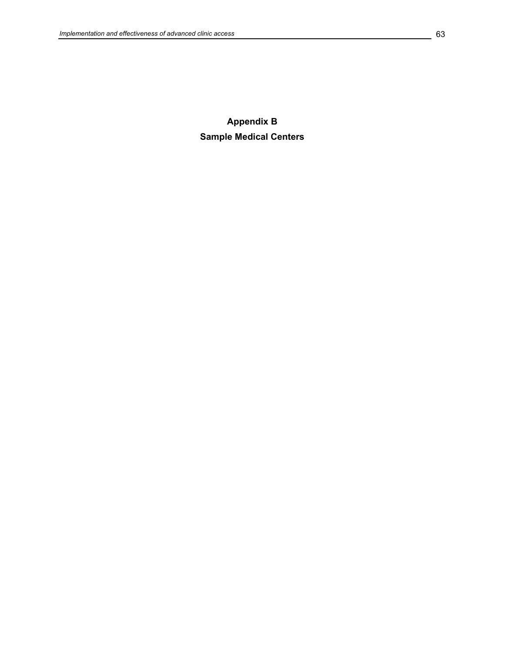**Appendix B Sample Medical Centers**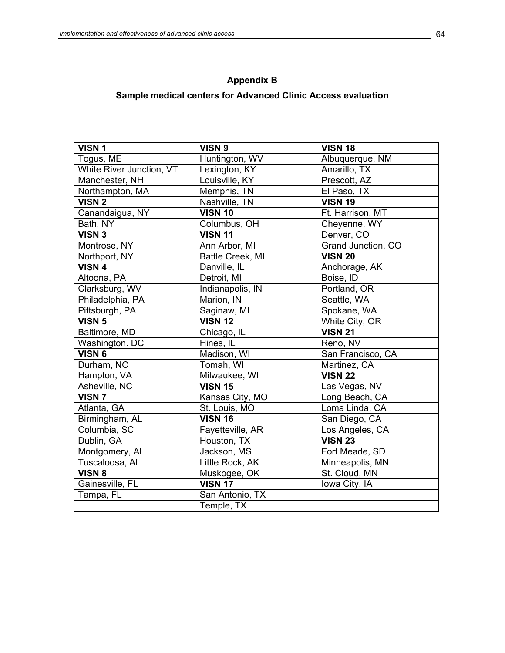# **Appendix B**

# **Sample medical centers for Advanced Clinic Access evaluation**

| VISN <sub>1</sub>        | VISN 9           | <b>VISN 18</b>     |
|--------------------------|------------------|--------------------|
| Togus, ME                | Huntington, WV   | Albuquerque, NM    |
| White River Junction, VT | Lexington, KY    | Amarillo, TX       |
| Manchester, NH           | Louisville, KY   | Prescott, AZ       |
| Northampton, MA          | Memphis, TN      | El Paso, TX        |
| <b>VISN 2</b>            | Nashville, TN    | <b>VISN 19</b>     |
| Canandaigua, NY          | <b>VISN 10</b>   | Ft. Harrison, MT   |
| Bath, NY                 | Columbus, OH     | Cheyenne, WY       |
| <b>VISN 3</b>            | <b>VISN 11</b>   | Denver, CO         |
| Montrose, NY             | Ann Arbor, MI    | Grand Junction, CO |
| Northport, NY            | Battle Creek, MI | <b>VISN 20</b>     |
| VISN 4                   | Danville, IL     | Anchorage, AK      |
| Altoona, PA              | Detroit, MI      | Boise, ID          |
| Clarksburg, WV           | Indianapolis, IN | Portland, OR       |
| Philadelphia, PA         | Marion, IN       | Seattle, WA        |
| Pittsburgh, PA           | Saginaw, MI      | Spokane, WA        |
| VISN <sub>5</sub>        | <b>VISN 12</b>   | White City, OR     |
| Baltimore, MD            | Chicago, IL      | <b>VISN 21</b>     |
| Washington. DC           | Hines, IL        | Reno, NV           |
| VISN 6                   | Madison, WI      | San Francisco, CA  |
| Durham, NC               | Tomah, WI        | Martinez, CA       |
| Hampton, VA              | Milwaukee, WI    | <b>VISN 22</b>     |
| Asheville, NC            | <b>VISN 15</b>   | Las Vegas, NV      |
| <b>VISN 7</b>            | Kansas City, MO  | Long Beach, CA     |
| Atlanta, GA              | St. Louis, MO    | Loma Linda, CA     |
| Birmingham, AL           | <b>VISN 16</b>   | San Diego, CA      |
| Columbia, SC             | Fayetteville, AR | Los Angeles, CA    |
| Dublin, GA               | Houston, TX      | <b>VISN 23</b>     |
| Montgomery, AL           | Jackson, MS      | Fort Meade, SD     |
| Tuscaloosa, AL           | Little Rock, AK  | Minneapolis, MN    |
| VISN 8                   | Muskogee, OK     | St. Cloud, MN      |
| Gainesville, FL          | <b>VISN 17</b>   | Iowa City, IA      |
| Tampa, FL                | San Antonio, TX  |                    |
|                          | Temple, TX       |                    |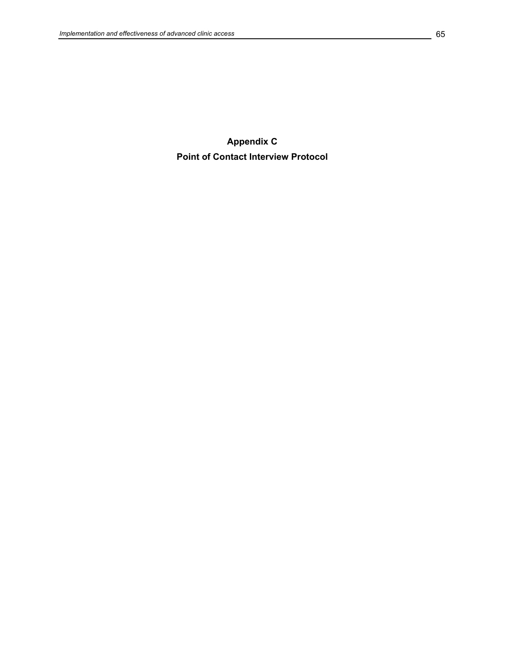**Appendix C Point of Contact Interview Protocol**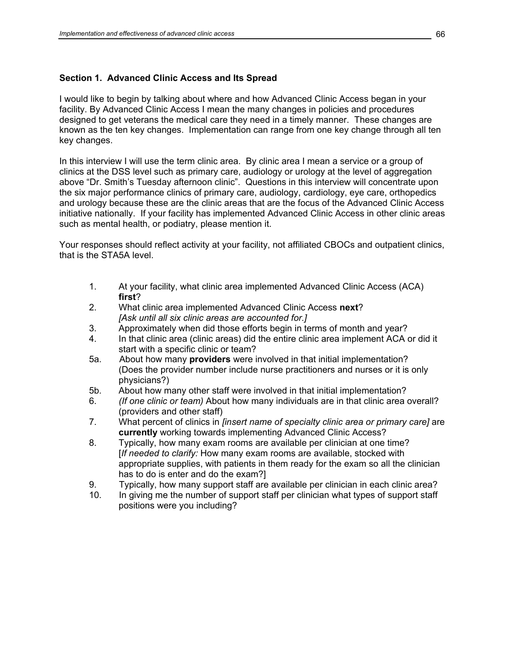# **Section 1. Advanced Clinic Access and Its Spread**

I would like to begin by talking about where and how Advanced Clinic Access began in your facility. By Advanced Clinic Access I mean the many changes in policies and procedures designed to get veterans the medical care they need in a timely manner. These changes are known as the ten key changes. Implementation can range from one key change through all ten key changes.

In this interview I will use the term clinic area. By clinic area I mean a service or a group of clinics at the DSS level such as primary care, audiology or urology at the level of aggregation above "Dr. Smith's Tuesday afternoon clinic". Questions in this interview will concentrate upon the six major performance clinics of primary care, audiology, cardiology, eye care, orthopedics and urology because these are the clinic areas that are the focus of the Advanced Clinic Access initiative nationally. If your facility has implemented Advanced Clinic Access in other clinic areas such as mental health, or podiatry, please mention it.

Your responses should reflect activity at your facility, not affiliated CBOCs and outpatient clinics, that is the STA5A level.

- 1. At your facility, what clinic area implemented Advanced Clinic Access (ACA) **first**?
- 2. What clinic area implemented Advanced Clinic Access **next**?  *[Ask until all six clinic areas are accounted for.]*
- 3. Approximately when did those efforts begin in terms of month and year?
- 4. In that clinic area (clinic areas) did the entire clinic area implement ACA or did it start with a specific clinic or team?
- 5a. About how many **providers** were involved in that initial implementation? (Does the provider number include nurse practitioners and nurses or it is only physicians?)
- 5b. About how many other staff were involved in that initial implementation?
- 6. *(If one clinic or team)* About how many individuals are in that clinic area overall? (providers and other staff)
- 7. What percent of clinics in *[insert name of specialty clinic area or primary care]* are **currently** working towards implementing Advanced Clinic Access?
- 8. Typically, how many exam rooms are available per clinician at one time? [*If needed to clarify:* How many exam rooms are available, stocked with appropriate supplies, with patients in them ready for the exam so all the clinician has to do is enter and do the exam?]
- 9. Typically, how many support staff are available per clinician in each clinic area?
- 10. In giving me the number of support staff per clinician what types of support staff positions were you including?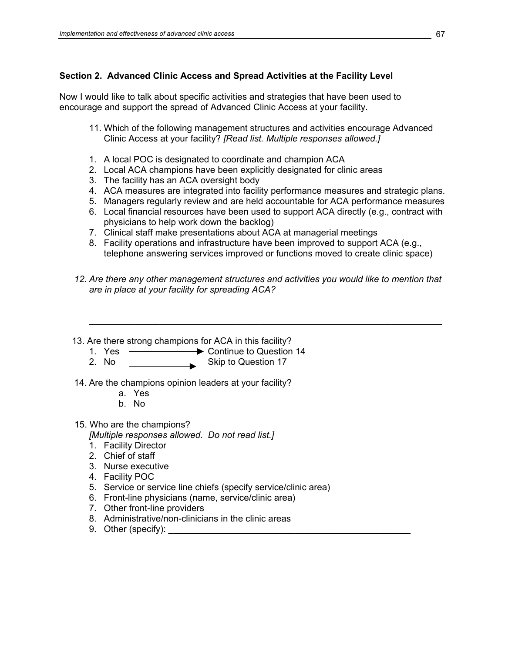# **Section 2. Advanced Clinic Access and Spread Activities at the Facility Level**

Now I would like to talk about specific activities and strategies that have been used to encourage and support the spread of Advanced Clinic Access at your facility.

- 11. Which of the following management structures and activities encourage Advanced Clinic Access at your facility? *[Read list. Multiple responses allowed.]*
- 1. A local POC is designated to coordinate and champion ACA
- 2. Local ACA champions have been explicitly designated for clinic areas
- 3. The facility has an ACA oversight body
- 4. ACA measures are integrated into facility performance measures and strategic plans.
- 5. Managers regularly review and are held accountable for ACA performance measures
- 6. Local financial resources have been used to support ACA directly (e.g., contract with physicians to help work down the backlog)
- 7. Clinical staff make presentations about ACA at managerial meetings
- 8. Facility operations and infrastructure have been improved to support ACA (e.g., telephone answering services improved or functions moved to create clinic space)
- 12. Are there any other management structures and activities you would like to mention that *are in place at your facility for spreading ACA?*

\_\_\_\_\_\_\_\_\_\_\_\_\_\_\_\_\_\_\_\_\_\_\_\_\_\_\_\_\_\_\_\_\_\_\_\_\_\_\_\_\_\_\_\_\_\_\_\_\_\_\_\_\_\_\_\_\_\_\_\_\_\_\_\_\_\_\_\_\_\_

- 13. Are there strong champions for ACA in this facility?
	- 1. Yes ————<del>—</del> Continue to Question 14
	- 2. No Skip to Question 17
- 14. Are the champions opinion leaders at your facility?
	- a. Yes
	- b. No
- 15. Who are the champions?

*[Multiple responses allowed. Do not read list.]* 

- 1. Facility Director
- 2. Chief of staff
- 3. Nurse executive
- 4. Facility POC
- 5. Service or service line chiefs (specify service/clinic area)
- 6. Front-line physicians (name, service/clinic area)
- 7. Other front-line providers
- 8. Administrative/non-clinicians in the clinic areas
- 9. Other (specify):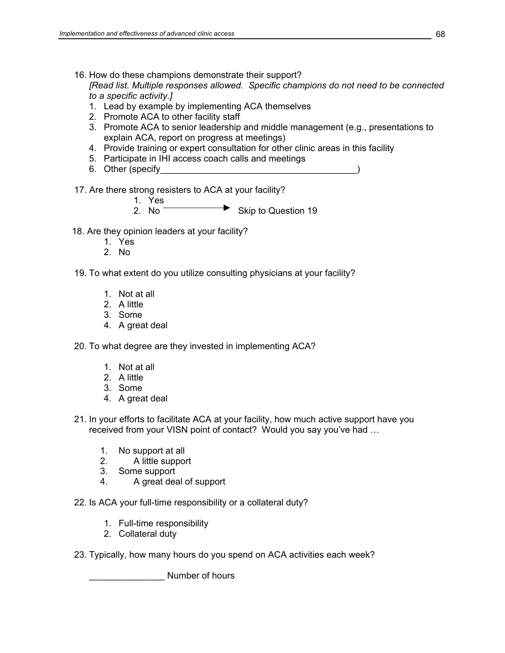- 16. How do these champions demonstrate their support? *[Read list. Multiple responses allowed. Specific champions do not need to be connected to a specific activity.]* 
	- 1. Lead by example by implementing ACA themselves
	- 2. Promote ACA to other facility staff
	- 3. Promote ACA to senior leadership and middle management (e.g., presentations to explain ACA, report on progress at meetings)
	- 4. Provide training or expert consultation for other clinic areas in this facility
	- 5. Participate in IHI access coach calls and meetings
	- 6. Other (specify
- 17. Are there strong resisters to ACA at your facility?

1. Yes

- 2. No  $\overline{\phantom{a}}$  Skip to Question 19
- 18. Are they opinion leaders at your facility?
	- 1. Yes
	- 2. No
- 19. To what extent do you utilize consulting physicians at your facility?
	- 1. Not at all
	- 2. A little
	- 3. Some
	- 4. A great deal
- 20. To what degree are they invested in implementing ACA?
	- 1. Not at all
	- 2. A little
	- 3. Some
	- 4. A great deal
- 21. In your efforts to facilitate ACA at your facility, how much active support have you received from your VISN point of contact? Would you say you've had …
	- 1. No support at all
	- 2. A little support
	- 3. Some support
	- 4. A great deal of support
- 22. Is ACA your full-time responsibility or a collateral duty?
	- 1. Full-time responsibility
	- 2. Collateral duty
- 23. Typically, how many hours do you spend on ACA activities each week?

Number of hours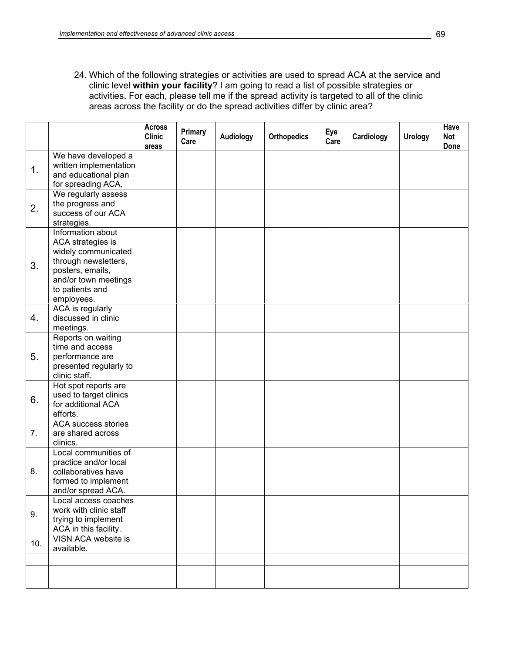24. Which of the following strategies or activities are used to spread ACA at the service and clinic level **within your facility**? I am going to read a list of possible strategies or activities. For each, please tell me if the spread activity is targeted to all of the clinic areas across the facility or do the spread activities differ by clinic area?

|     |                                                                                                                                                                    | <b>Across</b><br><b>Clinic</b><br>areas | <b>Primary</b><br>Care | <b>Audiology</b> | <b>Orthopedics</b> | Eye<br>Care | Cardiology | <b>Urology</b> | Have<br>Not<br>Done |
|-----|--------------------------------------------------------------------------------------------------------------------------------------------------------------------|-----------------------------------------|------------------------|------------------|--------------------|-------------|------------|----------------|---------------------|
| 1.  | We have developed a<br>written implementation<br>and educational plan<br>for spreading ACA.                                                                        |                                         |                        |                  |                    |             |            |                |                     |
| 2.  | We regularly assess<br>the progress and<br>success of our ACA<br>strategies.                                                                                       |                                         |                        |                  |                    |             |            |                |                     |
| 3.  | Information about<br>ACA strategies is<br>widely communicated<br>through newsletters,<br>posters, emails,<br>and/or town meetings<br>to patients and<br>employees. |                                         |                        |                  |                    |             |            |                |                     |
| 4.  | ACA is regularly<br>discussed in clinic<br>meetings.                                                                                                               |                                         |                        |                  |                    |             |            |                |                     |
| 5.  | Reports on waiting<br>time and access<br>performance are<br>presented regularly to<br>clinic staff.                                                                |                                         |                        |                  |                    |             |            |                |                     |
| 6.  | Hot spot reports are<br>used to target clinics<br>for additional ACA<br>efforts.                                                                                   |                                         |                        |                  |                    |             |            |                |                     |
| 7.  | <b>ACA success stories</b><br>are shared across<br>clinics.                                                                                                        |                                         |                        |                  |                    |             |            |                |                     |
| 8.  | Local communities of<br>practice and/or local<br>collaboratives have<br>formed to implement<br>and/or spread ACA.                                                  |                                         |                        |                  |                    |             |            |                |                     |
| 9.  | Local access coaches<br>work with clinic staff<br>trying to implement<br>ACA in this facility.                                                                     |                                         |                        |                  |                    |             |            |                |                     |
| 10. | VISN ACA website is<br>available.                                                                                                                                  |                                         |                        |                  |                    |             |            |                |                     |
|     |                                                                                                                                                                    |                                         |                        |                  |                    |             |            |                |                     |
|     |                                                                                                                                                                    |                                         |                        |                  |                    |             |            |                |                     |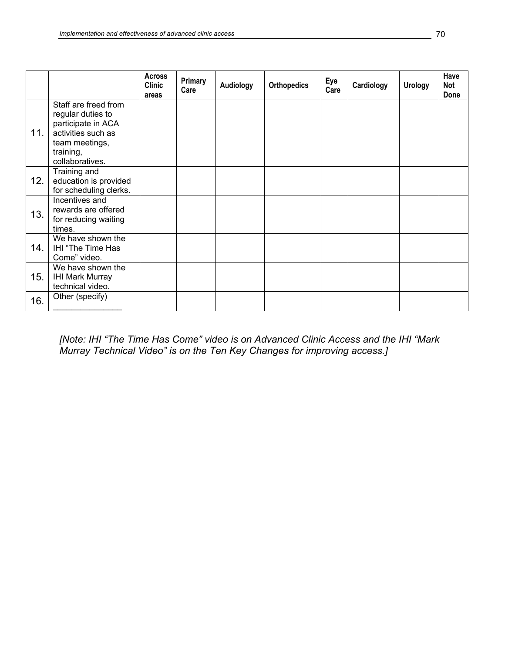|     |                                                                                                                                         | <b>Across</b><br><b>Clinic</b><br>areas | Primary<br>Care | Audiology | <b>Orthopedics</b> | Eye<br>Care | Cardiology | <b>Urology</b> | Have<br>Not<br>Done |
|-----|-----------------------------------------------------------------------------------------------------------------------------------------|-----------------------------------------|-----------------|-----------|--------------------|-------------|------------|----------------|---------------------|
| 11. | Staff are freed from<br>regular duties to<br>participate in ACA<br>activities such as<br>team meetings,<br>training,<br>collaboratives. |                                         |                 |           |                    |             |            |                |                     |
| 12. | Training and<br>education is provided<br>for scheduling clerks.                                                                         |                                         |                 |           |                    |             |            |                |                     |
| 13. | Incentives and<br>rewards are offered<br>for reducing waiting<br>times.                                                                 |                                         |                 |           |                    |             |            |                |                     |
| 14. | We have shown the<br>IHI "The Time Has<br>Come" video.                                                                                  |                                         |                 |           |                    |             |            |                |                     |
| 15. | We have shown the<br><b>IHI Mark Murray</b><br>technical video.                                                                         |                                         |                 |           |                    |             |            |                |                     |
| 16. | Other (specify)                                                                                                                         |                                         |                 |           |                    |             |            |                |                     |

*[Note: IHI "The Time Has Come" video is on Advanced Clinic Access and the IHI "Mark Murray Technical Video" is on the Ten Key Changes for improving access.]*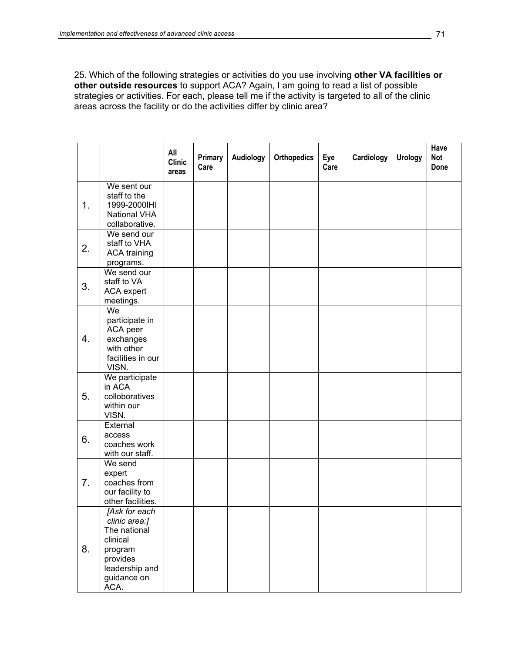25. Which of the following strategies or activities do you use involving **other VA facilities or other outside resources** to support ACA? Again, I am going to read a list of possible strategies or activities. For each, please tell me if the activity is targeted to all of the clinic areas across the facility or do the activities differ by clinic area?

|    |                                                                                                                            | All<br><b>Clinic</b><br>areas | <b>Primary</b><br>Care | Audiology | <b>Orthopedics</b> | Eye<br>Care | Cardiology | <b>Urology</b> | <b>Have</b><br><b>Not</b><br>Done |
|----|----------------------------------------------------------------------------------------------------------------------------|-------------------------------|------------------------|-----------|--------------------|-------------|------------|----------------|-----------------------------------|
| 1. | We sent our<br>staff to the<br>1999-2000IHI<br>National VHA<br>collaborative.                                              |                               |                        |           |                    |             |            |                |                                   |
| 2. | We send our<br>staff to VHA<br><b>ACA training</b><br>programs.                                                            |                               |                        |           |                    |             |            |                |                                   |
| 3. | We send our<br>staff to VA<br>ACA expert<br>meetings.                                                                      |                               |                        |           |                    |             |            |                |                                   |
| 4. | We<br>participate in<br>ACA peer<br>exchanges<br>with other<br>facilities in our<br>VISN.                                  |                               |                        |           |                    |             |            |                |                                   |
| 5. | We participate<br>in ACA<br>colloboratives<br>within our<br>VISN.                                                          |                               |                        |           |                    |             |            |                |                                   |
| 6. | External<br>access<br>coaches work<br>with our staff.                                                                      |                               |                        |           |                    |             |            |                |                                   |
| 7. | We send<br>expert<br>coaches from<br>our facility to<br>other facilities.                                                  |                               |                        |           |                    |             |            |                |                                   |
| 8. | [Ask for each<br>clinic area:]<br>The national<br>clinical<br>program<br>provides<br>leadership and<br>guidance on<br>ACA. |                               |                        |           |                    |             |            |                |                                   |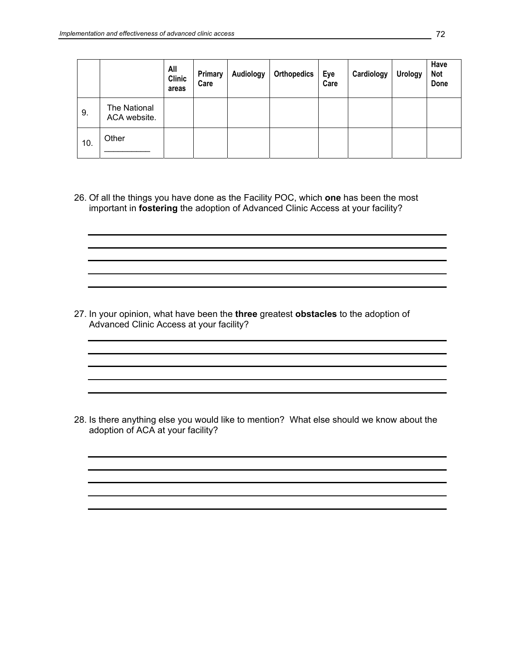|     |                              | All<br><b>Clinic</b><br>areas | Primary<br>Care | Audiology | <b>Orthopedics</b> | Eye<br>Care | Cardiology | <b>Urology</b> | Have<br><b>Not</b><br>Done |
|-----|------------------------------|-------------------------------|-----------------|-----------|--------------------|-------------|------------|----------------|----------------------------|
| 9.  | The National<br>ACA website. |                               |                 |           |                    |             |            |                |                            |
| 10. | Other                        |                               |                 |           |                    |             |            |                |                            |

26. Of all the things you have done as the Facility POC, which **one** has been the most important in **fostering** the adoption of Advanced Clinic Access at your facility?

27. In your opinion, what have been the **three** greatest **obstacles** to the adoption of Advanced Clinic Access at your facility?

28. Is there anything else you would like to mention? What else should we know about the adoption of ACA at your facility?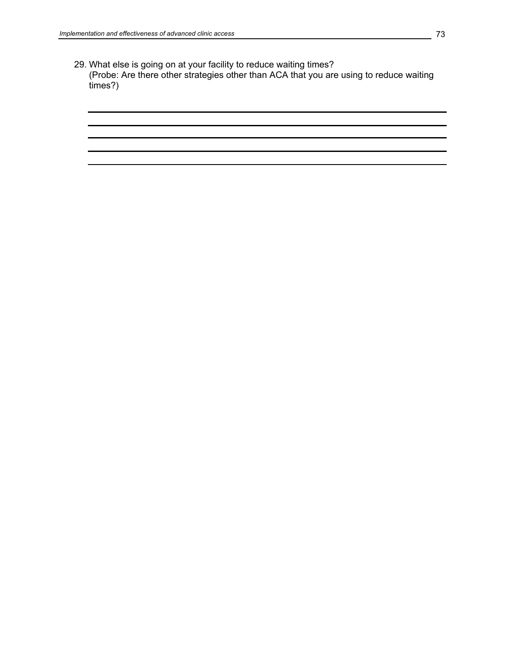29. What else is going on at your facility to reduce waiting times? (Probe: Are there other strategies other than ACA that you are using to reduce waiting times?)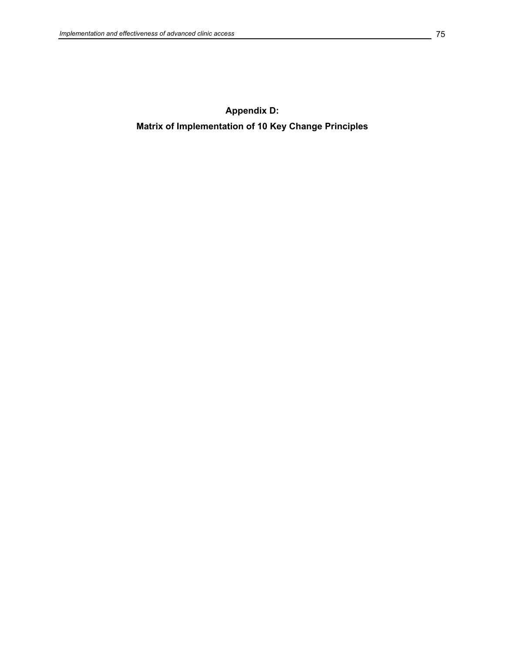**Appendix D: Matrix of Implementation of 10 Key Change Principles**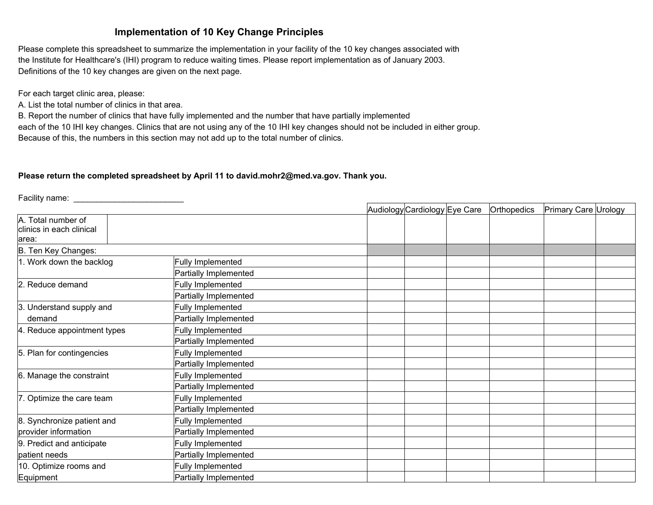# **Implementation of 10 Key Change Principles**

Please complete this spreadsheet to summarize the implementation in your facility of the 10 key changes associated with the Institute for Healthcare's (IHI) program to reduce waiting times. Please report implementation as of January 2003. Definitions of the 10 key changes are given on the next page.

For each target clinic area, please:

A. List the total number of clinics in that area.

B. Report the number of clinics that have fully implemented and the number that have partially implemented each of the 10 IHI key changes. Clinics that are not using any of the 10 IHI key changes should not be included in either group. Because of this, the numbers in this section may not add up to the total number of clinics.

## **Please return the completed spreadsheet by April 11 to david.mohr2@med.va.gov. Thank you.**

Facility name: \_\_\_\_\_\_\_\_\_\_\_\_\_\_\_\_\_\_\_\_\_\_\_\_

|                                                          |                       | Audiology Cardiology Eye Care | <b>Orthopedics</b> | Primary Care Urology |  |
|----------------------------------------------------------|-----------------------|-------------------------------|--------------------|----------------------|--|
| A. Total number of<br>clinics in each clinical<br>larea: |                       |                               |                    |                      |  |
| B. Ten Key Changes:                                      |                       |                               |                    |                      |  |
| 1. Work down the backlog                                 | Fully Implemented     |                               |                    |                      |  |
|                                                          | Partially Implemented |                               |                    |                      |  |
| 2. Reduce demand                                         | Fully Implemented     |                               |                    |                      |  |
|                                                          | Partially Implemented |                               |                    |                      |  |
| 3. Understand supply and                                 | Fully Implemented     |                               |                    |                      |  |
| demand                                                   | Partially Implemented |                               |                    |                      |  |
| 4. Reduce appointment types                              | Fully Implemented     |                               |                    |                      |  |
|                                                          | Partially Implemented |                               |                    |                      |  |
| 5. Plan for contingencies                                | Fully Implemented     |                               |                    |                      |  |
|                                                          | Partially Implemented |                               |                    |                      |  |
| 6. Manage the constraint                                 | Fully Implemented     |                               |                    |                      |  |
|                                                          | Partially Implemented |                               |                    |                      |  |
| 7. Optimize the care team                                | Fully Implemented     |                               |                    |                      |  |
|                                                          | Partially Implemented |                               |                    |                      |  |
| 8. Synchronize patient and                               | Fully Implemented     |                               |                    |                      |  |
| provider information                                     | Partially Implemented |                               |                    |                      |  |
| 9. Predict and anticipate                                | Fully Implemented     |                               |                    |                      |  |
| patient needs                                            | Partially Implemented |                               |                    |                      |  |
| 10. Optimize rooms and                                   | Fully Implemented     |                               |                    |                      |  |
| Equipment                                                | Partially Implemented |                               |                    |                      |  |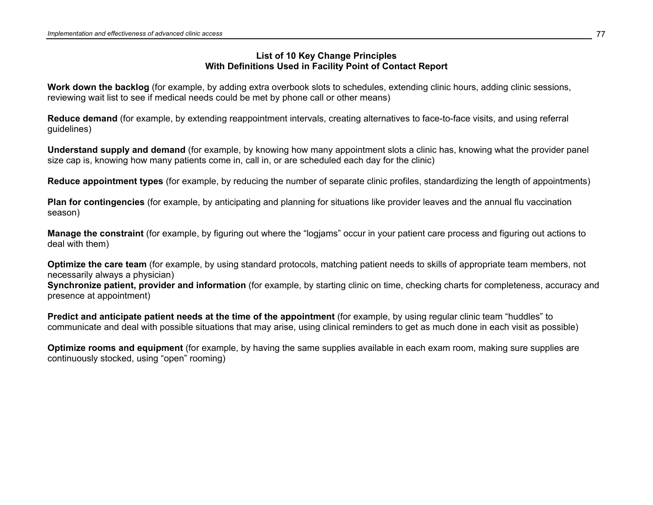# **List of 10 Key Change Principles With Definitions Used in Facility Point of Contact Report**

**Work down the backlog** (for example, by adding extra overbook slots to schedules, extending clinic hours, adding clinic sessions, reviewing wait list to see if medical needs could be met by phone call or other means)

**Reduce demand** (for example, by extending reappointment intervals, creating alternatives to face-to-face visits, and using referral guidelines)

**Understand supply and demand** (for example, by knowing how many appointment slots a clinic has, knowing what the provider panel size cap is, knowing how many patients come in, call in, or are scheduled each day for the clinic)

**Reduce appointment types** (for example, by reducing the number of separate clinic profiles, standardizing the length of appointments)

**Plan for contingencies** (for example, by anticipating and planning for situations like provider leaves and the annual flu vaccination season)

**Manage the constraint** (for example, by figuring out where the "logjams" occur in your patient care process and figuring out actions to deal with them)

**Optimize the care team** (for example, by using standard protocols, matching patient needs to skills of appropriate team members, not necessarily always a physician)

**Synchronize patient, provider and information** (for example, by starting clinic on time, checking charts for completeness, accuracy and presence at appointment)

**Predict and anticipate patient needs at the time of the appointment** (for example, by using regular clinic team "huddles" to communicate and deal with possible situations that may arise, using clinical reminders to get as much done in each visit as possible)

**Optimize rooms and equipment** (for example, by having the same supplies available in each exam room, making sure supplies are continuously stocked, using "open" rooming)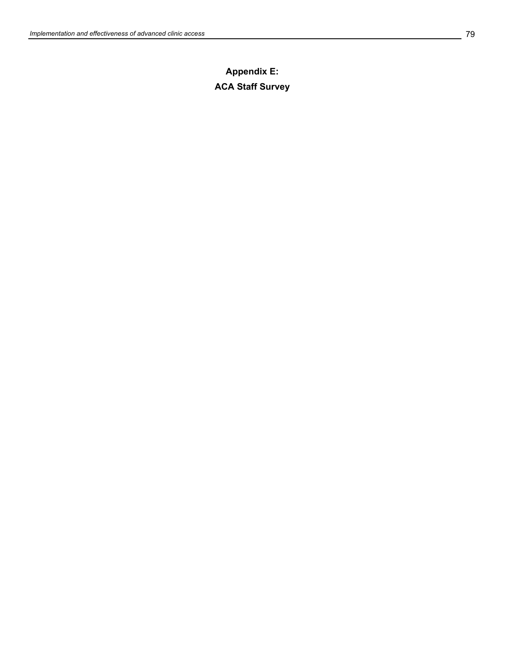# **Appendix E: ACA Staff Survey**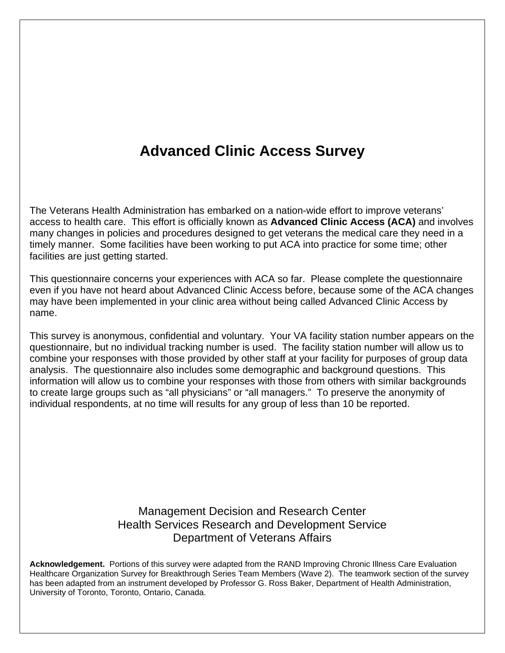# **Advanced Clinic Access Survey**

The Veterans Health Administration has embarked on a nation-wide effort to improve veterans' access to health care. This effort is officially known as **Advanced Clinic Access (ACA)** and involves many changes in policies and procedures designed to get veterans the medical care they need in a timely manner. Some facilities have been working to put ACA into practice for some time; other facilities are just getting started.

This questionnaire concerns your experiences with ACA so far. Please complete the questionnaire even if you have not heard about Advanced Clinic Access before, because some of the ACA changes may have been implemented in your clinic area without being called Advanced Clinic Access by name.

This survey is anonymous, confidential and voluntary. Your VA facility station number appears on the questionnaire, but no individual tracking number is used. The facility station number will allow us to combine your responses with those provided by other staff at your facility for purposes of group data analysis. The questionnaire also includes some demographic and background questions. This information will allow us to combine your responses with those from others with similar backgrounds to create large groups such as "all physicians" or "all managers." To preserve the anonymity of individual respondents, at no time will results for any group of less than 10 be reported.

# Management Decision and Research Center Health Services Research and Development Service Department of Veterans Affairs

**Acknowledgement.** Portions of this survey were adapted from the RAND Improving Chronic Illness Care Evaluation Healthcare Organization Survey for Breakthrough Series Team Members (Wave 2). The teamwork section of the survey has been adapted from an instrument developed by Professor G. Ross Baker, Department of Health Administration, University of Toronto, Toronto, Ontario, Canada.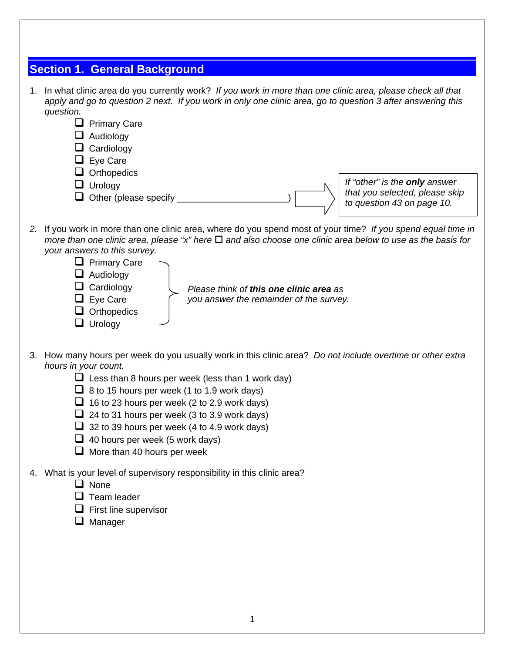| <b>Section 1. General Background</b>                                                                                                                                                                                                                                                                                                                                                                                                                                                                      |
|-----------------------------------------------------------------------------------------------------------------------------------------------------------------------------------------------------------------------------------------------------------------------------------------------------------------------------------------------------------------------------------------------------------------------------------------------------------------------------------------------------------|
| 1. In what clinic area do you currently work? If you work in more than one clinic area, please check all that<br>apply and go to question 2 next. If you work in only one clinic area, go to question 3 after answering this<br>question.<br><b>Primary Care</b><br>$\Box$ Audiology<br>Cardiology<br>$\Box$ Eye Care<br>Orthopedics<br>If "other" is the only answer<br>$\Box$ Urology<br>that you selected, please skip<br>Other (please specify<br>to question 43 on page 10.                          |
| 2. If you work in more than one clinic area, where do you spend most of your time? If you spend equal time in<br>more than one clinic area, please "x" here $\Box$ and also choose one clinic area below to use as the basis for<br>your answers to this survey.<br>$\Box$ Primary Care<br>$\Box$ Audiology<br>Cardiology<br>Please think of this one clinic area as<br>$\Box$ Eye Care<br>you answer the remainder of the survey.<br>$\Box$ Orthopedics<br>$\Box$ Urology                                |
| 3. How many hours per week do you usually work in this clinic area? Do not include overtime or other extra<br>hours in your count.<br>$\Box$ Less than 8 hours per week (less than 1 work day)<br>$\Box$ 8 to 15 hours per week (1 to 1.9 work days)<br>$\Box$ 16 to 23 hours per week (2 to 2.9 work days)<br>$\Box$ 24 to 31 hours per week (3 to 3.9 work days)<br>$\Box$ 32 to 39 hours per week (4 to 4.9 work days)<br>$\Box$ 40 hours per week (5 work days)<br>$\Box$ More than 40 hours per week |
| 4. What is your level of supervisory responsibility in this clinic area?<br>$\Box$ None<br>Team leader<br>First line supervisor<br>$\Box$ Manager                                                                                                                                                                                                                                                                                                                                                         |
| 1                                                                                                                                                                                                                                                                                                                                                                                                                                                                                                         |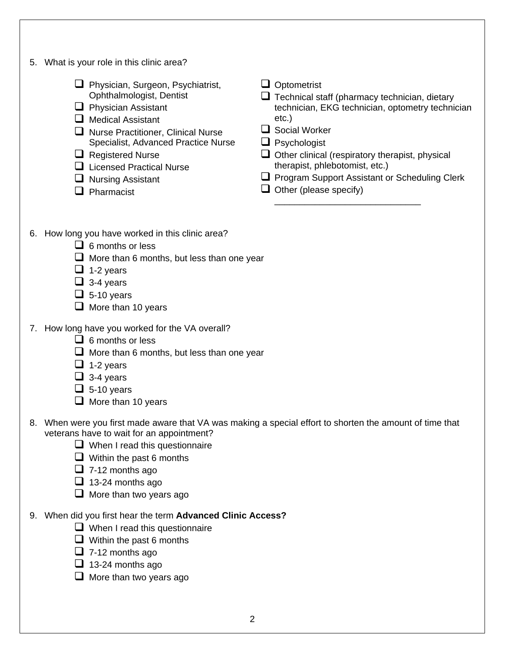| 5. | What is your role in this clinic area?                                                                                                                                                                                                                                                                                   |                                                                                                                                                                                                                                                                                                                                                                         |
|----|--------------------------------------------------------------------------------------------------------------------------------------------------------------------------------------------------------------------------------------------------------------------------------------------------------------------------|-------------------------------------------------------------------------------------------------------------------------------------------------------------------------------------------------------------------------------------------------------------------------------------------------------------------------------------------------------------------------|
|    | Physician, Surgeon, Psychiatrist,<br>Ophthalmologist, Dentist<br>$\Box$ Physician Assistant<br>$\Box$ Medical Assistant<br>□ Nurse Practitioner, Clinical Nurse<br>Specialist, Advanced Practice Nurse<br>$\Box$ Registered Nurse<br>$\Box$ Licensed Practical Nurse<br>$\Box$ Nursing Assistant<br>$\Box$ Pharmacist    | $\Box$ Optometrist<br>$\Box$ Technical staff (pharmacy technician, dietary<br>technician, EKG technician, optometry technician<br>$etc.$ )<br>$\Box$ Social Worker<br>$\Box$ Psychologist<br>$\Box$ Other clinical (respiratory therapist, physical<br>therapist, phlebotomist, etc.)<br>Program Support Assistant or Scheduling Clerk<br>$\Box$ Other (please specify) |
|    | 6. How long you have worked in this clinic area?<br>$\Box$ 6 months or less<br>$\Box$ More than 6 months, but less than one year<br>$\Box$ 1-2 years<br>$\Box$ 3-4 years<br>$\Box$ 5-10 years<br>$\Box$ More than 10 years                                                                                               |                                                                                                                                                                                                                                                                                                                                                                         |
|    | 7. How long have you worked for the VA overall?<br>$\Box$ 6 months or less<br>$\Box$ More than 6 months, but less than one year<br>$\Box$ 1-2 years<br>$\Box$ 3-4 years<br>$\Box$ 5-10 years<br>More than 10 years                                                                                                       |                                                                                                                                                                                                                                                                                                                                                                         |
|    | 8. When were you first made aware that VA was making a special effort to shorten the amount of time that<br>veterans have to wait for an appointment?<br>$\Box$ When I read this questionnaire<br>$\Box$ Within the past 6 months<br>$\Box$ 7-12 months ago<br>$\Box$ 13-24 months ago<br>$\Box$ More than two years ago |                                                                                                                                                                                                                                                                                                                                                                         |
|    | 9. When did you first hear the term Advanced Clinic Access?<br>$\Box$ When I read this questionnaire<br>$\Box$ Within the past 6 months<br>$\Box$ 7-12 months ago<br>$\Box$ 13-24 months ago<br>$\Box$ More than two years ago                                                                                           |                                                                                                                                                                                                                                                                                                                                                                         |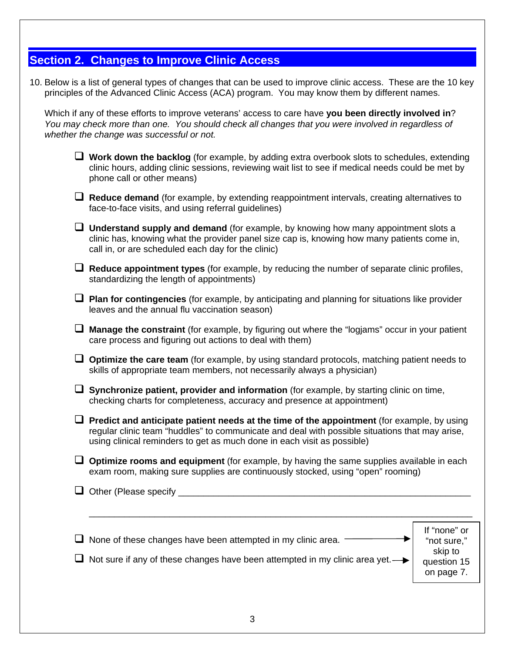# **Section 2. Changes to Improve Clinic Access**

10. Below is a list of general types of changes that can be used to improve clinic access. These are the 10 key principles of the Advanced Clinic Access (ACA) program. You may know them by different names.

Which if any of these efforts to improve veterans' access to care have **you been directly involved in**? *You may check more than one. You should check all changes that you were involved in regardless of whether the change was successful or not.* 

| $\Box$ Work down the backlog (for example, by adding extra overbook slots to schedules, extending<br>clinic hours, adding clinic sessions, reviewing wait list to see if medical needs could be met by<br>phone call or other means)                                    |                                                       |  |  |  |  |  |  |
|-------------------------------------------------------------------------------------------------------------------------------------------------------------------------------------------------------------------------------------------------------------------------|-------------------------------------------------------|--|--|--|--|--|--|
| $\Box$ Reduce demand (for example, by extending reappointment intervals, creating alternatives to<br>face-to-face visits, and using referral guidelines)                                                                                                                |                                                       |  |  |  |  |  |  |
| <b>Understand supply and demand</b> (for example, by knowing how many appointment slots a<br>clinic has, knowing what the provider panel size cap is, knowing how many patients come in,<br>call in, or are scheduled each day for the clinic)                          |                                                       |  |  |  |  |  |  |
| $\Box$ Reduce appointment types (for example, by reducing the number of separate clinic profiles,<br>standardizing the length of appointments)                                                                                                                          |                                                       |  |  |  |  |  |  |
| $\Box$ Plan for contingencies (for example, by anticipating and planning for situations like provider<br>leaves and the annual flu vaccination season)                                                                                                                  |                                                       |  |  |  |  |  |  |
| Manage the constraint (for example, by figuring out where the "logjams" occur in your patient<br>care process and figuring out actions to deal with them)                                                                                                               |                                                       |  |  |  |  |  |  |
| $\Box$ Optimize the care team (for example, by using standard protocols, matching patient needs to<br>skills of appropriate team members, not necessarily always a physician)                                                                                           |                                                       |  |  |  |  |  |  |
| Synchronize patient, provider and information (for example, by starting clinic on time,<br>checking charts for completeness, accuracy and presence at appointment)                                                                                                      |                                                       |  |  |  |  |  |  |
| Predict and anticipate patient needs at the time of the appointment (for example, by using<br>regular clinic team "huddles" to communicate and deal with possible situations that may arise,<br>using clinical reminders to get as much done in each visit as possible) |                                                       |  |  |  |  |  |  |
| $\Box$ Optimize rooms and equipment (for example, by having the same supplies available in each<br>exam room, making sure supplies are continuously stocked, using "open" rooming)                                                                                      |                                                       |  |  |  |  |  |  |
| Other (Please specify                                                                                                                                                                                                                                                   |                                                       |  |  |  |  |  |  |
|                                                                                                                                                                                                                                                                         |                                                       |  |  |  |  |  |  |
| None of these changes have been attempted in my clinic area.<br>Not sure if any of these changes have been attempted in my clinic area yet.  ightarrow Not sure if any of these changes have been attempted in my clinic area yet.                                      | If "none" or<br>"not sure,"<br>skip to<br>question 15 |  |  |  |  |  |  |
|                                                                                                                                                                                                                                                                         | on page 7.                                            |  |  |  |  |  |  |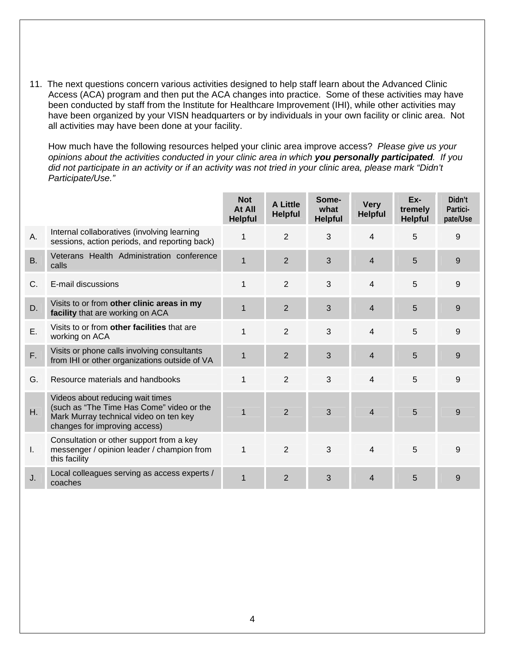11. The next questions concern various activities designed to help staff learn about the Advanced Clinic Access (ACA) program and then put the ACA changes into practice. Some of these activities may have been conducted by staff from the Institute for Healthcare Improvement (IHI), while other activities may have been organized by your VISN headquarters or by individuals in your own facility or clinic area. Not all activities may have been done at your facility.

How much have the following resources helped your clinic area improve access? *Please give us your opinions about the activities conducted in your clinic area in which you personally participated. If you did not participate in an activity or if an activity was not tried in your clinic area, please mark "Didn't Participate/Use."*

|             |                                                                                                                                                          | <b>Not</b><br>At All<br><b>Helpful</b> | <b>A Little</b><br><b>Helpful</b> | Some-<br>what<br><b>Helpful</b> | <b>Very</b><br><b>Helpful</b> | Ex-<br>tremely<br><b>Helpful</b> | Didn't<br>Partici-<br>pate/Use |
|-------------|----------------------------------------------------------------------------------------------------------------------------------------------------------|----------------------------------------|-----------------------------------|---------------------------------|-------------------------------|----------------------------------|--------------------------------|
| Α.          | Internal collaboratives (involving learning<br>sessions, action periods, and reporting back)                                                             |                                        | $\overline{2}$                    | 3                               | $\overline{4}$                | 5                                | 9                              |
| <b>B.</b>   | Veterans Health Administration conference<br>calls                                                                                                       | $\mathbf{1}$                           | 2                                 | 3                               | $\overline{4}$                | 5                                | 9                              |
| $C_{\cdot}$ | E-mail discussions                                                                                                                                       | 1                                      | 2                                 | 3                               | $\overline{4}$                | 5                                | 9                              |
| D.          | Visits to or from other clinic areas in my<br>facility that are working on ACA                                                                           |                                        | $\overline{2}$                    | 3                               | $\overline{4}$                | 5                                | 9                              |
| Ε.          | Visits to or from other facilities that are<br>working on ACA                                                                                            |                                        | 2                                 | 3                               | 4                             | 5                                | 9                              |
| F.          | Visits or phone calls involving consultants<br>from IHI or other organizations outside of VA                                                             |                                        | $\overline{2}$                    | 3                               | $\overline{4}$                | 5                                | 9                              |
| G.          | Resource materials and handbooks                                                                                                                         | 1                                      | $\overline{2}$                    | 3                               | $\overline{4}$                | 5                                | 9                              |
| Η.          | Videos about reducing wait times<br>(such as "The Time Has Come" video or the<br>Mark Murray technical video on ten key<br>changes for improving access) |                                        | 2                                 | 3                               | $\overline{4}$                | 5                                | 9                              |
| L.          | Consultation or other support from a key<br>messenger / opinion leader / champion from<br>this facility                                                  | 1                                      | 2                                 | 3                               | 4                             | 5                                | 9                              |
| J.          | Local colleagues serving as access experts /<br>coaches                                                                                                  | $\mathbf{1}$                           | 2                                 | 3                               | $\overline{4}$                | 5                                | 9                              |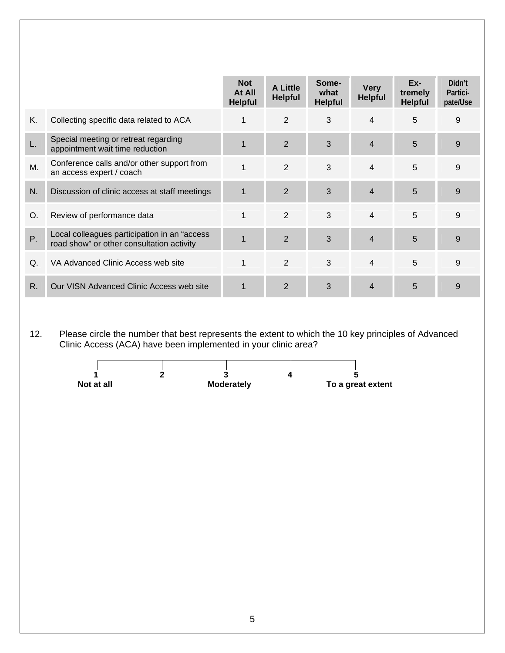|    |                                                                                           | <b>Not</b><br>At All<br><b>Helpful</b> | <b>A Little</b><br><b>Helpful</b> | Some-<br>what<br><b>Helpful</b> | <b>Very</b><br><b>Helpful</b> | Ex-<br>tremely<br><b>Helpful</b> | Didn't<br>Partici-<br>pate/Use |
|----|-------------------------------------------------------------------------------------------|----------------------------------------|-----------------------------------|---------------------------------|-------------------------------|----------------------------------|--------------------------------|
| Κ. | Collecting specific data related to ACA                                                   |                                        | $\overline{2}$                    | 3                               | $\overline{4}$                | 5                                | 9                              |
| L. | Special meeting or retreat regarding<br>appointment wait time reduction                   | $\mathbf{1}$                           | $\overline{2}$                    | 3                               | $\overline{4}$                | 5                                | 9                              |
| M. | Conference calls and/or other support from<br>an access expert / coach                    | 1                                      | 2                                 | 3                               | $\overline{4}$                | 5                                | 9                              |
| N. | Discussion of clinic access at staff meetings                                             | $\mathbf{1}$                           | 2                                 | 3                               | $\overline{4}$                | 5                                | 9                              |
| O. | Review of performance data                                                                | 1                                      | $\overline{2}$                    | 3                               | 4                             | 5                                | 9                              |
| P. | Local colleagues participation in an "access<br>road show" or other consultation activity | $\mathbf{1}$                           | $\overline{2}$                    | 3                               | $\overline{4}$                | 5                                | 9                              |
| Q. | VA Advanced Clinic Access web site                                                        | $\mathbf{1}$                           | 2                                 | 3                               | $\overline{4}$                | 5                                | 9                              |
| R. | Our VISN Advanced Clinic Access web site                                                  |                                        | $\overline{2}$                    | 3                               | 4                             | 5                                | 9                              |

12. Please circle the number that best represents the extent to which the 10 key principles of Advanced Clinic Access (ACA) have been implemented in your clinic area?

|            |                   | w                 |
|------------|-------------------|-------------------|
| Not at all | <b>Moderately</b> | To a great extent |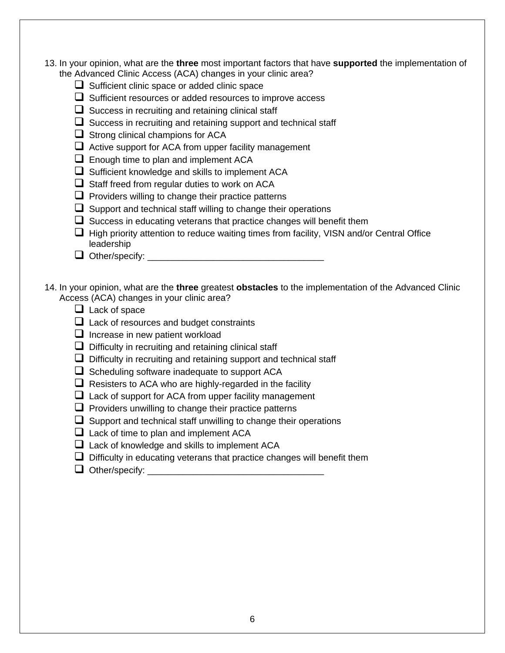- 13. In your opinion, what are the **three** most important factors that have **supported** the implementation of the Advanced Clinic Access (ACA) changes in your clinic area?
	- $\Box$  Sufficient clinic space or added clinic space
	- $\Box$  Sufficient resources or added resources to improve access
	- $\Box$  Success in recruiting and retaining clinical staff
	- $\Box$  Success in recruiting and retaining support and technical staff
	- $\Box$  Strong clinical champions for ACA
	- $\Box$  Active support for ACA from upper facility management
	- $\Box$  Enough time to plan and implement ACA
	- $\Box$  Sufficient knowledge and skills to implement ACA
	- $\Box$  Staff freed from regular duties to work on ACA
	- $\Box$  Providers willing to change their practice patterns
	- $\Box$  Support and technical staff willing to change their operations
	- $\Box$  Success in educating veterans that practice changes will benefit them
	- $\Box$  High priority attention to reduce waiting times from facility, VISN and/or Central Office leadership
	- ! Other/specify: \_\_\_\_\_\_\_\_\_\_\_\_\_\_\_\_\_\_\_\_\_\_\_\_\_\_\_\_\_\_\_\_\_\_\_
- 14. In your opinion, what are the **three** greatest **obstacles** to the implementation of the Advanced Clinic Access (ACA) changes in your clinic area?
	- $\Box$  Lack of space
	- $\Box$  Lack of resources and budget constraints
	- $\Box$  Increase in new patient workload
	- $\Box$  Difficulty in recruiting and retaining clinical staff
	- $\Box$  Difficulty in recruiting and retaining support and technical staff
	- $\Box$  Scheduling software inadequate to support ACA
	- $\Box$  Resisters to ACA who are highly-regarded in the facility
	- $\Box$  Lack of support for ACA from upper facility management
	- $\Box$  Providers unwilling to change their practice patterns
	- $\Box$  Support and technical staff unwilling to change their operations
	- $\Box$  Lack of time to plan and implement ACA
	- $\Box$  Lack of knowledge and skills to implement ACA
	- $\Box$  Difficulty in educating veterans that practice changes will benefit them
	- ! Other/specify: \_\_\_\_\_\_\_\_\_\_\_\_\_\_\_\_\_\_\_\_\_\_\_\_\_\_\_\_\_\_\_\_\_\_\_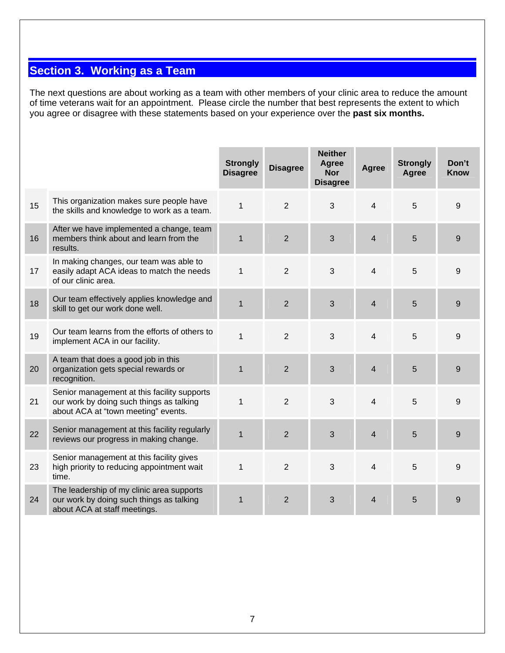# **Section 3. Working as a Team**

The next questions are about working as a team with other members of your clinic area to reduce the amount of time veterans wait for an appointment. Please circle the number that best represents the extent to which you agree or disagree with these statements based on your experience over the **past six months.** 

|    |                                                                                                                                | <b>Strongly</b><br><b>Disagree</b> | <b>Disagree</b> | <b>Neither</b><br>Agree<br><b>Nor</b><br><b>Disagree</b> | <b>Agree</b>            | <b>Strongly</b><br><b>Agree</b> | Don't<br><b>Know</b> |
|----|--------------------------------------------------------------------------------------------------------------------------------|------------------------------------|-----------------|----------------------------------------------------------|-------------------------|---------------------------------|----------------------|
| 15 | This organization makes sure people have<br>the skills and knowledge to work as a team.                                        | $\mathbf{1}$                       | $\overline{2}$  | 3                                                        | $\overline{4}$          | 5                               | 9                    |
| 16 | After we have implemented a change, team<br>members think about and learn from the<br>results.                                 | $\mathbf{1}$                       | $\overline{2}$  | $\mathbf{3}$                                             | $\overline{4}$          | 5                               | 9                    |
| 17 | In making changes, our team was able to<br>easily adapt ACA ideas to match the needs<br>of our clinic area.                    | $\mathbf{1}$                       | $\overline{2}$  | 3                                                        | 4                       | 5                               | 9                    |
| 18 | Our team effectively applies knowledge and<br>skill to get our work done well.                                                 | $\mathbf{1}$                       | $\overline{2}$  | 3                                                        | $\overline{4}$          | 5                               | 9                    |
| 19 | Our team learns from the efforts of others to<br>implement ACA in our facility.                                                | $\mathbf{1}$                       | $\overline{2}$  | 3                                                        | $\overline{4}$          | 5                               | 9                    |
| 20 | A team that does a good job in this<br>organization gets special rewards or<br>recognition.                                    | $\mathbf{1}$                       | $\overline{2}$  | $\overline{3}$                                           | $\overline{4}$          | 5                               | 9                    |
| 21 | Senior management at this facility supports<br>our work by doing such things as talking<br>about ACA at "town meeting" events. | $\mathbf{1}$                       | $\overline{2}$  | 3                                                        | $\overline{\mathbf{4}}$ | 5                               | 9                    |
| 22 | Senior management at this facility regularly<br>reviews our progress in making change.                                         | $\mathbf{1}$                       | $\overline{2}$  | 3                                                        | $\overline{4}$          | 5                               | 9                    |
| 23 | Senior management at this facility gives<br>high priority to reducing appointment wait<br>time.                                | $\mathbf{1}$                       | $\overline{2}$  | 3                                                        | $\overline{4}$          | 5                               | 9                    |
| 24 | The leadership of my clinic area supports<br>our work by doing such things as talking<br>about ACA at staff meetings.          | 1                                  | $\overline{2}$  | 3                                                        | $\overline{4}$          | 5                               | 9                    |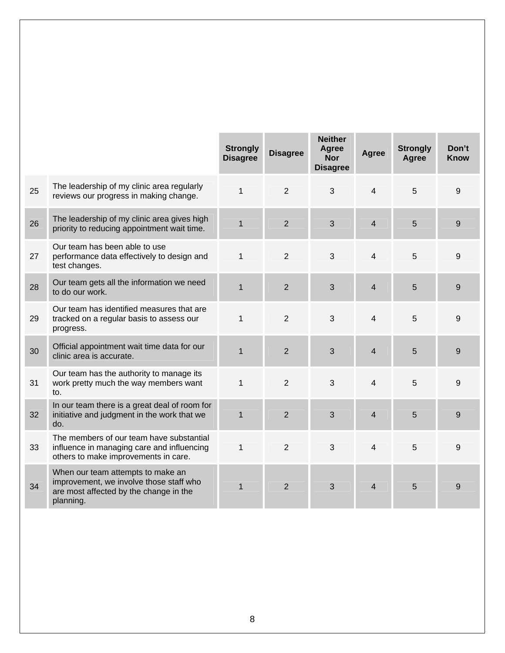|    |                                                                                                                                     | <b>Strongly</b><br><b>Disagree</b> | <b>Disagree</b> | <b>Neither</b><br>Agree<br><b>Nor</b><br><b>Disagree</b> | <b>Agree</b>   | <b>Strongly</b><br><b>Agree</b> | Don't<br><b>Know</b> |
|----|-------------------------------------------------------------------------------------------------------------------------------------|------------------------------------|-----------------|----------------------------------------------------------|----------------|---------------------------------|----------------------|
| 25 | The leadership of my clinic area regularly<br>reviews our progress in making change.                                                | $\mathbf{1}$                       | 2               | 3                                                        | 4              | 5                               | 9                    |
| 26 | The leadership of my clinic area gives high<br>priority to reducing appointment wait time.                                          | $\mathbf{1}$                       | $\overline{2}$  | 3                                                        | $\overline{4}$ | 5                               | 9                    |
| 27 | Our team has been able to use<br>performance data effectively to design and<br>test changes.                                        | $\mathbf{1}$                       | 2               | 3                                                        | 4              | 5                               | 9                    |
| 28 | Our team gets all the information we need<br>to do our work.                                                                        | $\mathbf{1}$                       | $\overline{2}$  | 3                                                        | $\overline{4}$ | 5                               | 9                    |
| 29 | Our team has identified measures that are<br>tracked on a regular basis to assess our<br>progress.                                  | $\mathbf{1}$                       | $\overline{2}$  | 3                                                        | $\overline{4}$ | 5                               | 9                    |
| 30 | Official appointment wait time data for our<br>clinic area is accurate.                                                             | $\mathbf{1}$                       | 2               | 3                                                        | 4              | 5                               | 9                    |
| 31 | Our team has the authority to manage its<br>work pretty much the way members want<br>to.                                            | 1                                  | $\overline{2}$  | 3                                                        | 4              | 5                               | 9                    |
| 32 | In our team there is a great deal of room for<br>initiative and judgment in the work that we<br>do.                                 | $\mathbf{1}$                       | $\overline{2}$  | 3                                                        | $\overline{4}$ | 5                               | 9                    |
| 33 | The members of our team have substantial<br>influence in managing care and influencing<br>others to make improvements in care.      | $\mathbf{1}$                       | 2               | 3                                                        | 4              | 5                               | 9                    |
| 34 | When our team attempts to make an<br>improvement, we involve those staff who<br>are most affected by the change in the<br>planning. | $\mathbf{1}$                       | 2               | 3                                                        | 4              | 5                               | 9                    |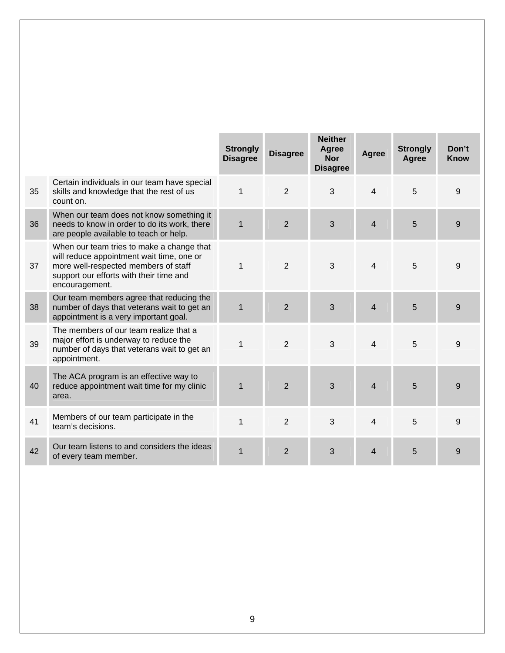|    |                                                                                                                                                                                             | <b>Strongly</b><br><b>Disagree</b> | <b>Disagree</b> | <b>Neither</b><br>Agree<br><b>Nor</b><br><b>Disagree</b> | Agree          | <b>Strongly</b><br>Agree | Don't<br><b>Know</b> |
|----|---------------------------------------------------------------------------------------------------------------------------------------------------------------------------------------------|------------------------------------|-----------------|----------------------------------------------------------|----------------|--------------------------|----------------------|
| 35 | Certain individuals in our team have special<br>skills and knowledge that the rest of us<br>count on.                                                                                       | 1                                  | 2               | 3                                                        | $\overline{4}$ | 5                        | 9                    |
| 36 | When our team does not know something it<br>needs to know in order to do its work, there<br>are people available to teach or help.                                                          | $\mathbf 1$                        | $\overline{2}$  | 3                                                        | 4              | 5                        | 9                    |
| 37 | When our team tries to make a change that<br>will reduce appointment wait time, one or<br>more well-respected members of staff<br>support our efforts with their time and<br>encouragement. | $\mathbf{1}$                       | 2               | 3                                                        | $\overline{4}$ | 5                        | 9                    |
| 38 | Our team members agree that reducing the<br>number of days that veterans wait to get an<br>appointment is a very important goal.                                                            | $\mathbf{1}$                       | $\overline{2}$  | 3                                                        | $\overline{4}$ | 5                        | 9                    |
| 39 | The members of our team realize that a<br>major effort is underway to reduce the<br>number of days that veterans wait to get an<br>appointment.                                             | $\mathbf{1}$                       | 2               | 3                                                        | 4              | 5                        | 9                    |
| 40 | The ACA program is an effective way to<br>reduce appointment wait time for my clinic<br>area.                                                                                               | $\mathbf{1}$                       | $\overline{2}$  | 3                                                        | $\overline{4}$ | 5                        | 9                    |
| 41 | Members of our team participate in the<br>team's decisions.                                                                                                                                 | $\mathbf{1}$                       | 2               | 3                                                        | 4              | 5                        | 9                    |
| 42 | Our team listens to and considers the ideas<br>of every team member.                                                                                                                        | $\mathbf{1}$                       | $\overline{2}$  | 3                                                        | 4              | 5                        | 9                    |